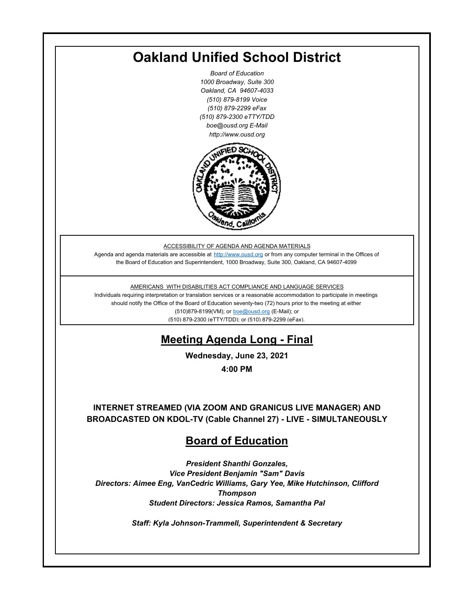# **Oakland Unified School District**

*Board of Education 1000 Broadway, Suite 300 Oakland, CA 94607-4033 (510) 879-8199 Voice (510) 879-2299 eFax (510) 879-2300 eTTY/TDD boe@ousd.org E-Mail http://www.ousd.org*



ACCESSIBILITY OF AGENDA AND AGENDA MATERIALS

Agenda and agenda materials are accessible at http://www.ousd.org or from any computer terminal in the Offices of the Board of Education and Superintendent, 1000 Broadway, Suite 300, Oakland, CA 94607-4099

AMERICANS WITH DISABILITIES ACT COMPLIANCE AND LANGUAGE SERVICES

Individuals requiring interpretation or translation services or a reasonable accommodation to participate in meetings should notify the Office of the Board of Education seventy-two (72) hours prior to the meeting at either (510)879-8199(VM); or boe@ousd.org (E-Mail); or (510) 879-2300 (eTTY/TDD); or (510) 879-2299 (eFax).

# **Meeting Agenda Long - Final**

**Wednesday, June 23, 2021**

**4:00 PM**

**INTERNET STREAMED (VIA ZOOM AND GRANICUS LIVE MANAGER) AND BROADCASTED ON KDOL-TV (Cable Channel 27) - LIVE - SIMULTANEOUSLY**

## **Board of Education**

*President Shanthi Gonzales, Vice President Benjamin "Sam" Davis Directors: Aimee Eng, VanCedric Williams, Gary Yee, Mike Hutchinson, Clifford Thompson Student Directors: Jessica Ramos, Samantha Pal*

*Staff: Kyla Johnson-Trammell, Superintendent & Secretary*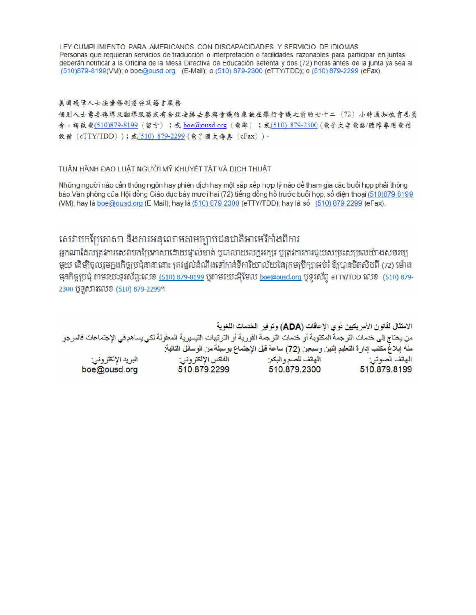LEY CUMPLIMIENTO PARA AMERICANOS CON DISCAPACIDADES Y SERVICIO DE IDIOMAS Personas que requieran servicios de traducción o interpretación o facilidades razonables para participar en juntas deberán notificar a la Oficina de la Mesa Directiva de Educación setenta y dos (72) horas antes de la junta ya sea al (510)879-8199(VM); o boe@ousd.org (E-Mail); o (510) 879-2300 (eTTY/TDD); o (510) 879-2299 (eFax).

#### 美国残障人士法案條例遵守及語言服務

個别人士需要傳譯及翻譯服務或有合理安排去參與會議的應該在舉行會議之前的七十二(72)小時通知教育委員 會。請致電(510)879-8199(留言);或 boe@ousd.org (電郵) ;或(510) 879-2300 (電子文字電話/聽障專用電信 設備 (eTTY/TDD));或(510) 879-2299 (電子圖文傳真 (eFax))。

### TUẦN HÀNH ĐẠO LUẬT NGƯỜI MỸ KHUYẾT TẤT VÀ DỊCH THUẬT

Những người nào cần thông ngôn hay phiên dịch hay một sắp xếp hợp lý nào để tham gia các buổi họp phải thông báo Văn phòng của Hội đồng Giáo dục bảy mươi hai (72) tiếng đồng hồ trước buổi họp, số điện thoại (510)879-8199 (VM); hay là boe@ousd.org (E-Mail); hay là (510) 879-2300 (eTTY/TDD); hay là số (510) 879-2299 (eFax).

## សេវាបកប្រែភាសា និងការអនុលោមតាមច្បាប់ជនជាតិអាមេរិកាំងពិការ

អកណាដែលត្រូវការសេវាបកប្រែភាសាដោយផ្ទាល់មាត់ ឬជាលាយលក្ខអក្សរ ឬត្រូវការការជួយសម្រះសម្រលយ៉ាងសមរម្យ មួយ ដើម្បីចូលរួមក្នុងកិច្ចប្រជុំនានានោះ ត្រវង្គល់ដំណឹងទៅកាន់ទីការិយាល័យនៃក្រមប្រឹក្សាអប់រំ ឱ្យបានចិតសិបពី (72) ម៉ោង មុនកិច្ចប្រជុំ តាមរយៈទូរស័ព្ទ:លេខ <u>(510) 879-8199</u> បុតាមរយៈអ៊ីមែល <u>boe@ousd.org</u> បុទូរស័ព្ទ eTTY/TDD លេខ (510) 879-2300 ប៊ូទូសារលេខ (510) 879-2299។

الامتثال لقانون الأمريكيين نو ي الإحاقات (ADA) وتوفير الخدمات اللغوية من يحتاج إلى خدمات الترجمة المكتوبة أو خدمات الترجمة الفورية أو الترتيبات التيسيرية المعفّولة لكي يساهم في الإجتماعات فالمرجو منه إبلاغ مكتب إدارة التعليم إثنين وسبعين (72) ساعة قبل الإجتماع بوسيلة من الوسائل التالية: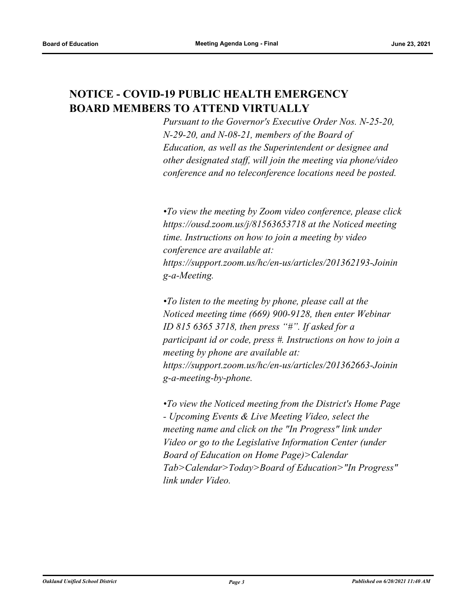## **NOTICE - COVID-19 PUBLIC HEALTH EMERGENCY BOARD MEMBERS TO ATTEND VIRTUALLY**

*Pursuant to the Governor's Executive Order Nos. N-25-20, N-29-20, and N-08-21, members of the Board of Education, as well as the Superintendent or designee and other designated staff, will join the meeting via phone/video conference and no teleconference locations need be posted.*

*•To view the meeting by Zoom video conference, please click https://ousd.zoom.us/j/81563653718 at the Noticed meeting time. Instructions on how to join a meeting by video conference are available at: https://support.zoom.us/hc/en-us/articles/201362193-Joinin g-a-Meeting.* 

*•To listen to the meeting by phone, please call at the Noticed meeting time (669) 900-9128, then enter Webinar ID 815 6365 3718, then press "#". If asked for a participant id or code, press #. Instructions on how to join a meeting by phone are available at: https://support.zoom.us/hc/en-us/articles/201362663-Joinin g-a-meeting-by-phone.* 

*•To view the Noticed meeting from the District's Home Page - Upcoming Events & Live Meeting Video, select the meeting name and click on the "In Progress" link under Video or go to the Legislative Information Center (under Board of Education on Home Page)>Calendar Tab>Calendar>Today>Board of Education>"In Progress" link under Video.*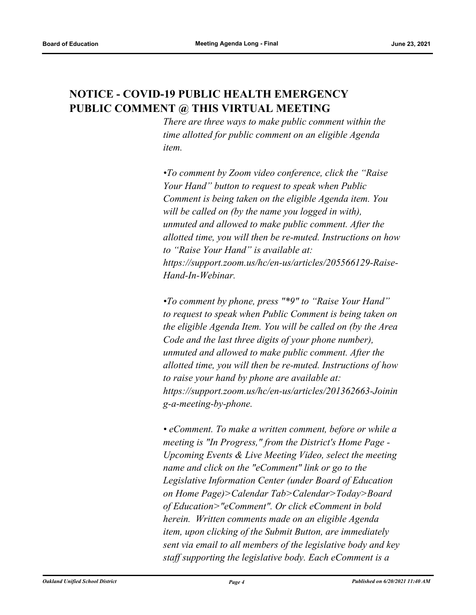## **NOTICE - COVID-19 PUBLIC HEALTH EMERGENCY PUBLIC COMMENT @ THIS VIRTUAL MEETING**

*There are three ways to make public comment within the time allotted for public comment on an eligible Agenda item.*

*•To comment by Zoom video conference, click the "Raise Your Hand" button to request to speak when Public Comment is being taken on the eligible Agenda item. You will be called on (by the name you logged in with), unmuted and allowed to make public comment. After the allotted time, you will then be re-muted. Instructions on how to "Raise Your Hand" is available at: https://support.zoom.us/hc/en-us/articles/205566129-Raise-Hand-In-Webinar.* 

*•To comment by phone, press "\*9" to "Raise Your Hand" to request to speak when Public Comment is being taken on the eligible Agenda Item. You will be called on (by the Area Code and the last three digits of your phone number), unmuted and allowed to make public comment. After the allotted time, you will then be re-muted. Instructions of how to raise your hand by phone are available at: https://support.zoom.us/hc/en-us/articles/201362663-Joinin g-a-meeting-by-phone.*

*• eComment. To make a written comment, before or while a meeting is "In Progress," from the District's Home Page - Upcoming Events & Live Meeting Video, select the meeting name and click on the "eComment" link or go to the Legislative Information Center (under Board of Education on Home Page)>Calendar Tab>Calendar>Today>Board of Education>"eComment". Or click eComment in bold herein. Written comments made on an eligible Agenda item, upon clicking of the Submit Button, are immediately sent via email to all members of the legislative body and key staff supporting the legislative body. Each eComment is a*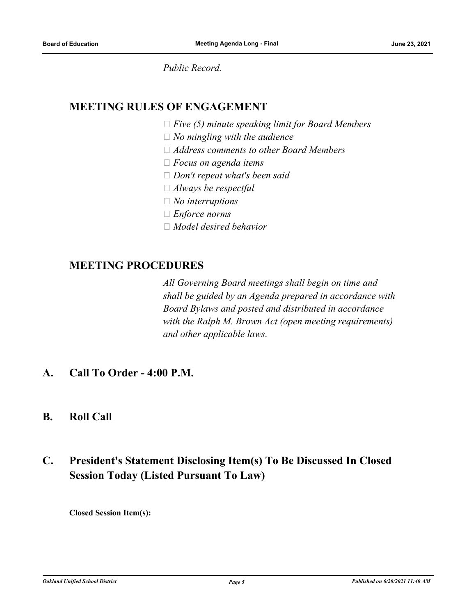*Public Record.*

## **MEETING RULES OF ENGAGEMENT**

 *Five (5) minute speaking limit for Board Members*

- *No mingling with the audience*
- *Address comments to other Board Members*
- *Focus on agenda items*
- *Don't repeat what's been said*
- *Always be respectful*
- *No interruptions*
- *Enforce norms*
- *Model desired behavior*

## **MEETING PROCEDURES**

*All Governing Board meetings shall begin on time and shall be guided by an Agenda prepared in accordance with Board Bylaws and posted and distributed in accordance with the Ralph M. Brown Act (open meeting requirements) and other applicable laws.*

- **A. Call To Order 4:00 P.M.**
- **B. Roll Call**

## **C. President's Statement Disclosing Item(s) To Be Discussed In Closed Session Today (Listed Pursuant To Law)**

**Closed Session Item(s):**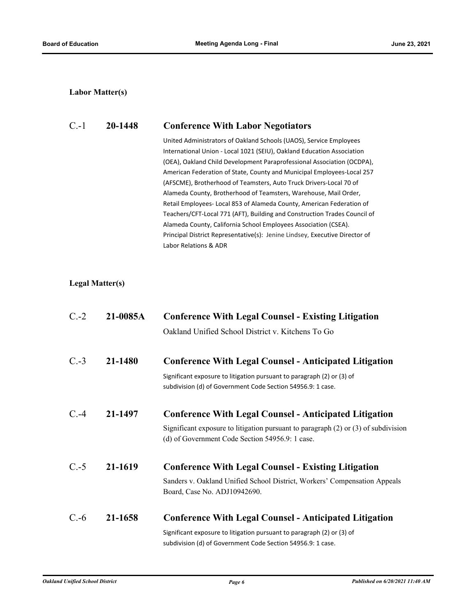## **Labor Matter(s)**

## C.-1 **20-1448 Conference With Labor Negotiators**

United Administrators of Oakland Schools (UAOS), Service Employees International Union - Local 1021 (SEIU), Oakland Education Association (OEA), Oakland Child Development Paraprofessional Association (OCDPA), American Federation of State, County and Municipal Employees-Local 257 (AFSCME), Brotherhood of Teamsters, Auto Truck Drivers-Local 70 of Alameda County, Brotherhood of Teamsters, Warehouse, Mail Order, Retail Employees- Local 853 of Alameda County, American Federation of Teachers/CFT-Local 771 (AFT), Building and Construction Trades Council of Alameda County, California School Employees Association (CSEA). Principal District Representative(s): Jenine Lindsey, Executive Director of Labor Relations & ADR

### **Legal Matter(s)**

| $C.-2$  | 21-0085A | <b>Conference With Legal Counsel - Existing Litigation</b>                                                                                |
|---------|----------|-------------------------------------------------------------------------------------------------------------------------------------------|
|         |          | Oakland Unified School District v. Kitchens To Go                                                                                         |
| $C.-3$  | 21-1480  | <b>Conference With Legal Counsel - Anticipated Litigation</b>                                                                             |
|         |          | Significant exposure to litigation pursuant to paragraph (2) or (3) of<br>subdivision (d) of Government Code Section 54956.9: 1 case.     |
| $C. -4$ | 21-1497  | <b>Conference With Legal Counsel - Anticipated Litigation</b>                                                                             |
|         |          | Significant exposure to litigation pursuant to paragraph $(2)$ or $(3)$ of subdivision<br>(d) of Government Code Section 54956.9: 1 case. |
| $C.-5$  | 21-1619  | <b>Conference With Legal Counsel - Existing Litigation</b>                                                                                |
|         |          | Sanders v. Oakland Unified School District, Workers' Compensation Appeals<br>Board, Case No. ADJ10942690.                                 |
| $C.-6$  | 21-1658  | <b>Conference With Legal Counsel - Anticipated Litigation</b>                                                                             |
|         |          | Significant exposure to litigation pursuant to paragraph (2) or (3) of                                                                    |

subdivision (d) of Government Code Section 54956.9: 1 case.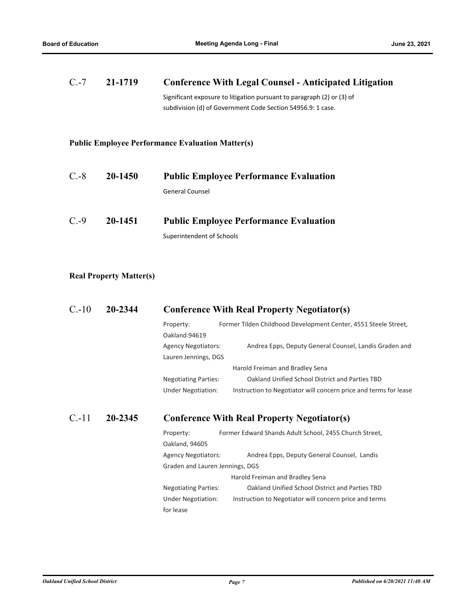| $C.-7$ | 21-1719 | <b>Conference With Legal Counsel - Anticipated Litigation</b>                                                                         |
|--------|---------|---------------------------------------------------------------------------------------------------------------------------------------|
|        |         | Significant exposure to litigation pursuant to paragraph (2) or (3) of<br>subdivision (d) of Government Code Section 54956.9: 1 case. |
|        |         | <b>Public Employee Performance Evaluation Matter(s)</b>                                                                               |
| $C.-8$ | 20-1450 | <b>Public Employee Performance Evaluation</b>                                                                                         |
|        |         | <b>General Counsel</b>                                                                                                                |

| $C.-9$<br>20-1451 |  | <b>Public Employee Performance Evaluation</b> |
|-------------------|--|-----------------------------------------------|
|                   |  | Superintendent of Schools                     |

## **Real Property Matter(s)**

| $C.-10$ | 20-2344 | <b>Conference With Real Property Negotiator(s)</b> |
|---------|---------|----------------------------------------------------|
|---------|---------|----------------------------------------------------|

| Property:                   | Former Tilden Childhood Development Center, 4551 Steele Street,  |
|-----------------------------|------------------------------------------------------------------|
| Oakland.94619               |                                                                  |
| <b>Agency Negotiators:</b>  | Andrea Epps, Deputy General Counsel, Landis Graden and           |
| Lauren Jennings, DGS        |                                                                  |
|                             | Harold Freiman and Bradley Sena                                  |
| <b>Negotiating Parties:</b> | Oakland Unified School District and Parties TBD                  |
| <b>Under Negotiation:</b>   | Instruction to Negotiator will concern price and terms for lease |

## C.-11 **20-2345 Conference With Real Property Negotiator(s)**

| Property:                       | Former Edward Shands Adult School, 2455 Church Street, |
|---------------------------------|--------------------------------------------------------|
| Oakland, 94605                  |                                                        |
| <b>Agency Negotiators:</b>      | Andrea Epps, Deputy General Counsel, Landis            |
| Graden and Lauren Jennings, DGS |                                                        |
|                                 | Harold Freiman and Bradley Sena                        |
| <b>Negotiating Parties:</b>     | Oakland Unified School District and Parties TBD        |
| <b>Under Negotiation:</b>       | Instruction to Negotiator will concern price and terms |
| for lease                       |                                                        |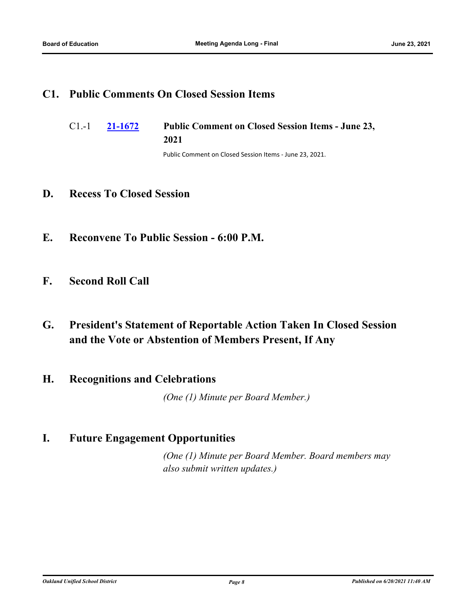## **C1. Public Comments On Closed Session Items**

**[21-1672](http://ousd.legistar.com/gateway.aspx?m=l&id=/matter.aspx?key=52808) Public Comment on Closed Session Items - June 23, 2021** C1.-1

Public Comment on Closed Session Items - June 23, 2021.

## **D. Recess To Closed Session**

- **E. Reconvene To Public Session 6:00 P.M.**
- **F. Second Roll Call**
- **G. President's Statement of Reportable Action Taken In Closed Session and the Vote or Abstention of Members Present, If Any**

## **H. Recognitions and Celebrations**

*(One (1) Minute per Board Member.)*

## **I. Future Engagement Opportunities**

*(One (1) Minute per Board Member. Board members may also submit written updates.)*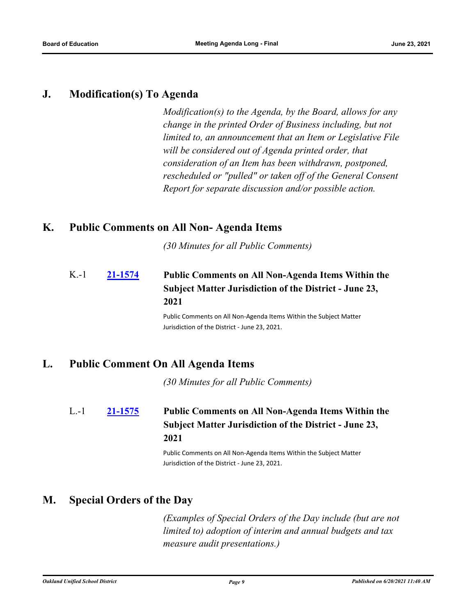## **J. Modification(s) To Agenda**

*Modification(s) to the Agenda, by the Board, allows for any change in the printed Order of Business including, but not limited to, an announcement that an Item or Legislative File will be considered out of Agenda printed order, that consideration of an Item has been withdrawn, postponed, rescheduled or "pulled" or taken off of the General Consent Report for separate discussion and/or possible action.*

## **K. Public Comments on All Non- Agenda Items**

*(30 Minutes for all Public Comments)*

## **[21-1574](http://ousd.legistar.com/gateway.aspx?m=l&id=/matter.aspx?key=52710) Public Comments on All Non-Agenda Items Within the Subject Matter Jurisdiction of the District - June 23, 2021**  $K-1$

Public Comments on All Non-Agenda Items Within the Subject Matter Jurisdiction of the District - June 23, 2021.

## **L. Public Comment On All Agenda Items**

*(30 Minutes for all Public Comments)*

### **[21-1575](http://ousd.legistar.com/gateway.aspx?m=l&id=/matter.aspx?key=52711) Public Comments on All Non-Agenda Items Within the Subject Matter Jurisdiction of the District - June 23, 2021** L.-1

Public Comments on All Non-Agenda Items Within the Subject Matter Jurisdiction of the District - June 23, 2021.

## **M. Special Orders of the Day**

*(Examples of Special Orders of the Day include (but are not limited to) adoption of interim and annual budgets and tax measure audit presentations.)*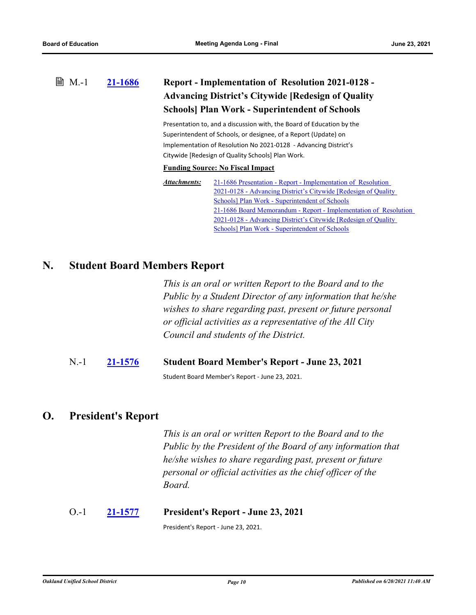### **[21-1686](http://ousd.legistar.com/gateway.aspx?m=l&id=/matter.aspx?key=52822) Report - Implementation of Resolution 2021-0128 - Advancing District's Citywide [Redesign of Quality Schools] Plan Work - Superintendent of Schools ■ M.-1**

Presentation to, and a discussion with, the Board of Education by the Superintendent of Schools, or designee, of a Report (Update) on Implementation of Resolution No 2021-0128 - Advancing District's Citywide [Redesign of Quality Schools] Plan Work.

### **Funding Source: No Fiscal Impact**

| Attachments: | 21-1686 Presentation - Report - Implementation of Resolution     |
|--------------|------------------------------------------------------------------|
|              | 2021-0128 - Advancing District's Citywide [Redesign of Quality]  |
|              | Schools] Plan Work - Superintendent of Schools                   |
|              | 21-1686 Board Memorandum - Report - Implementation of Resolution |
|              | 2021-0128 - Advancing District's Citywide [Redesign of Quality]  |
|              | Schools] Plan Work - Superintendent of Schools                   |

## **N. Student Board Members Report**

*This is an oral or written Report to the Board and to the Public by a Student Director of any information that he/she wishes to share regarding past, present or future personal or official activities as a representative of the All City Council and students of the District.*

N.-1 **[21-1576](http://ousd.legistar.com/gateway.aspx?m=l&id=/matter.aspx?key=52712) Student Board Member's Report - June 23, 2021**

Student Board Member's Report - June 23, 2021.

## **O. President's Report**

*This is an oral or written Report to the Board and to the Public by the President of the Board of any information that he/she wishes to share regarding past, present or future personal or official activities as the chief officer of the Board.*

## O.-1 **[21-1577](http://ousd.legistar.com/gateway.aspx?m=l&id=/matter.aspx?key=52713) President's Report - June 23, 2021**

President's Report - June 23, 2021.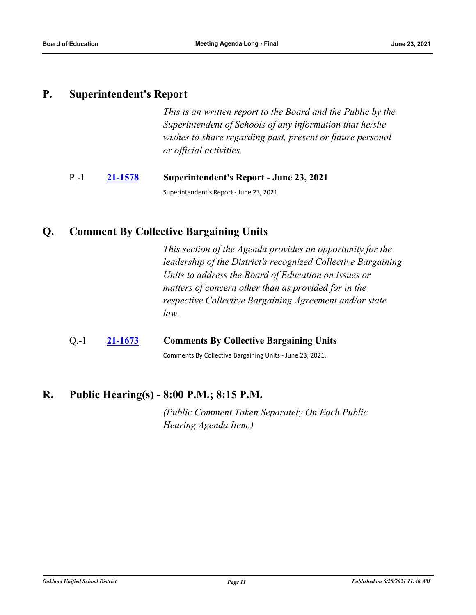## **P. Superintendent's Report**

*This is an written report to the Board and the Public by the Superintendent of Schools of any information that he/she wishes to share regarding past, present or future personal or official activities.*

## P.-1 **[21-1578](http://ousd.legistar.com/gateway.aspx?m=l&id=/matter.aspx?key=52714) Superintendent's Report - June 23, 2021**

Superintendent's Report - June 23, 2021.

## **Q. Comment By Collective Bargaining Units**

*This section of the Agenda provides an opportunity for the leadership of the District's recognized Collective Bargaining Units to address the Board of Education on issues or matters of concern other than as provided for in the respective Collective Bargaining Agreement and/or state law.*

## Q.-1 **[21-1673](http://ousd.legistar.com/gateway.aspx?m=l&id=/matter.aspx?key=52809) Comments By Collective Bargaining Units**

Comments By Collective Bargaining Units - June 23, 2021.

## **R. Public Hearing(s) - 8:00 P.M.; 8:15 P.M.**

*(Public Comment Taken Separately On Each Public Hearing Agenda Item.)*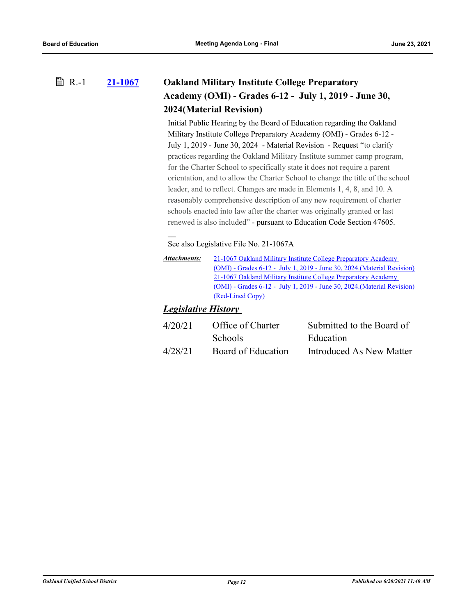### **[21-1067](http://ousd.legistar.com/gateway.aspx?m=l&id=/matter.aspx?key=52203) Oakland Military Institute College Preparatory Academy (OMI) - Grades 6-12 - July 1, 2019 - June 30, 2024(Material Revision) ■ R.-1**

Initial Public Hearing by the Board of Education regarding the Oakland Military Institute College Preparatory Academy (OMI) - Grades 6-12 - July 1, 2019 - June 30, 2024 - Material Revision - Request "to clarify practices regarding the Oakland Military Institute summer camp program, for the Charter School to specifically state it does not require a parent orientation, and to allow the Charter School to change the title of the school leader, and to reflect. Changes are made in Elements 1, 4, 8, and 10. A reasonably comprehensive description of any new requirement of charter schools enacted into law after the charter was originally granted or last renewed is also included" - pursuant to Education Code Section 47605.

See also Legislative File No. 21-1067A

| Attachments: | 21-1067 Oakland Military Institute College Preparatory Academy            |
|--------------|---------------------------------------------------------------------------|
|              | $(OMI)$ - Grades 6-12 - July 1, 2019 - June 30, 2024. (Material Revision) |
|              | 21-1067 Oakland Military Institute College Preparatory Academy            |
|              | $(OMI)$ - Grades 6-12 - July 1, 2019 - June 30, 2024. (Material Revision) |
|              | (Red-Lined Copy)                                                          |

## *Legislative History*

| 4/20/21 | Office of Charter  | Submitted to the Board of |
|---------|--------------------|---------------------------|
|         | <b>Schools</b>     | Education                 |
| 4/28/21 | Board of Education | Introduced As New Matter  |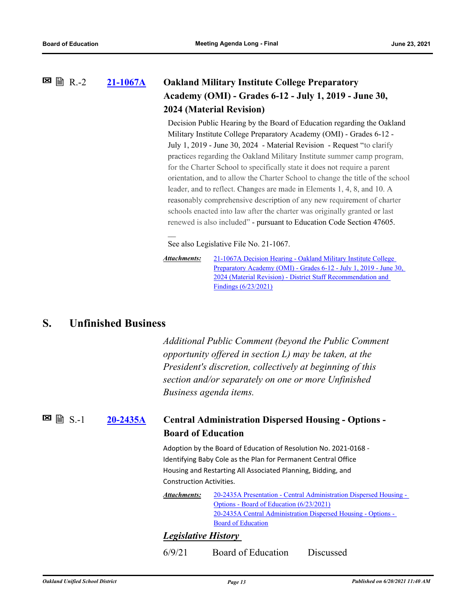### **[21-1067A](http://ousd.legistar.com/gateway.aspx?m=l&id=/matter.aspx?key=52807) Oakland Military Institute College Preparatory Academy (OMI) - Grades 6-12 - July 1, 2019 - June 30, 2024 (Material Revision)**  $\Xi$  A R.-2

Decision Public Hearing by the Board of Education regarding the Oakland Military Institute College Preparatory Academy (OMI) - Grades 6-12 - July 1, 2019 - June 30, 2024 - Material Revision - Request "to clarify practices regarding the Oakland Military Institute summer camp program, for the Charter School to specifically state it does not require a parent orientation, and to allow the Charter School to change the title of the school leader, and to reflect. Changes are made in Elements 1, 4, 8, and 10. A reasonably comprehensive description of any new requirement of charter schools enacted into law after the charter was originally granted or last renewed is also included" - pursuant to Education Code Section 47605.

See also Legislative File No. 21-1067.

21-1067A Decision Hearing - Oakland Military Institute College Preparatory Academy (OMI) - Grades 6-12 - July 1, 2019 - June 30, 2024 (Material Revision) - District Staff Recommendation and Findings (6/23/2021) *Attachments:*

## **S. Unfinished Business**

*Additional Public Comment (beyond the Public Comment opportunity offered in section L) may be taken, at the President's discretion, collectively at beginning of this section and/or separately on one or more Unfinished Business agenda items.*

**[20-2435A](http://ousd.legistar.com/gateway.aspx?m=l&id=/matter.aspx?key=52694) Central Administration Dispersed Housing - Options - Board of Education**  $\boxtimes$  a  $S-1$ 

> Adoption by the Board of Education of Resolution No. 2021-0168 - Identifying Baby Cole as the Plan for Permanent Central Office Housing and Restarting All Associated Planning, Bidding, and Construction Activities.

[20-2435A Presentation - Central Administration Dispersed Housing -](http://ousd.legistar.com/gateway.aspx?M=F&ID=99263.pptx)  Options - Board of Education (6/23/2021) [20-2435A Central Administration Dispersed Housing - Options -](http://ousd.legistar.com/gateway.aspx?M=F&ID=99264.pdf)  Board of Education *Attachments:*

## *Legislative History*

6/9/21 Board of Education Discussed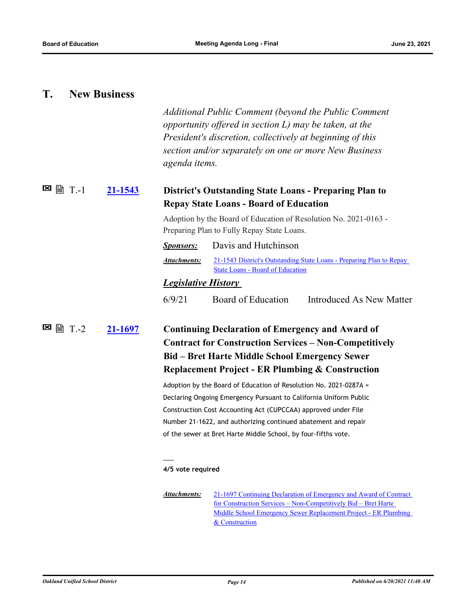## **T. New Business**

*Additional Public Comment (beyond the Public Comment opportunity offered in section L) may be taken, at the President's discretion, collectively at beginning of this section and/or separately on one or more New Business agenda items.*

#### **[21-1543](http://ousd.legistar.com/gateway.aspx?m=l&id=/matter.aspx?key=52679) District's Outstanding State Loans - Preparing Plan to Repay State Loans - Board of Education 図 1.**

Adoption by the Board of Education of Resolution No. 2021-0163 - Preparing Plan to Fully Repay State Loans.

| <i>Sponsors:</i>           | Davis and Hutchinson                                                                                     |
|----------------------------|----------------------------------------------------------------------------------------------------------|
| Attachments:               | 21-1543 District's Outstanding State Loans - Preparing Plan to Repay<br>State Loans - Board of Education |
| <i>Legislative History</i> |                                                                                                          |

### *Legislative History*

6/9/21 Board of Education Introduced As New Matter

## **[21-1697](http://ousd.legistar.com/gateway.aspx?m=l&id=/matter.aspx?key=52833) Continuing Declaration of Emergency and Award of Contract for Construction Services – Non-Competitively Bid – Bret Harte Middle School Emergency Sewer Replacement Project - ER Plumbing & Construction**  $\blacksquare$   $\blacksquare$   $\blacksquare$   $\blacksquare$

Adoption by the Board of Education of Resolution No. 2021-0287A = Declaring Ongoing Emergency Pursuant to California Uniform Public Construction Cost Accounting Act (CUPCCAA) approved under File Number 21-1622, and authorizing continued abatement and repair of the sewer at Bret Harte Middle School, by four-fifths vote.

#### **4/5 vote required**

 $\overline{\phantom{a}}$ 

[21-1697 Continuing Declaration of Emergency and Award of Contract](http://ousd.legistar.com/gateway.aspx?M=F&ID=99267.pdf)  for Construction Services – Non-Competitively Bid – Bret Harte Middle School Emergency Sewer Replacement Project - ER Plumbing & Construction *Attachments:*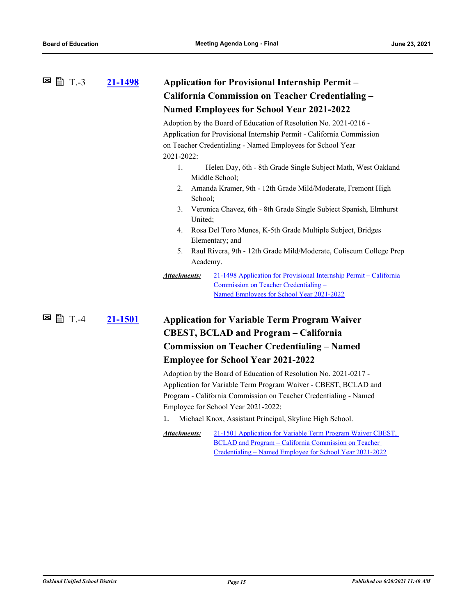| ⊠<br>$\mathbb{B}$ T.-3<br>21-1498 | <b>Application for Provisional Internship Permit -</b><br><b>California Commission on Teacher Credentialing -</b>                                                        |  |
|-----------------------------------|--------------------------------------------------------------------------------------------------------------------------------------------------------------------------|--|
|                                   |                                                                                                                                                                          |  |
|                                   | <b>Named Employees for School Year 2021-2022</b>                                                                                                                         |  |
|                                   | Adoption by the Board of Education of Resolution No. 2021-0216 -                                                                                                         |  |
|                                   | Application for Provisional Internship Permit - California Commission                                                                                                    |  |
|                                   | on Teacher Credentialing - Named Employees for School Year                                                                                                               |  |
|                                   | 2021-2022:                                                                                                                                                               |  |
|                                   | 1.<br>Helen Day, 6th - 8th Grade Single Subject Math, West Oakland<br>Middle School;                                                                                     |  |
|                                   | Amanda Kramer, 9th - 12th Grade Mild/Moderate, Fremont High<br>2.<br>School:                                                                                             |  |
|                                   | Veronica Chavez, 6th - 8th Grade Single Subject Spanish, Elmhurst<br>3.<br>United;                                                                                       |  |
|                                   | Rosa Del Toro Munes, K-5th Grade Multiple Subject, Bridges<br>4.                                                                                                         |  |
|                                   | Elementary; and                                                                                                                                                          |  |
|                                   | Raul Rivera, 9th - 12th Grade Mild/Moderate, Coliseum College Prep<br>5.<br>Academy.                                                                                     |  |
|                                   | 21-1498 Application for Provisional Internship Permit - California<br>Attachments:<br>Commission on Teacher Credentialing -<br>Named Employees for School Year 2021-2022 |  |
| $\Box$ T.-4<br><u>21-1501</u>     | <b>Application for Variable Term Program Waiver</b>                                                                                                                      |  |
|                                   | <b>CBEST, BCLAD and Program – California</b>                                                                                                                             |  |
|                                   | <b>Commission on Teacher Credentialing - Named</b>                                                                                                                       |  |
|                                   | <b>Employee for School Year 2021-2022</b>                                                                                                                                |  |
|                                   | Adoption by the Board of Education of Resolution No. 2021-0217 -                                                                                                         |  |

Application for Variable Term Program Waiver - CBEST, BCLAD and Program - California Commission on Teacher Credentialing - Named Employee for School Year 2021-2022:

- 1. Michael Knox, Assistant Principal, Skyline High School.
- [21-1501 Application for Variable Term Program Waiver CBEST,](http://ousd.legistar.com/gateway.aspx?M=F&ID=99125.pdf)  BCLAD and Program – California Commission on Teacher Credentialing – Named Employee for School Year 2021-2022 *Attachments:*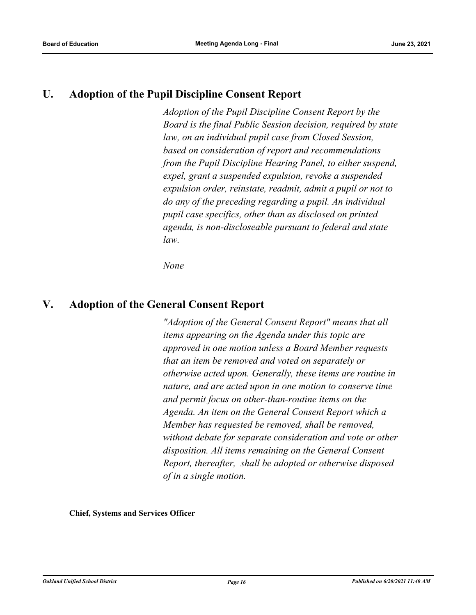## **U. Adoption of the Pupil Discipline Consent Report**

*Adoption of the Pupil Discipline Consent Report by the Board is the final Public Session decision, required by state law, on an individual pupil case from Closed Session, based on consideration of report and recommendations from the Pupil Discipline Hearing Panel, to either suspend, expel, grant a suspended expulsion, revoke a suspended expulsion order, reinstate, readmit, admit a pupil or not to do any of the preceding regarding a pupil. An individual pupil case specifics, other than as disclosed on printed agenda, is non-discloseable pursuant to federal and state law.*

*None*

## **V. Adoption of the General Consent Report**

*"Adoption of the General Consent Report" means that all items appearing on the Agenda under this topic are approved in one motion unless a Board Member requests that an item be removed and voted on separately or otherwise acted upon. Generally, these items are routine in nature, and are acted upon in one motion to conserve time and permit focus on other‑than‑routine items on the Agenda. An item on the General Consent Report which a Member has requested be removed, shall be removed, without debate for separate consideration and vote or other disposition. All items remaining on the General Consent Report, thereafter, shall be adopted or otherwise disposed of in a single motion.*

**Chief, Systems and Services Officer**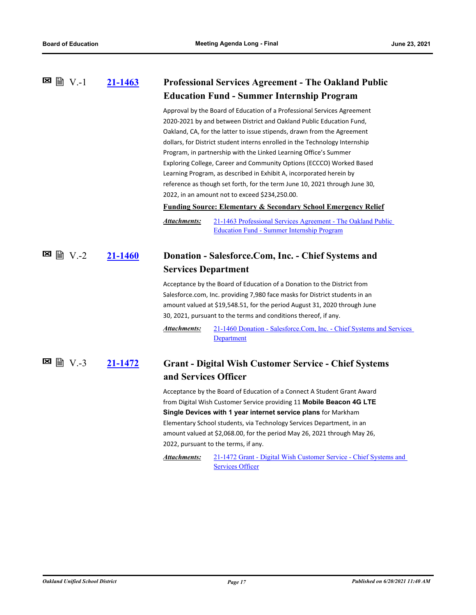|                    | 21-1463 |                                                                                                                                                                                                                                                                                                                          | <b>Professional Services Agreement - The Oakland Public</b>                                                                                                                                                                                                                                                                                                                                                                                                                                                                                                                                                                                                  |
|--------------------|---------|--------------------------------------------------------------------------------------------------------------------------------------------------------------------------------------------------------------------------------------------------------------------------------------------------------------------------|--------------------------------------------------------------------------------------------------------------------------------------------------------------------------------------------------------------------------------------------------------------------------------------------------------------------------------------------------------------------------------------------------------------------------------------------------------------------------------------------------------------------------------------------------------------------------------------------------------------------------------------------------------------|
|                    |         | <b>Education Fund - Summer Internship Program</b>                                                                                                                                                                                                                                                                        |                                                                                                                                                                                                                                                                                                                                                                                                                                                                                                                                                                                                                                                              |
|                    |         |                                                                                                                                                                                                                                                                                                                          | Approval by the Board of Education of a Professional Services Agreement<br>2020-2021 by and between District and Oakland Public Education Fund,<br>Oakland, CA, for the latter to issue stipends, drawn from the Agreement<br>dollars, for District student interns enrolled in the Technology Internship<br>Program, in partnership with the Linked Learning Office's Summer<br>Exploring College, Career and Community Options (ECCCO) Worked Based<br>Learning Program, as described in Exhibit A, incorporated herein by<br>reference as though set forth, for the term June 10, 2021 through June 30,<br>2022, in an amount not to exceed \$234,250.00. |
|                    |         |                                                                                                                                                                                                                                                                                                                          | <b>Funding Source: Elementary &amp; Secondary School Emergency Relief</b>                                                                                                                                                                                                                                                                                                                                                                                                                                                                                                                                                                                    |
|                    |         | Attachments:                                                                                                                                                                                                                                                                                                             | 21-1463 Professional Services Agreement - The Oakland Public<br><b>Education Fund - Summer Internship Program</b>                                                                                                                                                                                                                                                                                                                                                                                                                                                                                                                                            |
|                    | 21-1460 | Donation - Salesforce.Com, Inc. - Chief Systems and<br><b>Services Department</b><br>Acceptance by the Board of Education of a Donation to the District from<br>Salesforce.com, Inc. providing 7,980 face masks for District students in an<br>amount valued at \$19,548.51, for the period August 31, 2020 through June |                                                                                                                                                                                                                                                                                                                                                                                                                                                                                                                                                                                                                                                              |
|                    |         |                                                                                                                                                                                                                                                                                                                          | 30, 2021, pursuant to the terms and conditions thereof, if any.                                                                                                                                                                                                                                                                                                                                                                                                                                                                                                                                                                                              |
|                    |         | Attachments:                                                                                                                                                                                                                                                                                                             | 21-1460 Donation - Salesforce.Com, Inc. - Chief Systems and Services<br><b>Department</b>                                                                                                                                                                                                                                                                                                                                                                                                                                                                                                                                                                    |
| ⊠<br><b>■ V.-3</b> | 21-1472 | and Services Officer                                                                                                                                                                                                                                                                                                     | <b>Grant - Digital Wish Customer Service - Chief Systems</b>                                                                                                                                                                                                                                                                                                                                                                                                                                                                                                                                                                                                 |
|                    |         |                                                                                                                                                                                                                                                                                                                          | Acceptance by the Board of Education of a Connect A Student Grant Award<br>from Digital Wish Customer Service providing 11 Mobile Beacon 4G LTE<br><b>Single Devices with 1 year internet service plans for Markham</b>                                                                                                                                                                                                                                                                                                                                                                                                                                      |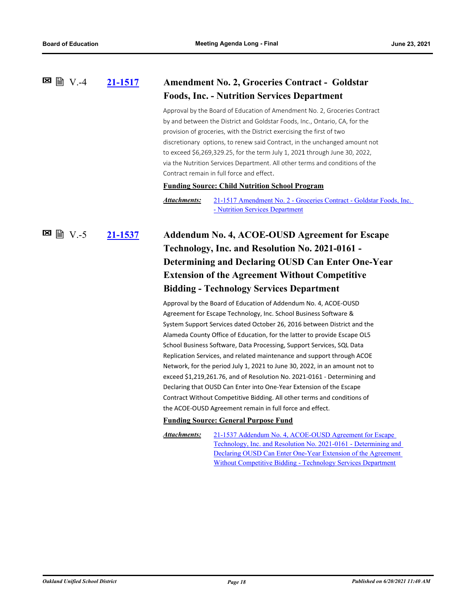#### **[21-1517](http://ousd.legistar.com/gateway.aspx?m=l&id=/matter.aspx?key=52653) Amendment No. 2, Groceries Contract - Goldstar Foods, Inc. - Nutrition Services Department**  $\boxtimes$   $\cong$   $\vee$  -4

Approval by the Board of Education of Amendment No. 2, Groceries Contract by and between the District and Goldstar Foods, Inc., Ontario, CA, for the provision of groceries, with the District exercising the first of two discretionary options, to renew said Contract, in the unchanged amount not to exceed \$6,269,329.25, for the term July 1, 2021 through June 30, 2022, via the Nutrition Services Department. All other terms and conditions of the Contract remain in full force and effect.

#### **Funding Source: Child Nutrition School Program**

[21-1517 Amendment No. 2 - Groceries Contract - Goldstar Foods, Inc.](http://ousd.legistar.com/gateway.aspx?M=F&ID=99015.pdf)  - Nutrition Services Department *Attachments:*

**[21-1537](http://ousd.legistar.com/gateway.aspx?m=l&id=/matter.aspx?key=52673) Addendum No. 4, ACOE‐OUSD Agreement for Escape Technology, Inc. and Resolution No. 2021-0161 - Determining and Declaring OUSD Can Enter One-Year Extension of the Agreement Without Competitive Bidding - Technology Services Department E** 图 V.-5

> Approval by the Board of Education of Addendum No. 4, ACOE-OUSD Agreement for Escape Technology, Inc. School Business Software & System Support Services dated October 26, 2016 between District and the Alameda County Office of Education, for the latter to provide Escape OL5 School Business Software, Data Processing, Support Services, SQL Data Replication Services, and related maintenance and support through ACOE Network, for the period July 1, 2021 to June 30, 2022, in an amount not to exceed \$1,219,261.76, and of Resolution No. 2021-0161 - Determining and Declaring that OUSD Can Enter into One-Year Extension of the Escape Contract Without Competitive Bidding. All other terms and conditions of the ACOE-OUSD Agreement remain in full force and effect.

#### **Funding Source: General Purpose Fund**

21-1537 Addendum No. 4, ACOE‐OUSD Agreement for Escape [Technology, Inc. and Resolution No. 2021-0161 - Determining and](http://ousd.legistar.com/gateway.aspx?M=F&ID=99181.pdf)  Declaring OUSD Can Enter One-Year Extension of the Agreement Without Competitive Bidding - Technology Services Department *Attachments:*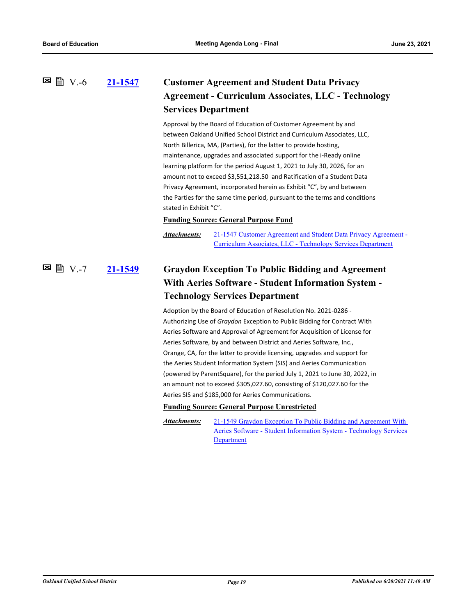**[21-1547](http://ousd.legistar.com/gateway.aspx?m=l&id=/matter.aspx?key=52683) Customer Agreement and Student Data Privacy Agreement - Curriculum Associates, LLC - Technology Services Department 図 V.-6** 

> Approval by the Board of Education of Customer Agreement by and between Oakland Unified School District and Curriculum Associates, LLC, North Billerica, MA, (Parties), for the latter to provide hosting, maintenance, upgrades and associated support for the i-Ready online learning platform for the period August 1, 2021 to July 30, 2026, for an amount not to exceed \$3,551,218.50 and Ratification of a Student Data Privacy Agreement, incorporated herein as Exhibit "C", by and between the Parties for the same time period, pursuant to the terms and conditions stated in Exhibit "C".

#### **Funding Source: General Purpose Fund**

[21-1547 Customer Agreement and Student Data Privacy Agreement -](http://ousd.legistar.com/gateway.aspx?M=F&ID=99182.pdf)  Curriculum Associates, LLC - Technology Services Department *Attachments:*

## **[21-1549](http://ousd.legistar.com/gateway.aspx?m=l&id=/matter.aspx?key=52685) Graydon Exception To Public Bidding and Agreement With Aeries Software - Student Information System - Technology Services Department 図 V.-7**

Adoption by the Board of Education of Resolution No. 2021-0286 - Authorizing Use of *Graydon* Exception to Public Bidding for Contract With Aeries Software and Approval of Agreement for Acquisition of License for Aeries Software, by and between District and Aeries Software, Inc., Orange, CA, for the latter to provide licensing, upgrades and support for the Aeries Student Information System (SIS) and Aeries Communication (powered by ParentSquare), for the period July 1, 2021 to June 30, 2022, in an amount not to exceed \$305,027.60, consisting of \$120,027.60 for the Aeries SIS and \$185,000 for Aeries Communications.

#### **Funding Source: General Purpose Unrestricted**

21-1549 Graydon Exception To Public Bidding and Agreement With [Aeries Software - Student Information System - Technology Services](http://ousd.legistar.com/gateway.aspx?M=F&ID=99184.pdf)  **Department** *Attachments:*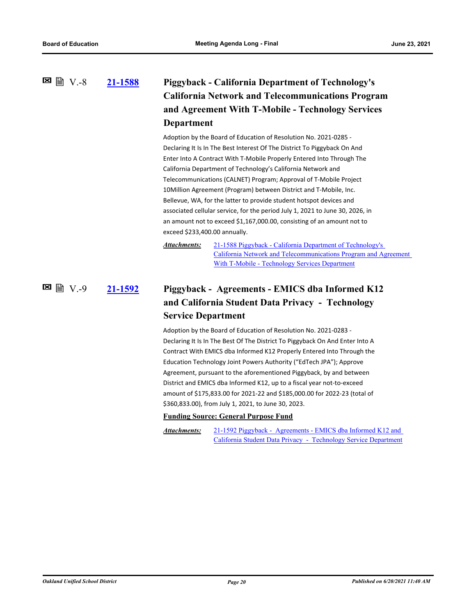## **[21-1588](http://ousd.legistar.com/gateway.aspx?m=l&id=/matter.aspx?key=52724) Piggyback - California Department of Technology's California Network and Telecommunications Program and Agreement With T-Mobile - Technology Services Department**  $\boxtimes$   $\cong$   $\cong$   $V.-8$

Adoption by the Board of Education of Resolution No. 2021-0285 - Declaring It Is In The Best Interest Of The District To Piggyback On And Enter Into A Contract With T-Mobile Properly Entered Into Through The California Department of Technology's California Network and Telecommunications (CALNET) Program; Approval of T-Mobile Project 10Million Agreement (Program) between District and T-Mobile, Inc. Bellevue, WA, for the latter to provide student hotspot devices and associated cellular service, for the period July 1, 2021 to June 30, 2026, in an amount not to exceed \$1,167,000.00, consisting of an amount not to exceed \$233,400.00 annually.

21-1588 Piggyback - California Department of Technology's [California Network and Telecommunications Program and Agreement](http://ousd.legistar.com/gateway.aspx?M=F&ID=99187.pdf)  With T-Mobile - Technology Services Department *Attachments:*

## **[21-1592](http://ousd.legistar.com/gateway.aspx?m=l&id=/matter.aspx?key=52728) Piggyback - Agreements - EMICS dba Informed K12 and California Student Data Privacy - Technology Service Department**  $\blacksquare$  ■  $V.-9$

Adoption by the Board of Education of Resolution No. 2021-0283 - Declaring It Is In The Best Of The District To Piggyback On And Enter Into A Contract With EMICS dba Informed K12 Properly Entered Into Through the Education Technology Joint Powers Authority ("EdTech JPA"); Approve Agreement, pursuant to the aforementioned Piggyback, by and between District and EMICS dba Informed K12, up to a fiscal year not-to-exceed amount of \$175,833.00 for 2021-22 and \$185,000.00 for 2022-23 (total of \$360,833.00), from July 1, 2021, to June 30, 2023.

### **Funding Source: General Purpose Fund**

[21-1592 Piggyback - Agreements - EMICS dba Informed K12 and](http://ousd.legistar.com/gateway.aspx?M=F&ID=99188.pdf)  California Student Data Privacy - Technology Service Department *Attachments:*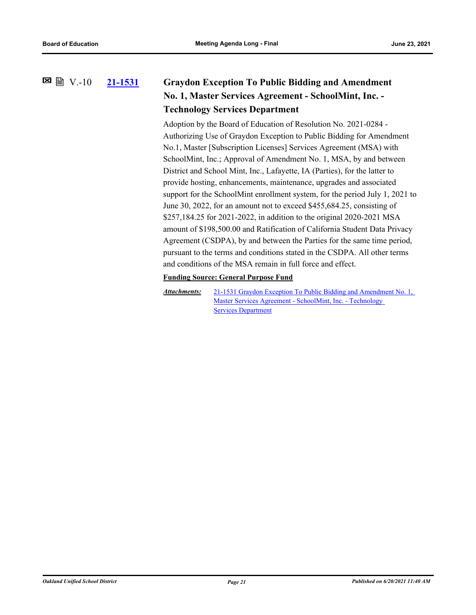V.-10

## **[21-1531](http://ousd.legistar.com/gateway.aspx?m=l&id=/matter.aspx?key=52667) Graydon Exception To Public Bidding and Amendment No. 1, Master Services Agreement - SchoolMint, Inc. - Technology Services Department**

Adoption by the Board of Education of Resolution No. 2021-0284 - Authorizing Use of Graydon Exception to Public Bidding for Amendment No.1, Master [Subscription Licenses] Services Agreement (MSA) with SchoolMint, Inc.; Approval of Amendment No. 1, MSA, by and between District and School Mint, Inc., Lafayette, IA (Parties), for the latter to provide hosting, enhancements, maintenance, upgrades and associated support for the SchoolMint enrollment system, for the period July 1, 2021 to June 30, 2022, for an amount not to exceed \$455,684.25, consisting of \$257,184.25 for 2021-2022, in addition to the original 2020-2021 MSA amount of \$198,500.00 and Ratification of California Student Data Privacy Agreement (CSDPA), by and between the Parties for the same time period, pursuant to the terms and conditions stated in the CSDPA. All other terms and conditions of the MSA remain in full force and effect.

### **Funding Source: General Purpose Fund**

[21-1531 Graydon Exception To Public Bidding and Amendment No. 1,](http://ousd.legistar.com/gateway.aspx?M=F&ID=99274.pdf)  Master Services Agreement - SchoolMint, Inc. - Technology **Services Department** *Attachments:*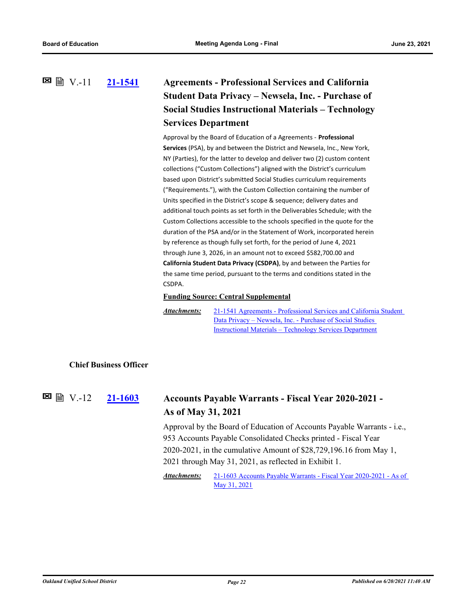## **[21-1541](http://ousd.legistar.com/gateway.aspx?m=l&id=/matter.aspx?key=52677) Agreements - Professional Services and California Student Data Privacy – Newsela, Inc. - Purchase of Social Studies Instructional Materials – Technology Services Department** V.-11

Approval by the Board of Education of a Agreements - **Professional Services** (PSA), by and between the District and Newsela, Inc., New York, NY (Parties), for the latter to develop and deliver two (2) custom content collections ("Custom Collections") aligned with the District's curriculum based upon District's submitted Social Studies curriculum requirements ("Requirements."), with the Custom Collection containing the number of Units specified in the District's scope & sequence; delivery dates and additional touch points as set forth in the Deliverables Schedule; with the Custom Collections accessible to the schools specified in the quote for the duration of the PSA and/or in the Statement of Work, incorporated herein by reference as though fully set forth, for the period of June 4, 2021 through June 3, 2026, in an amount not to exceed \$582,700.00 and **California Student Data Privacy (CSDPA)**, by and between the Parties for the same time period, pursuant to the terms and conditions stated in the CSDPA.

**Funding Source: Central Supplemental**

[21-1541 Agreements - Professional Services and California Student](http://ousd.legistar.com/gateway.aspx?M=F&ID=99271.pdf)  Data Privacy – Newsela, Inc. - Purchase of Social Studies Instructional Materials – Technology Services Department *Attachments:*

### **Chief Business Officer**

#### **[21-1603](http://ousd.legistar.com/gateway.aspx?m=l&id=/matter.aspx?key=52739) Accounts Payable Warrants - Fiscal Year 2020-2021 - As of May 31, 2021**  $\Xi$  ■ V.-12

Approval by the Board of Education of Accounts Payable Warrants - i.e., 953 Accounts Payable Consolidated Checks printed - Fiscal Year 2020-2021, in the cumulative Amount of \$28,729,196.16 from May 1, 2021 through May 31, 2021, as reflected in Exhibit 1.

[21-1603 Accounts Payable Warrants - Fiscal Year 2020-2021 - As of](http://ousd.legistar.com/gateway.aspx?M=F&ID=99140.pdf)  May 31, 2021 *Attachments:*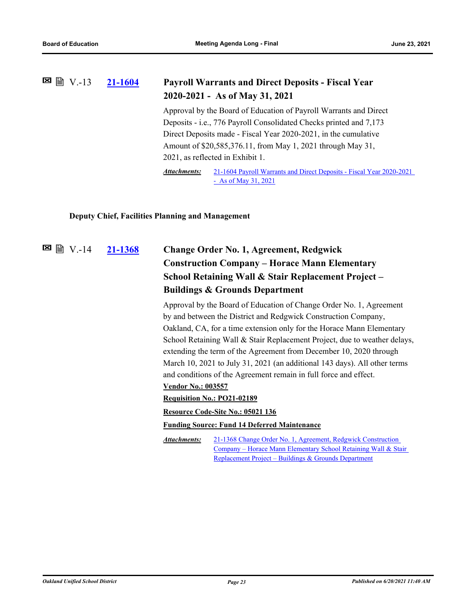#### **[21-1604](http://ousd.legistar.com/gateway.aspx?m=l&id=/matter.aspx?key=52740) Payroll Warrants and Direct Deposits - Fiscal Year 2020-2021 - As of May 31, 2021**  $\Xi$  ■ V.-13

Approval by the Board of Education of Payroll Warrants and Direct Deposits - i.e., 776 Payroll Consolidated Checks printed and 7,173 Direct Deposits made - Fiscal Year 2020-2021, in the cumulative Amount of \$20,585,376.11, from May 1, 2021 through May 31, 2021, as reflected in Exhibit 1.

[21-1604 Payroll Warrants and Direct Deposits - Fiscal Year 2020-2021](http://ousd.legistar.com/gateway.aspx?M=F&ID=99141.pdf)  - As of May 31, 2021 *Attachments:*

### **Deputy Chief, Facilities Planning and Management**

**[21-1368](http://ousd.legistar.com/gateway.aspx?m=l&id=/matter.aspx?key=52504) Change Order No. 1, Agreement, Redgwick Construction Company – Horace Mann Elementary School Retaining Wall & Stair Replacement Project – Buildings & Grounds Department**  $\Xi$  ■ V.-14

> Approval by the Board of Education of Change Order No. 1, Agreement by and between the District and Redgwick Construction Company, Oakland, CA, for a time extension only for the Horace Mann Elementary School Retaining Wall & Stair Replacement Project, due to weather delays, extending the term of the Agreement from December 10, 2020 through March 10, 2021 to July 31, 2021 (an additional 143 days). All other terms and conditions of the Agreement remain in full force and effect. **Vendor No.: 003557**

### **Requisition No.: PO21-02189**

#### **Resource Code-Site No.: 05021 136**

### **Funding Source: Fund 14 Deferred Maintenance**

21-1368 Change Order No. 1, Agreement, Redgwick Construction [Company – Horace Mann Elementary School Retaining Wall & Stair](http://ousd.legistar.com/gateway.aspx?M=F&ID=99122.pdf)  Replacement Project – Buildings & Grounds Department *Attachments:*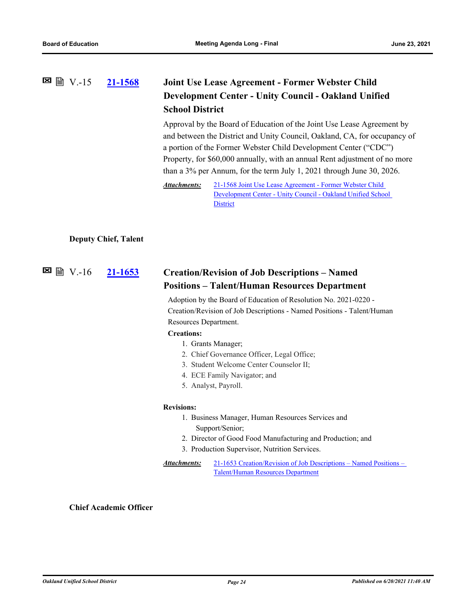## **[21-1568](http://ousd.legistar.com/gateway.aspx?m=l&id=/matter.aspx?key=52704) Joint Use Lease Agreement - Former Webster Child Development Center - Unity Council - Oakland Unified School District**  $\Xi$  ■ V.-15

Approval by the Board of Education of the Joint Use Lease Agreement by and between the District and Unity Council, Oakland, CA, for occupancy of a portion of the Former Webster Child Development Center ("CDC") Property, for \$60,000 annually, with an annual Rent adjustment of no more than a 3% per Annum, for the term July 1, 2021 through June 30, 2026.

21-1568 Joint Use Lease Agreement - Former Webster Child [Development Center - Unity Council - Oakland Unified School](http://ousd.legistar.com/gateway.aspx?M=F&ID=99258.pdf)  **District** *Attachments:*

#### **Deputy Chief, Talent**

#### **[21-1653](http://ousd.legistar.com/gateway.aspx?m=l&id=/matter.aspx?key=52789) Creation/Revision of Job Descriptions – Named Positions – Talent/Human Resources Department**  $■ B W.-16$

Adoption by the Board of Education of Resolution No. 2021-0220 - Creation/Revision of Job Descriptions - Named Positions - Talent/Human Resources Department.

#### **Creations:**

- 1. Grants Manager;
- 2. Chief Governance Officer, Legal Office;
- 3. Student Welcome Center Counselor II;
- 4. ECE Family Navigator; and
- 5. Analyst, Payroll.

#### **Revisions:**

- 1. Business Manager, Human Resources Services and Support/Senior;
- 2. Director of Good Food Manufacturing and Production; and
- 3. Production Supervisor, Nutrition Services.
- [21-1653 Creation/Revision of Job Descriptions Named Positions](http://ousd.legistar.com/gateway.aspx?M=F&ID=99266.pdf)  Talent/Human Resources Department *Attachments:*

#### **Chief Academic Officer**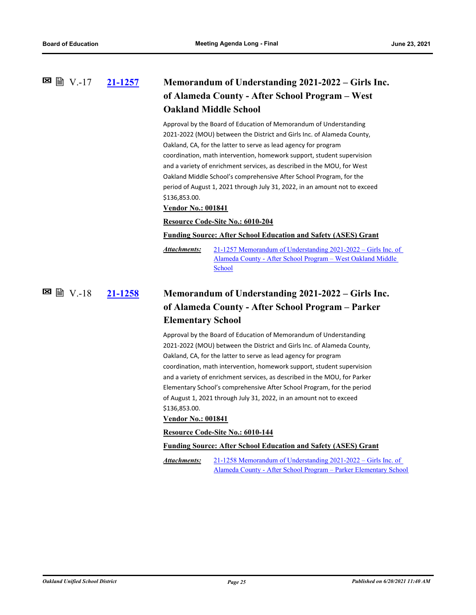## **[21-1257](http://ousd.legistar.com/gateway.aspx?m=l&id=/matter.aspx?key=52393) Memorandum of Understanding 2021-2022 – Girls Inc. of Alameda County - After School Program – West Oakland Middle School** V.-17

Approval by the Board of Education of Memorandum of Understanding 2021-2022 (MOU) between the District and Girls Inc. of Alameda County, Oakland, CA, for the latter to serve as lead agency for program coordination, math intervention, homework support, student supervision and a variety of enrichment services, as described in the MOU, for West Oakland Middle School's comprehensive After School Program, for the period of August 1, 2021 through July 31, 2022, in an amount not to exceed \$136,853.00.

#### **Vendor No.: 001841**

#### **Resource Code-Site No.: 6010-204**

**Funding Source: After School Education and Safety (ASES) Grant**

[21-1257 Memorandum of Understanding 2021-2022 – Girls Inc. of](http://ousd.legistar.com/gateway.aspx?M=F&ID=99034.pdf)  Alameda County - After School Program – West Oakland Middle School *Attachments:*

### **[21-1258](http://ousd.legistar.com/gateway.aspx?m=l&id=/matter.aspx?key=52394) Memorandum of Understanding 2021-2022 – Girls Inc. of Alameda County - After School Program – Parker Elementary School** V.-18

Approval by the Board of Education of Memorandum of Understanding 2021-2022 (MOU) between the District and Girls Inc. of Alameda County, Oakland, CA, for the latter to serve as lead agency for program coordination, math intervention, homework support, student supervision and a variety of enrichment services, as described in the MOU, for Parker Elementary School's comprehensive After School Program, for the period of August 1, 2021 through July 31, 2022, in an amount not to exceed \$136,853.00.

#### **Vendor No.: 001841**

**Resource Code-Site No.: 6010-144**

**Funding Source: After School Education and Safety (ASES) Grant**

21-1258 Memorandum of Understanding 2021-2022 – Girls Inc. of [Alameda County - After School Program – Parker Elementary School](http://ousd.legistar.com/gateway.aspx?M=F&ID=99035.pdf) *Attachments:*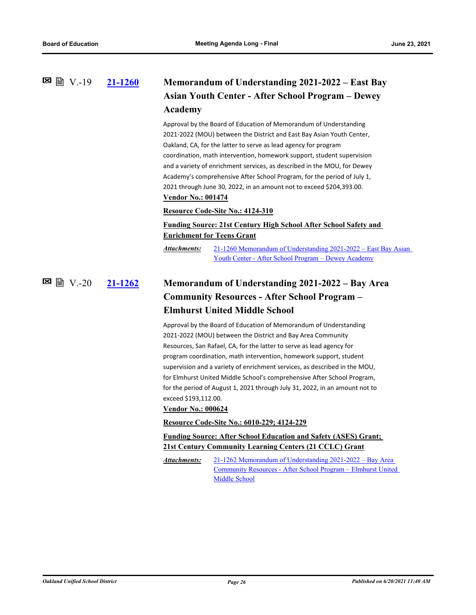### **[21-1260](http://ousd.legistar.com/gateway.aspx?m=l&id=/matter.aspx?key=52396) Memorandum of Understanding 2021-2022 – East Bay Asian Youth Center - After School Program – Dewey Academy**  $\boxtimes$  A  $\cong$  V −19

Approval by the Board of Education of Memorandum of Understanding 2021-2022 (MOU) between the District and East Bay Asian Youth Center, Oakland, CA, for the latter to serve as lead agency for program coordination, math intervention, homework support, student supervision and a variety of enrichment services, as described in the MOU, for Dewey Academy's comprehensive After School Program, for the period of July 1, 2021 through June 30, 2022, in an amount not to exceed \$204,393.00. **Vendor No.: 001474**

#### **Resource Code-Site No.: 4124-310**

## **Funding Source: 21st Century High School After School Safety and Enrichment for Teens Grant**

[21-1260 Memorandum of Understanding 2021-2022 – East Bay Asian](http://ousd.legistar.com/gateway.aspx?M=F&ID=99036.pdf)  Youth Center - After School Program – Dewey Academy *Attachments:*

### **[21-1262](http://ousd.legistar.com/gateway.aspx?m=l&id=/matter.aspx?key=52398) Memorandum of Understanding 2021-2022 – Bay Area Community Resources - After School Program – Elmhurst United Middle School**  $\Xi$  ■ V.-20

Approval by the Board of Education of Memorandum of Understanding 2021-2022 (MOU) between the District and Bay Area Community Resources, San Rafael, CA, for the latter to serve as lead agency for program coordination, math intervention, homework support, student supervision and a variety of enrichment services, as described in the MOU, for Elmhurst United Middle School's comprehensive After School Program, for the period of August 1, 2021 through July 31, 2022, in an amount not to exceed \$193,112.00.

#### **Vendor No.: 000624**

**Resource Code-Site No.: 6010-229; 4124-229**

**Funding Source: After School Education and Safety (ASES) Grant; 21st Century Community Learning Centers (21 CCLC) Grant**

21-1262 Memorandum of Understanding 2021-2022 – Bay Area [Community Resources - After School Program – Elmhurst United](http://ousd.legistar.com/gateway.aspx?M=F&ID=99037.pdf)  Middle School *Attachments:*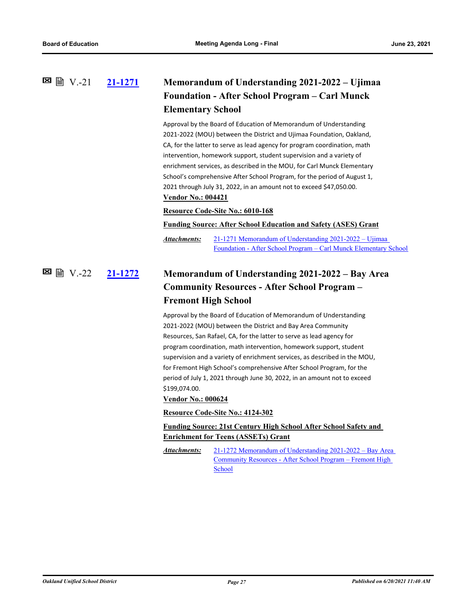### **[21-1271](http://ousd.legistar.com/gateway.aspx?m=l&id=/matter.aspx?key=52407) Memorandum of Understanding 2021-2022 – Ujimaa Foundation - After School Program – Carl Munck Elementary School**  $\Xi$  A  $V.-21$

Approval by the Board of Education of Memorandum of Understanding 2021-2022 (MOU) between the District and Ujimaa Foundation, Oakland, CA, for the latter to serve as lead agency for program coordination, math intervention, homework support, student supervision and a variety of enrichment services, as described in the MOU, for Carl Munck Elementary School's comprehensive After School Program, for the period of August 1, 2021 through July 31, 2022, in an amount not to exceed \$47,050.00. **Vendor No.: 004421**

#### **Resource Code-Site No.: 6010-168**

#### **Funding Source: After School Education and Safety (ASES) Grant**

21-1271 Memorandum of Understanding 2021-2022 – Ujimaa [Foundation - After School Program – Carl Munck Elementary School](http://ousd.legistar.com/gateway.aspx?M=F&ID=99038.pdf) *Attachments:*

## **[21-1272](http://ousd.legistar.com/gateway.aspx?m=l&id=/matter.aspx?key=52408) Memorandum of Understanding 2021-2022 – Bay Area Community Resources - After School Program – Fremont High School**  $\boxtimes$  A  $\cong$  V.-22

Approval by the Board of Education of Memorandum of Understanding 2021-2022 (MOU) between the District and Bay Area Community Resources, San Rafael, CA, for the latter to serve as lead agency for program coordination, math intervention, homework support, student supervision and a variety of enrichment services, as described in the MOU, for Fremont High School's comprehensive After School Program, for the period of July 1, 2021 through June 30, 2022, in an amount not to exceed \$199,074.00.

#### **Vendor No.: 000624**

#### **Resource Code-Site No.: 4124-302**

## **Funding Source: 21st Century High School After School Safety and Enrichment for Teens (ASSETs) Grant**

[21-1272 Memorandum of Understanding 2021-2022 – Bay Area](http://ousd.legistar.com/gateway.aspx?M=F&ID=99039.pdf)  Community Resources - After School Program – Fremont High School *Attachments:*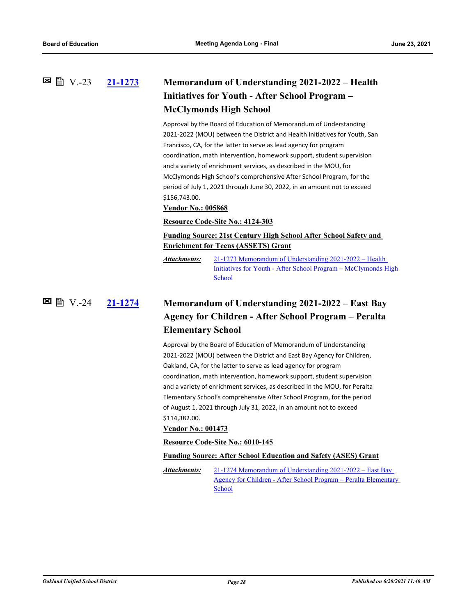## **[21-1273](http://ousd.legistar.com/gateway.aspx?m=l&id=/matter.aspx?key=52409) Memorandum of Understanding 2021-2022 – Health Initiatives for Youth - After School Program – McClymonds High School 図 V.-23**

Approval by the Board of Education of Memorandum of Understanding 2021-2022 (MOU) between the District and Health Initiatives for Youth, San Francisco, CA, for the latter to serve as lead agency for program coordination, math intervention, homework support, student supervision and a variety of enrichment services, as described in the MOU, for McClymonds High School's comprehensive After School Program, for the period of July 1, 2021 through June 30, 2022, in an amount not to exceed \$156,743.00.

#### **Vendor No.: 005868**

#### **Resource Code-Site No.: 4124-303**

## **Funding Source: 21st Century High School After School Safety and Enrichment for Teens (ASSETS) Grant**

21-1273 Memorandum of Understanding 2021-2022 – Health [Initiatives for Youth - After School Program – McClymonds High](http://ousd.legistar.com/gateway.aspx?M=F&ID=99040.pdf)  **School** *Attachments:*

## **[21-1274](http://ousd.legistar.com/gateway.aspx?m=l&id=/matter.aspx?key=52410) Memorandum of Understanding 2021-2022 – East Bay Agency for Children - After School Program – Peralta Elementary School 図 圖 V.-24**

Approval by the Board of Education of Memorandum of Understanding 2021-2022 (MOU) between the District and East Bay Agency for Children, Oakland, CA, for the latter to serve as lead agency for program coordination, math intervention, homework support, student supervision and a variety of enrichment services, as described in the MOU, for Peralta Elementary School's comprehensive After School Program, for the period of August 1, 2021 through July 31, 2022, in an amount not to exceed \$114,382.00.

#### **Vendor No.: 001473**

#### **Resource Code-Site No.: 6010-145**

#### **Funding Source: After School Education and Safety (ASES) Grant**

21-1274 Memorandum of Understanding 2021-2022 – East Bay [Agency for Children - After School Program – Peralta Elementary](http://ousd.legistar.com/gateway.aspx?M=F&ID=99041.pdf)  School *Attachments:*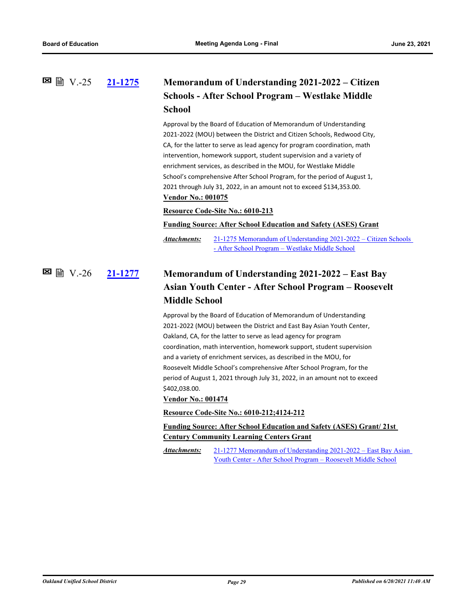### **[21-1275](http://ousd.legistar.com/gateway.aspx?m=l&id=/matter.aspx?key=52411) Memorandum of Understanding 2021-2022 – Citizen Schools - After School Program – Westlake Middle School**  $\Xi$  图 V.-25

Approval by the Board of Education of Memorandum of Understanding 2021-2022 (MOU) between the District and Citizen Schools, Redwood City, CA, for the latter to serve as lead agency for program coordination, math intervention, homework support, student supervision and a variety of enrichment services, as described in the MOU, for Westlake Middle School's comprehensive After School Program, for the period of August 1, 2021 through July 31, 2022, in an amount not to exceed \$134,353.00. **Vendor No.: 001075**

#### **Resource Code-Site No.: 6010-213**

### **Funding Source: After School Education and Safety (ASES) Grant**

[21-1275 Memorandum of Understanding 2021-2022 – Citizen Schools](http://ousd.legistar.com/gateway.aspx?M=F&ID=99042.pdf)  - After School Program – Westlake Middle School *Attachments:*

## **[21-1277](http://ousd.legistar.com/gateway.aspx?m=l&id=/matter.aspx?key=52413) Memorandum of Understanding 2021-2022 – East Bay Asian Youth Center - After School Program – Roosevelt Middle School** V.-26

Approval by the Board of Education of Memorandum of Understanding 2021-2022 (MOU) between the District and East Bay Asian Youth Center, Oakland, CA, for the latter to serve as lead agency for program coordination, math intervention, homework support, student supervision and a variety of enrichment services, as described in the MOU, for Roosevelt Middle School's comprehensive After School Program, for the period of August 1, 2021 through July 31, 2022, in an amount not to exceed \$402,038.00.

### **Vendor No.: 001474**

#### **Resource Code-Site No.: 6010-212;4124-212**

### **Funding Source: After School Education and Safety (ASES) Grant/ 21st Century Community Learning Centers Grant**

[21-1277 Memorandum of Understanding 2021-2022 – East Bay Asian](http://ousd.legistar.com/gateway.aspx?M=F&ID=99043.pdf)  Youth Center - After School Program – Roosevelt Middle School *Attachments:*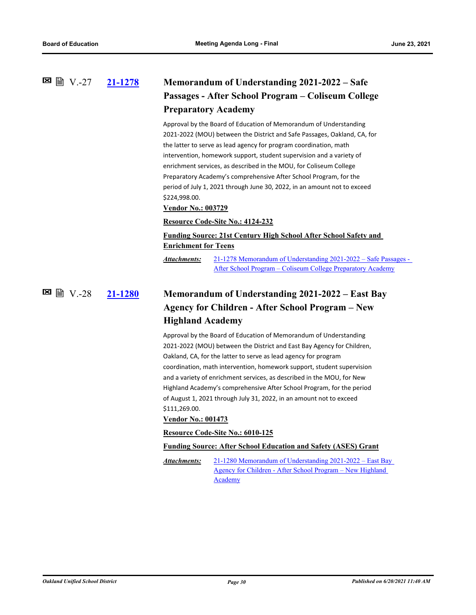## **[21-1278](http://ousd.legistar.com/gateway.aspx?m=l&id=/matter.aspx?key=52414) Memorandum of Understanding 2021-2022 – Safe Passages - After School Program – Coliseum College Preparatory Academy**  $\blacksquare$  ■ N.-27

Approval by the Board of Education of Memorandum of Understanding 2021-2022 (MOU) between the District and Safe Passages, Oakland, CA, for the latter to serve as lead agency for program coordination, math intervention, homework support, student supervision and a variety of enrichment services, as described in the MOU, for Coliseum College Preparatory Academy's comprehensive After School Program, for the period of July 1, 2021 through June 30, 2022, in an amount not to exceed \$224,998.00.

#### **Vendor No.: 003729**

#### **Resource Code-Site No.: 4124-232**

## **Funding Source: 21st Century High School After School Safety and Enrichment for Teens**

[21-1278 Memorandum of Understanding 2021-2022 – Safe Passages -](http://ousd.legistar.com/gateway.aspx?M=F&ID=99044.pdf)  After School Program – Coliseum College Preparatory Academy *Attachments:*

## **[21-1280](http://ousd.legistar.com/gateway.aspx?m=l&id=/matter.aspx?key=52416) Memorandum of Understanding 2021-2022 – East Bay Agency for Children - After School Program – New Highland Academy** V.-28

Approval by the Board of Education of Memorandum of Understanding 2021-2022 (MOU) between the District and East Bay Agency for Children, Oakland, CA, for the latter to serve as lead agency for program coordination, math intervention, homework support, student supervision and a variety of enrichment services, as described in the MOU, for New Highland Academy's comprehensive After School Program, for the period of August 1, 2021 through July 31, 2022, in an amount not to exceed \$111,269.00.

### **Vendor No.: 001473**

#### **Resource Code-Site No.: 6010-125**

#### **Funding Source: After School Education and Safety (ASES) Grant**

[21-1280 Memorandum of Understanding 2021-2022 – East Bay](http://ousd.legistar.com/gateway.aspx?M=F&ID=99045.pdf)  Agency for Children - After School Program – New Highland Academy *Attachments:*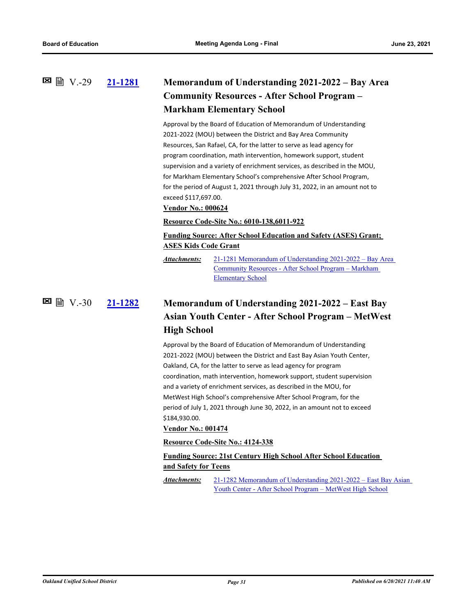## **[21-1281](http://ousd.legistar.com/gateway.aspx?m=l&id=/matter.aspx?key=52417) Memorandum of Understanding 2021-2022 – Bay Area Community Resources - After School Program – Markham Elementary School**  $\boxtimes$  A  $\boxtimes$   $\odot$   $\odot$   $\odot$   $\odot$   $\odot$   $\odot$

Approval by the Board of Education of Memorandum of Understanding 2021-2022 (MOU) between the District and Bay Area Community Resources, San Rafael, CA, for the latter to serve as lead agency for program coordination, math intervention, homework support, student supervision and a variety of enrichment services, as described in the MOU, for Markham Elementary School's comprehensive After School Program, for the period of August 1, 2021 through July 31, 2022, in an amount not to exceed \$117,697.00.

#### **Vendor No.: 000624**

#### **Resource Code-Site No.: 6010-138,6011-922**

## **Funding Source: After School Education and Safety (ASES) Grant; ASES Kids Code Grant**

[21-1281 Memorandum of Understanding 2021-2022 – Bay Area](http://ousd.legistar.com/gateway.aspx?M=F&ID=99046.pdf)  Community Resources - After School Program – Markham Elementary School *Attachments:*

**[21-1282](http://ousd.legistar.com/gateway.aspx?m=l&id=/matter.aspx?key=52418) Memorandum of Understanding 2021-2022 – East Bay Asian Youth Center - After School Program – MetWest High School 図 圖 V.-30** 

> Approval by the Board of Education of Memorandum of Understanding 2021-2022 (MOU) between the District and East Bay Asian Youth Center, Oakland, CA, for the latter to serve as lead agency for program coordination, math intervention, homework support, student supervision and a variety of enrichment services, as described in the MOU, for MetWest High School's comprehensive After School Program, for the period of July 1, 2021 through June 30, 2022, in an amount not to exceed \$184,930.00.

### **Vendor No.: 001474**

#### **Resource Code-Site No.: 4124-338**

### **Funding Source: 21st Century High School After School Education and Safety for Teens**

[21-1282 Memorandum of Understanding 2021-2022 – East Bay Asian](http://ousd.legistar.com/gateway.aspx?M=F&ID=99047.pdf)  Youth Center - After School Program – MetWest High School *Attachments:*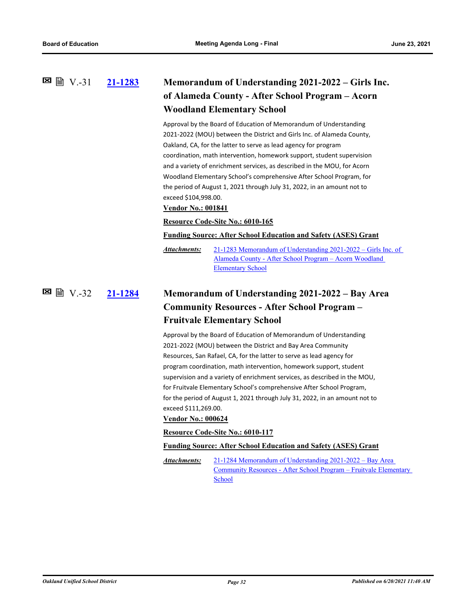## **[21-1283](http://ousd.legistar.com/gateway.aspx?m=l&id=/matter.aspx?key=52419) Memorandum of Understanding 2021-2022 – Girls Inc. of Alameda County - After School Program – Acorn Woodland Elementary School 図 V.-31**

Approval by the Board of Education of Memorandum of Understanding 2021-2022 (MOU) between the District and Girls Inc. of Alameda County, Oakland, CA, for the latter to serve as lead agency for program coordination, math intervention, homework support, student supervision and a variety of enrichment services, as described in the MOU, for Acorn Woodland Elementary School's comprehensive After School Program, for the period of August 1, 2021 through July 31, 2022, in an amount not to exceed \$104,998.00.

#### **Vendor No.: 001841**

#### **Resource Code-Site No.: 6010-165**

**Funding Source: After School Education and Safety (ASES) Grant**

[21-1283 Memorandum of Understanding 2021-2022 – Girls Inc. of](http://ousd.legistar.com/gateway.aspx?M=F&ID=99048.pdf)  Alameda County - After School Program – Acorn Woodland Elementary School *Attachments:*

### **[21-1284](http://ousd.legistar.com/gateway.aspx?m=l&id=/matter.aspx?key=52420) Memorandum of Understanding 2021-2022 – Bay Area Community Resources - After School Program – Fruitvale Elementary School** V.-32

Approval by the Board of Education of Memorandum of Understanding 2021-2022 (MOU) between the District and Bay Area Community Resources, San Rafael, CA, for the latter to serve as lead agency for program coordination, math intervention, homework support, student supervision and a variety of enrichment services, as described in the MOU, for Fruitvale Elementary School's comprehensive After School Program, for the period of August 1, 2021 through July 31, 2022, in an amount not to exceed \$111,269.00.

#### **Vendor No.: 000624**

**Resource Code-Site No.: 6010-117**

**Funding Source: After School Education and Safety (ASES) Grant**

21-1284 Memorandum of Understanding 2021-2022 – Bay Area [Community Resources - After School Program – Fruitvale Elementary](http://ousd.legistar.com/gateway.aspx?M=F&ID=99049.pdf)  School *Attachments:*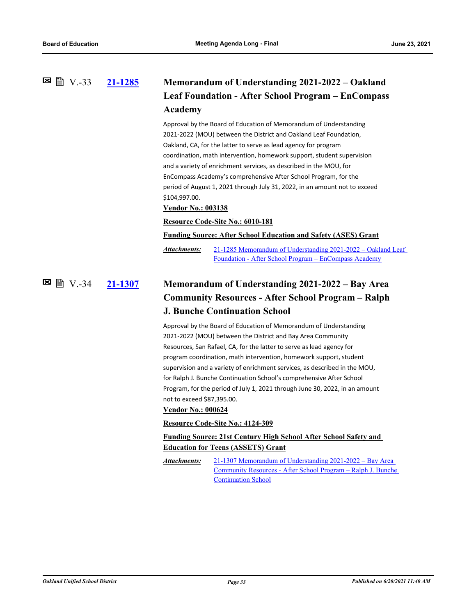### **[21-1285](http://ousd.legistar.com/gateway.aspx?m=l&id=/matter.aspx?key=52421) Memorandum of Understanding 2021-2022 – Oakland Leaf Foundation - After School Program – EnCompass Academy 図 V.-33**

Approval by the Board of Education of Memorandum of Understanding 2021-2022 (MOU) between the District and Oakland Leaf Foundation, Oakland, CA, for the latter to serve as lead agency for program coordination, math intervention, homework support, student supervision and a variety of enrichment services, as described in the MOU, for EnCompass Academy's comprehensive After School Program, for the period of August 1, 2021 through July 31, 2022, in an amount not to exceed \$104,997.00.

#### **Vendor No.: 003138**

#### **Resource Code-Site No.: 6010-181**

**Funding Source: After School Education and Safety (ASES) Grant**

[21-1285 Memorandum of Understanding 2021-2022 – Oakland Leaf](http://ousd.legistar.com/gateway.aspx?M=F&ID=99050.pdf)  Foundation - After School Program – EnCompass Academy *Attachments:*

### **[21-1307](http://ousd.legistar.com/gateway.aspx?m=l&id=/matter.aspx?key=52443) Memorandum of Understanding 2021-2022 – Bay Area Community Resources - After School Program – Ralph J. Bunche Continuation School** V.-34

Approval by the Board of Education of Memorandum of Understanding 2021-2022 (MOU) between the District and Bay Area Community Resources, San Rafael, CA, for the latter to serve as lead agency for program coordination, math intervention, homework support, student supervision and a variety of enrichment services, as described in the MOU, for Ralph J. Bunche Continuation School's comprehensive After School Program, for the period of July 1, 2021 through June 30, 2022, in an amount not to exceed \$87,395.00.

#### **Vendor No.: 000624**

#### **Resource Code-Site No.: 4124-309**

### **Funding Source: 21st Century High School After School Safety and Education for Teens (ASSETS) Grant**

21-1307 Memorandum of Understanding 2021-2022 – Bay Area [Community Resources - After School Program – Ralph J. Bunche](http://ousd.legistar.com/gateway.aspx?M=F&ID=99053.pdf)  Continuation School *Attachments:*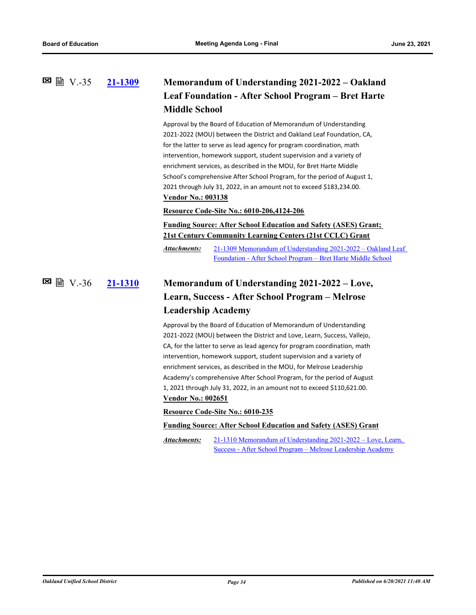## **[21-1309](http://ousd.legistar.com/gateway.aspx?m=l&id=/matter.aspx?key=52445) Memorandum of Understanding 2021-2022 – Oakland Leaf Foundation - After School Program – Bret Harte Middle School 図 V.-35**

Approval by the Board of Education of Memorandum of Understanding 2021-2022 (MOU) between the District and Oakland Leaf Foundation, CA, for the latter to serve as lead agency for program coordination, math intervention, homework support, student supervision and a variety of enrichment services, as described in the MOU, for Bret Harte Middle School's comprehensive After School Program, for the period of August 1, 2021 through July 31, 2022, in an amount not to exceed \$183,234.00. **Vendor No.: 003138**

#### **Resource Code-Site No.: 6010-206,4124-206**

**Funding Source: After School Education and Safety (ASES) Grant; 21st Century Community Learning Centers (21st CCLC) Grant**

[21-1309 Memorandum of Understanding 2021-2022 – Oakland Leaf](http://ousd.legistar.com/gateway.aspx?M=F&ID=99054.pdf)  Foundation - After School Program – Bret Harte Middle School *Attachments:*

### **[21-1310](http://ousd.legistar.com/gateway.aspx?m=l&id=/matter.aspx?key=52446) Memorandum of Understanding 2021-2022 – Love, Learn, Success - After School Program – Melrose Leadership Academy** V.-36

Approval by the Board of Education of Memorandum of Understanding 2021-2022 (MOU) between the District and Love, Learn, Success, Vallejo, CA, for the latter to serve as lead agency for program coordination, math intervention, homework support, student supervision and a variety of enrichment services, as described in the MOU, for Melrose Leadership Academy's comprehensive After School Program, for the period of August 1, 2021 through July 31, 2022, in an amount not to exceed \$110,621.00. **Vendor No.: 002651**

#### **Resource Code-Site No.: 6010-235**

#### **Funding Source: After School Education and Safety (ASES) Grant**

[21-1310 Memorandum of Understanding 2021-2022 – Love, Learn,](http://ousd.legistar.com/gateway.aspx?M=F&ID=99055.pdf)  Success - After School Program – Melrose Leadership Academy *Attachments:*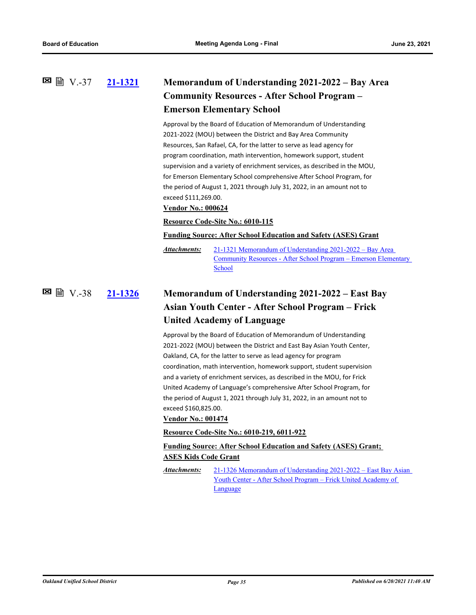## **[21-1321](http://ousd.legistar.com/gateway.aspx?m=l&id=/matter.aspx?key=52457) Memorandum of Understanding 2021-2022 – Bay Area Community Resources - After School Program – Emerson Elementary School** V.-37

Approval by the Board of Education of Memorandum of Understanding 2021-2022 (MOU) between the District and Bay Area Community Resources, San Rafael, CA, for the latter to serve as lead agency for program coordination, math intervention, homework support, student supervision and a variety of enrichment services, as described in the MOU, for Emerson Elementary School comprehensive After School Program, for the period of August 1, 2021 through July 31, 2022, in an amount not to exceed \$111,269.00.

#### **Vendor No.: 000624**

#### **Resource Code-Site No.: 6010-115**

**Funding Source: After School Education and Safety (ASES) Grant**

21-1321 Memorandum of Understanding 2021-2022 – Bay Area [Community Resources - After School Program – Emerson Elementary](http://ousd.legistar.com/gateway.aspx?M=F&ID=99056.pdf)  School *Attachments:*

### **[21-1326](http://ousd.legistar.com/gateway.aspx?m=l&id=/matter.aspx?key=52462) Memorandum of Understanding 2021-2022 – East Bay Asian Youth Center - After School Program – Frick United Academy of Language** V.-38

Approval by the Board of Education of Memorandum of Understanding 2021-2022 (MOU) between the District and East Bay Asian Youth Center, Oakland, CA, for the latter to serve as lead agency for program coordination, math intervention, homework support, student supervision and a variety of enrichment services, as described in the MOU, for Frick United Academy of Language's comprehensive After School Program, for the period of August 1, 2021 through July 31, 2022, in an amount not to exceed \$160,825.00.

#### **Vendor No.: 001474**

#### **Resource Code-Site No.: 6010-219, 6011-922**

### **Funding Source: After School Education and Safety (ASES) Grant; ASES Kids Code Grant**

[21-1326 Memorandum of Understanding 2021-2022 – East Bay Asian](http://ousd.legistar.com/gateway.aspx?M=F&ID=99057.pdf)  Youth Center - After School Program – Frick United Academy of Language *Attachments:*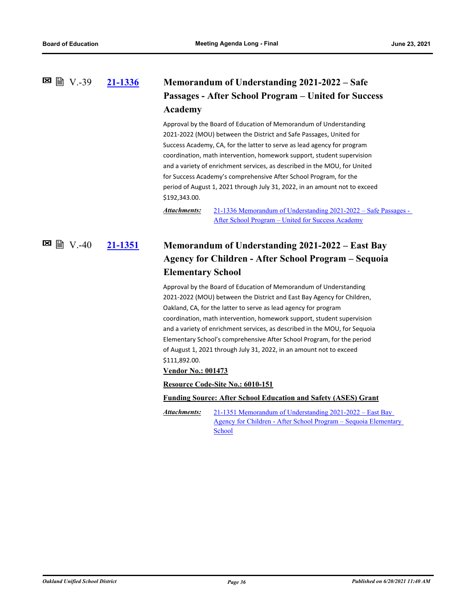## **[21-1336](http://ousd.legistar.com/gateway.aspx?m=l&id=/matter.aspx?key=52472) Memorandum of Understanding 2021-2022 – Safe Passages - After School Program – United for Success Academy**  $\Xi$  ■  $V.-39$

Approval by the Board of Education of Memorandum of Understanding 2021-2022 (MOU) between the District and Safe Passages, United for Success Academy, CA, for the latter to serve as lead agency for program coordination, math intervention, homework support, student supervision and a variety of enrichment services, as described in the MOU, for United for Success Academy's comprehensive After School Program, for the period of August 1, 2021 through July 31, 2022, in an amount not to exceed \$192,343.00.

[21-1336 Memorandum of Understanding 2021-2022 – Safe Passages -](http://ousd.legistar.com/gateway.aspx?M=F&ID=99058.pdf)  After School Program – United for Success Academy *Attachments:*

## **[21-1351](http://ousd.legistar.com/gateway.aspx?m=l&id=/matter.aspx?key=52487) Memorandum of Understanding 2021-2022 – East Bay Agency for Children - After School Program – Sequoia Elementary School**  $\boxtimes \cong V.-40$

Approval by the Board of Education of Memorandum of Understanding 2021-2022 (MOU) between the District and East Bay Agency for Children, Oakland, CA, for the latter to serve as lead agency for program coordination, math intervention, homework support, student supervision and a variety of enrichment services, as described in the MOU, for Sequoia Elementary School's comprehensive After School Program, for the period of August 1, 2021 through July 31, 2022, in an amount not to exceed \$111,892.00.

**Vendor No.: 001473**

**Resource Code-Site No.: 6010-151**

**Funding Source: After School Education and Safety (ASES) Grant**

21-1351 Memorandum of Understanding 2021-2022 – East Bay [Agency for Children - After School Program – Sequoia Elementary](http://ousd.legistar.com/gateway.aspx?M=F&ID=99059.pdf)  School *Attachments:*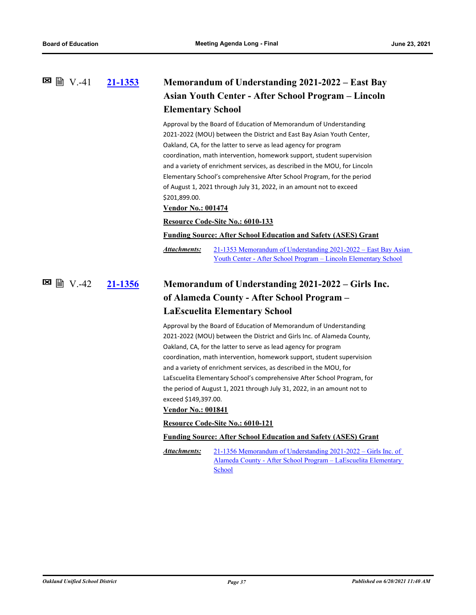### **[21-1353](http://ousd.legistar.com/gateway.aspx?m=l&id=/matter.aspx?key=52489) Memorandum of Understanding 2021-2022 – East Bay Asian Youth Center - After School Program – Lincoln Elementary School**  $\boxtimes$  A  $\boxtimes$   $\boxtimes$   $\boxtimes$   $\boxtimes$   $\boxtimes$

Approval by the Board of Education of Memorandum of Understanding 2021-2022 (MOU) between the District and East Bay Asian Youth Center, Oakland, CA, for the latter to serve as lead agency for program coordination, math intervention, homework support, student supervision and a variety of enrichment services, as described in the MOU, for Lincoln Elementary School's comprehensive After School Program, for the period of August 1, 2021 through July 31, 2022, in an amount not to exceed \$201,899.00.

**Vendor No.: 001474**

#### **Resource Code-Site No.: 6010-133**

**Funding Source: After School Education and Safety (ASES) Grant**

[21-1353 Memorandum of Understanding 2021-2022 – East Bay Asian](http://ousd.legistar.com/gateway.aspx?M=F&ID=99060.pdf)  Youth Center - After School Program – Lincoln Elementary School *Attachments:*

### **[21-1356](http://ousd.legistar.com/gateway.aspx?m=l&id=/matter.aspx?key=52492) Memorandum of Understanding 2021-2022 – Girls Inc. of Alameda County - After School Program – LaEscuelita Elementary School** V.-42

Approval by the Board of Education of Memorandum of Understanding 2021-2022 (MOU) between the District and Girls Inc. of Alameda County, Oakland, CA, for the latter to serve as lead agency for program coordination, math intervention, homework support, student supervision and a variety of enrichment services, as described in the MOU, for LaEscuelita Elementary School's comprehensive After School Program, for the period of August 1, 2021 through July 31, 2022, in an amount not to exceed \$149,397.00.

#### **Vendor No.: 001841**

#### **Resource Code-Site No.: 6010-121**

#### **Funding Source: After School Education and Safety (ASES) Grant**

21-1356 Memorandum of Understanding 2021-2022 – Girls Inc. of [Alameda County - After School Program – LaEscuelita Elementary](http://ousd.legistar.com/gateway.aspx?M=F&ID=99061.pdf)  School *Attachments:*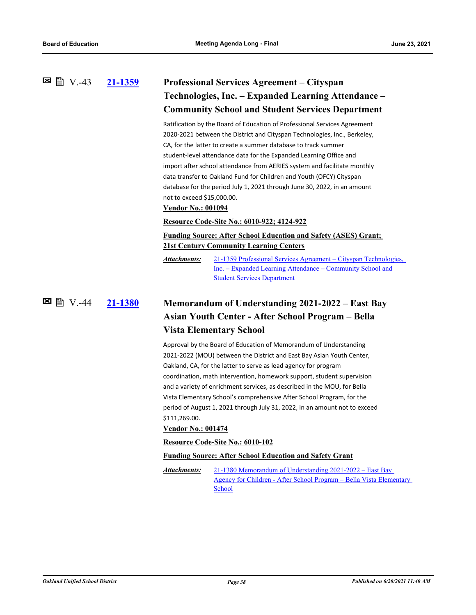## **[21-1359](http://ousd.legistar.com/gateway.aspx?m=l&id=/matter.aspx?key=52495) Professional Services Agreement – Cityspan Technologies, Inc. – Expanded Learning Attendance – Community School and Student Services Department**  $\boxtimes$  A  $\cong$   $\cong$   $\cong$   $\cong$   $\cong$   $\cong$   $\cong$   $\cong$   $\cong$   $\cong$   $\cong$   $\cong$   $\cong$   $\cong$   $\cong$   $\cong$   $\cong$   $\cong$   $\cong$   $\cong$   $\cong$   $\cong$   $\cong$   $\cong$   $\cong$   $\cong$   $\cong$   $\cong$   $\cong$   $\cong$   $\cong$   $\cong$   $\cong$   $\cong$   $\cong$

Ratification by the Board of Education of Professional Services Agreement 2020-2021 between the District and Cityspan Technologies, Inc., Berkeley, CA, for the latter to create a summer database to track summer student-level attendance data for the Expanded Learning Office and import after school attendance from AERIES system and facilitate monthly data transfer to Oakland Fund for Children and Youth (OFCY) Cityspan database for the period July 1, 2021 through June 30, 2022, in an amount not to exceed \$15,000.00.

#### **Vendor No.: 001094**

#### **Resource Code-Site No.: 6010-922; 4124-922**

## **Funding Source: After School Education and Safety (ASES) Grant; 21st Century Community Learning Centers**

[21-1359 Professional Services Agreement – Cityspan Technologies,](http://ousd.legistar.com/gateway.aspx?M=F&ID=99062.pdf)  Inc. – Expanded Learning Attendance – Community School and Student Services Department *Attachments:*

# **[21-1380](http://ousd.legistar.com/gateway.aspx?m=l&id=/matter.aspx?key=52516) Memorandum of Understanding 2021-2022 – East Bay Asian Youth Center - After School Program – Bella Vista Elementary School** V.-44

Approval by the Board of Education of Memorandum of Understanding 2021-2022 (MOU) between the District and East Bay Asian Youth Center, Oakland, CA, for the latter to serve as lead agency for program coordination, math intervention, homework support, student supervision and a variety of enrichment services, as described in the MOU, for Bella Vista Elementary School's comprehensive After School Program, for the period of August 1, 2021 through July 31, 2022, in an amount not to exceed \$111,269.00.

### **Vendor No.: 001474**

#### **Resource Code-Site No.: 6010-102**

#### **Funding Source: After School Education and Safety Grant**

21-1380 Memorandum of Understanding 2021-2022 – East Bay [Agency for Children - After School Program – Bella Vista Elementary](http://ousd.legistar.com/gateway.aspx?M=F&ID=99063.pdf)  School *Attachments:*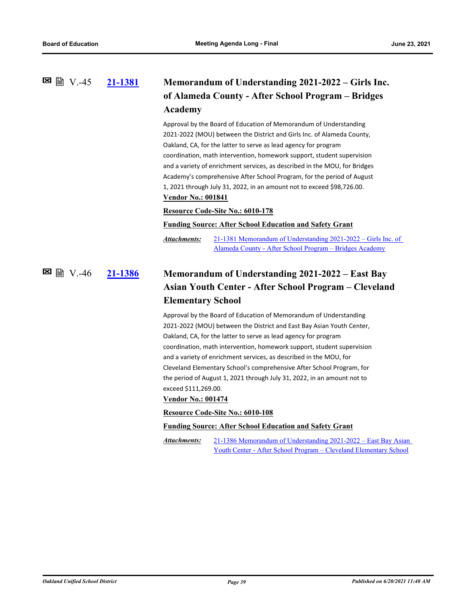### **[21-1381](http://ousd.legistar.com/gateway.aspx?m=l&id=/matter.aspx?key=52517) Memorandum of Understanding 2021-2022 – Girls Inc. of Alameda County - After School Program – Bridges Academy** V.-45

Approval by the Board of Education of Memorandum of Understanding 2021-2022 (MOU) between the District and Girls Inc. of Alameda County, Oakland, CA, for the latter to serve as lead agency for program coordination, math intervention, homework support, student supervision and a variety of enrichment services, as described in the MOU, for Bridges Academy's comprehensive After School Program, for the period of August 1, 2021 through July 31, 2022, in an amount not to exceed \$98,726.00. **Vendor No.: 001841**

#### **Resource Code-Site No.: 6010-178**

### **Funding Source: After School Education and Safety Grant**

[21-1381 Memorandum of Understanding 2021-2022 – Girls Inc. of](http://ousd.legistar.com/gateway.aspx?M=F&ID=99064.pdf)  Alameda County - After School Program – Bridges Academy *Attachments:*

# **[21-1386](http://ousd.legistar.com/gateway.aspx?m=l&id=/matter.aspx?key=52522) Memorandum of Understanding 2021-2022 – East Bay Asian Youth Center - After School Program – Cleveland Elementary School 図 圖 V.-46**

Approval by the Board of Education of Memorandum of Understanding 2021-2022 (MOU) between the District and East Bay Asian Youth Center, Oakland, CA, for the latter to serve as lead agency for program coordination, math intervention, homework support, student supervision and a variety of enrichment services, as described in the MOU, for Cleveland Elementary School's comprehensive After School Program, for the period of August 1, 2021 through July 31, 2022, in an amount not to exceed \$111,269.00.

#### **Vendor No.: 001474**

#### **Resource Code-Site No.: 6010-108**

#### **Funding Source: After School Education and Safety Grant**

[21-1386 Memorandum of Understanding 2021-2022 – East Bay Asian](http://ousd.legistar.com/gateway.aspx?M=F&ID=99065.pdf)  Youth Center - After School Program – Cleveland Elementary School *Attachments:*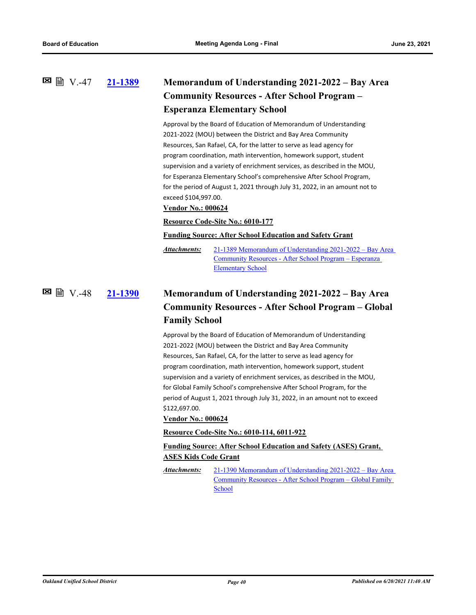## **[21-1389](http://ousd.legistar.com/gateway.aspx?m=l&id=/matter.aspx?key=52525) Memorandum of Understanding 2021-2022 – Bay Area Community Resources - After School Program – Esperanza Elementary School**  $\Xi$  ■ V.-47

Approval by the Board of Education of Memorandum of Understanding 2021-2022 (MOU) between the District and Bay Area Community Resources, San Rafael, CA, for the latter to serve as lead agency for program coordination, math intervention, homework support, student supervision and a variety of enrichment services, as described in the MOU, for Esperanza Elementary School's comprehensive After School Program, for the period of August 1, 2021 through July 31, 2022, in an amount not to exceed \$104,997.00.

#### **Vendor No.: 000624**

### **Resource Code-Site No.: 6010-177**

#### **Funding Source: After School Education and Safety Grant**

[21-1389 Memorandum of Understanding 2021-2022 – Bay Area](http://ousd.legistar.com/gateway.aspx?M=F&ID=99066.pdf)  Community Resources - After School Program – Esperanza Elementary School *Attachments:*

### **[21-1390](http://ousd.legistar.com/gateway.aspx?m=l&id=/matter.aspx?key=52526) Memorandum of Understanding 2021-2022 – Bay Area Community Resources - After School Program – Global Family School** V.-48

Approval by the Board of Education of Memorandum of Understanding 2021-2022 (MOU) between the District and Bay Area Community Resources, San Rafael, CA, for the latter to serve as lead agency for program coordination, math intervention, homework support, student supervision and a variety of enrichment services, as described in the MOU, for Global Family School's comprehensive After School Program, for the period of August 1, 2021 through July 31, 2022, in an amount not to exceed \$122,697.00.

### **Vendor No.: 000624**

#### **Resource Code-Site No.: 6010-114, 6011-922**

### **Funding Source: After School Education and Safety (ASES) Grant, ASES Kids Code Grant**

[21-1390 Memorandum of Understanding 2021-2022 – Bay Area](http://ousd.legistar.com/gateway.aspx?M=F&ID=99067.pdf)  Community Resources - After School Program – Global Family School *Attachments:*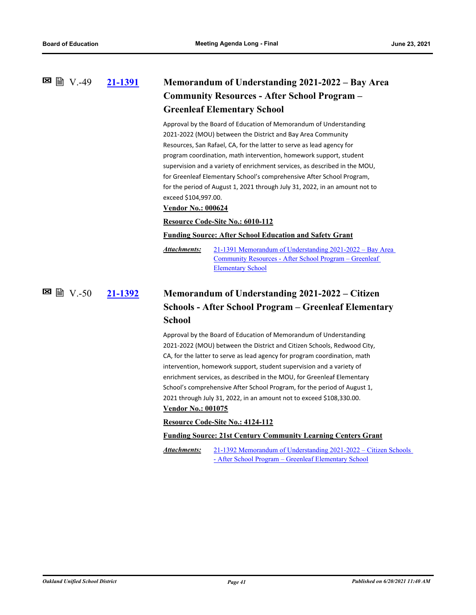## **[21-1391](http://ousd.legistar.com/gateway.aspx?m=l&id=/matter.aspx?key=52527) Memorandum of Understanding 2021-2022 – Bay Area Community Resources - After School Program – Greenleaf Elementary School**  $\Xi$  ■ N.-49

Approval by the Board of Education of Memorandum of Understanding 2021-2022 (MOU) between the District and Bay Area Community Resources, San Rafael, CA, for the latter to serve as lead agency for program coordination, math intervention, homework support, student supervision and a variety of enrichment services, as described in the MOU, for Greenleaf Elementary School's comprehensive After School Program, for the period of August 1, 2021 through July 31, 2022, in an amount not to exceed \$104,997.00.

### **Vendor No.: 000624**

### **Resource Code-Site No.: 6010-112**

### **Funding Source: After School Education and Safety Grant**

[21-1391 Memorandum of Understanding 2021-2022 – Bay Area](http://ousd.legistar.com/gateway.aspx?M=F&ID=99068.pdf)  Community Resources - After School Program – Greenleaf Elementary School *Attachments:*

**[21-1392](http://ousd.legistar.com/gateway.aspx?m=l&id=/matter.aspx?key=52528) Memorandum of Understanding 2021-2022 – Citizen Schools - After School Program – Greenleaf Elementary School** V.-50

> Approval by the Board of Education of Memorandum of Understanding 2021-2022 (MOU) between the District and Citizen Schools, Redwood City, CA, for the latter to serve as lead agency for program coordination, math intervention, homework support, student supervision and a variety of enrichment services, as described in the MOU, for Greenleaf Elementary School's comprehensive After School Program, for the period of August 1, 2021 through July 31, 2022, in an amount not to exceed \$108,330.00.

### **Vendor No.: 001075**

### **Resource Code-Site No.: 4124-112**

#### **Funding Source: 21st Century Community Learning Centers Grant**

[21-1392 Memorandum of Understanding 2021-2022 – Citizen Schools](http://ousd.legistar.com/gateway.aspx?M=F&ID=99069.pdf)  - After School Program – Greenleaf Elementary School *Attachments:*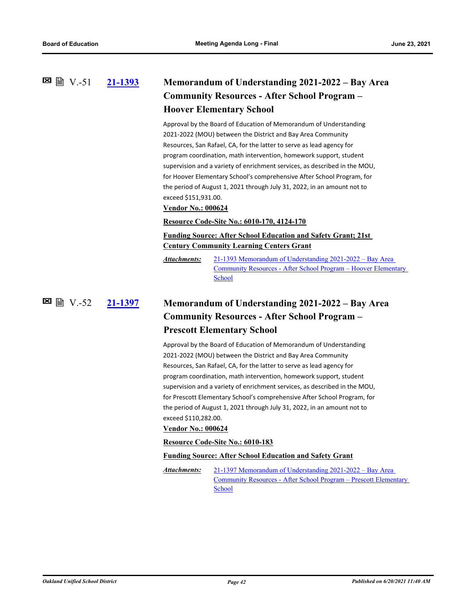## **[21-1393](http://ousd.legistar.com/gateway.aspx?m=l&id=/matter.aspx?key=52529) Memorandum of Understanding 2021-2022 – Bay Area Community Resources - After School Program – Hoover Elementary School**  $\boxtimes$  A  $\boxtimes$   $\boxtimes$   $\boxtimes$   $\boxtimes$   $\boxtimes$

Approval by the Board of Education of Memorandum of Understanding 2021-2022 (MOU) between the District and Bay Area Community Resources, San Rafael, CA, for the latter to serve as lead agency for program coordination, math intervention, homework support, student supervision and a variety of enrichment services, as described in the MOU, for Hoover Elementary School's comprehensive After School Program, for the period of August 1, 2021 through July 31, 2022, in an amount not to exceed \$151,931.00.

### **Vendor No.: 000624**

### **Resource Code-Site No.: 6010-170, 4124-170**

### **Funding Source: After School Education and Safety Grant; 21st Century Community Learning Centers Grant**

21-1393 Memorandum of Understanding 2021-2022 – Bay Area [Community Resources - After School Program – Hoover Elementary](http://ousd.legistar.com/gateway.aspx?M=F&ID=99070.pdf)  **School** *Attachments:*

# **[21-1397](http://ousd.legistar.com/gateway.aspx?m=l&id=/matter.aspx?key=52533) Memorandum of Understanding 2021-2022 – Bay Area Community Resources - After School Program – Prescott Elementary School** V.-52

Approval by the Board of Education of Memorandum of Understanding 2021-2022 (MOU) between the District and Bay Area Community Resources, San Rafael, CA, for the latter to serve as lead agency for program coordination, math intervention, homework support, student supervision and a variety of enrichment services, as described in the MOU, for Prescott Elementary School's comprehensive After School Program, for the period of August 1, 2021 through July 31, 2022, in an amount not to exceed \$110,282.00.

### **Vendor No.: 000624**

#### **Resource Code-Site No.: 6010-183**

#### **Funding Source: After School Education and Safety Grant**

21-1397 Memorandum of Understanding 2021-2022 – Bay Area [Community Resources - After School Program – Prescott Elementary](http://ousd.legistar.com/gateway.aspx?M=F&ID=99071.pdf)  School *Attachments:*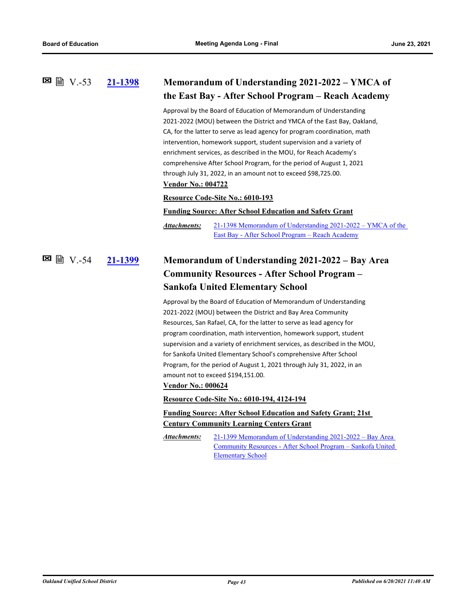### **[21-1398](http://ousd.legistar.com/gateway.aspx?m=l&id=/matter.aspx?key=52534) Memorandum of Understanding 2021-2022 – YMCA of the East Bay - After School Program – Reach Academy**  $\boxtimes$  A  $V$  -53

Approval by the Board of Education of Memorandum of Understanding 2021-2022 (MOU) between the District and YMCA of the East Bay, Oakland, CA, for the latter to serve as lead agency for program coordination, math intervention, homework support, student supervision and a variety of enrichment services, as described in the MOU, for Reach Academy's comprehensive After School Program, for the period of August 1, 2021 through July 31, 2022, in an amount not to exceed \$98,725.00. **Vendor No.: 004722**

#### **Resource Code-Site No.: 6010-193**

**Funding Source: After School Education and Safety Grant**

[21-1398 Memorandum of Understanding 2021-2022 – YMCA of the](http://ousd.legistar.com/gateway.aspx?M=F&ID=99072.pdf)  East Bay - After School Program – Reach Academy *Attachments:*

### **[21-1399](http://ousd.legistar.com/gateway.aspx?m=l&id=/matter.aspx?key=52535) Memorandum of Understanding 2021-2022 – Bay Area Community Resources - After School Program – Sankofa United Elementary School** V.-54

Approval by the Board of Education of Memorandum of Understanding 2021-2022 (MOU) between the District and Bay Area Community Resources, San Rafael, CA, for the latter to serve as lead agency for program coordination, math intervention, homework support, student supervision and a variety of enrichment services, as described in the MOU, for Sankofa United Elementary School's comprehensive After School Program, for the period of August 1, 2021 through July 31, 2022, in an amount not to exceed \$194,151.00.

#### **Vendor No.: 000624**

**Resource Code-Site No.: 6010-194, 4124-194**

### **Funding Source: After School Education and Safety Grant; 21st Century Community Learning Centers Grant**

21-1399 Memorandum of Understanding 2021-2022 – Bay Area [Community Resources - After School Program – Sankofa United](http://ousd.legistar.com/gateway.aspx?M=F&ID=99073.pdf)  Elementary School *Attachments:*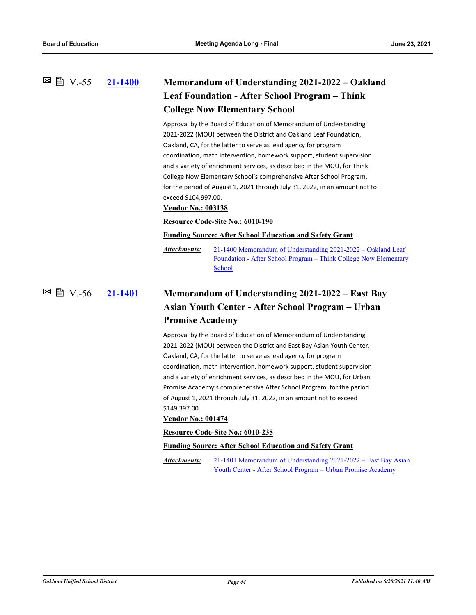## **[21-1400](http://ousd.legistar.com/gateway.aspx?m=l&id=/matter.aspx?key=52536) Memorandum of Understanding 2021-2022 – Oakland Leaf Foundation - After School Program – Think College Now Elementary School 図 V.-55**

Approval by the Board of Education of Memorandum of Understanding 2021-2022 (MOU) between the District and Oakland Leaf Foundation, Oakland, CA, for the latter to serve as lead agency for program coordination, math intervention, homework support, student supervision and a variety of enrichment services, as described in the MOU, for Think College Now Elementary School's comprehensive After School Program, for the period of August 1, 2021 through July 31, 2022, in an amount not to exceed \$104,997.00.

### **Vendor No.: 003138**

### **Resource Code-Site No.: 6010-190**

#### **Funding Source: After School Education and Safety Grant**

21-1400 Memorandum of Understanding 2021-2022 – Oakland Leaf [Foundation - After School Program – Think College Now Elementary](http://ousd.legistar.com/gateway.aspx?M=F&ID=99074.pdf)  School *Attachments:*

### **[21-1401](http://ousd.legistar.com/gateway.aspx?m=l&id=/matter.aspx?key=52537) Memorandum of Understanding 2021-2022 – East Bay Asian Youth Center - After School Program – Urban Promise Academy** V.-56

Approval by the Board of Education of Memorandum of Understanding 2021-2022 (MOU) between the District and East Bay Asian Youth Center, Oakland, CA, for the latter to serve as lead agency for program coordination, math intervention, homework support, student supervision and a variety of enrichment services, as described in the MOU, for Urban Promise Academy's comprehensive After School Program, for the period of August 1, 2021 through July 31, 2022, in an amount not to exceed \$149,397.00.

### **Vendor No.: 001474**

**Resource Code-Site No.: 6010-235**

**Funding Source: After School Education and Safety Grant**

[21-1401 Memorandum of Understanding 2021-2022 – East Bay Asian](http://ousd.legistar.com/gateway.aspx?M=F&ID=99075.pdf)  Youth Center - After School Program – Urban Promise Academy *Attachments:*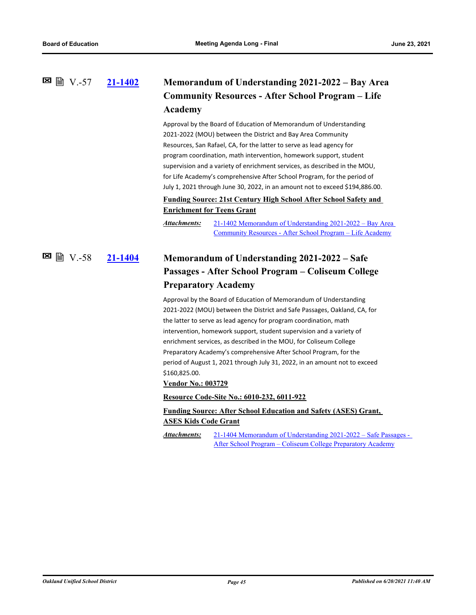## **[21-1402](http://ousd.legistar.com/gateway.aspx?m=l&id=/matter.aspx?key=52538) Memorandum of Understanding 2021-2022 – Bay Area Community Resources - After School Program – Life Academy** V.-57

Approval by the Board of Education of Memorandum of Understanding 2021-2022 (MOU) between the District and Bay Area Community Resources, San Rafael, CA, for the latter to serve as lead agency for program coordination, math intervention, homework support, student supervision and a variety of enrichment services, as described in the MOU, for Life Academy's comprehensive After School Program, for the period of July 1, 2021 through June 30, 2022, in an amount not to exceed \$194,886.00.

### **Funding Source: 21st Century High School After School Safety and Enrichment for Teens Grant**

[21-1402 Memorandum of Understanding 2021-2022 – Bay Area](http://ousd.legistar.com/gateway.aspx?M=F&ID=99076.pdf)  Community Resources - After School Program – Life Academy *Attachments:*

# **[21-1404](http://ousd.legistar.com/gateway.aspx?m=l&id=/matter.aspx?key=52540) Memorandum of Understanding 2021-2022 – Safe Passages - After School Program – Coliseum College Preparatory Academy** V.-58

Approval by the Board of Education of Memorandum of Understanding 2021-2022 (MOU) between the District and Safe Passages, Oakland, CA, for the latter to serve as lead agency for program coordination, math intervention, homework support, student supervision and a variety of enrichment services, as described in the MOU, for Coliseum College Preparatory Academy's comprehensive After School Program, for the period of August 1, 2021 through July 31, 2022, in an amount not to exceed \$160,825.00.

### **Vendor No.: 003729**

**Resource Code-Site No.: 6010-232, 6011-922**

## **Funding Source: After School Education and Safety (ASES) Grant, ASES Kids Code Grant**

[21-1404 Memorandum of Understanding 2021-2022 – Safe Passages -](http://ousd.legistar.com/gateway.aspx?M=F&ID=99077.pdf)  After School Program – Coliseum College Preparatory Academy *Attachments:*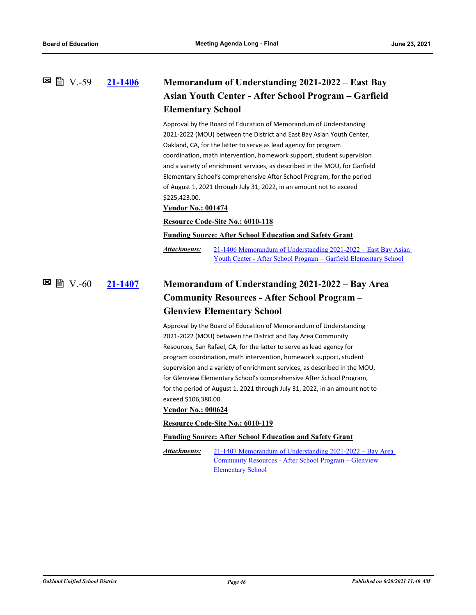### **[21-1406](http://ousd.legistar.com/gateway.aspx?m=l&id=/matter.aspx?key=52542) Memorandum of Understanding 2021-2022 – East Bay Asian Youth Center - After School Program – Garfield Elementary School**  $\Xi$  ■ N.-59

Approval by the Board of Education of Memorandum of Understanding 2021-2022 (MOU) between the District and East Bay Asian Youth Center, Oakland, CA, for the latter to serve as lead agency for program coordination, math intervention, homework support, student supervision and a variety of enrichment services, as described in the MOU, for Garfield Elementary School's comprehensive After School Program, for the period of August 1, 2021 through July 31, 2022, in an amount not to exceed \$225,423.00.

**Vendor No.: 001474**

#### **Resource Code-Site No.: 6010-118**

#### **Funding Source: After School Education and Safety Grant**

[21-1406 Memorandum of Understanding 2021-2022 – East Bay Asian](http://ousd.legistar.com/gateway.aspx?M=F&ID=99078.pdf)  Youth Center - After School Program – Garfield Elementary School *Attachments:*

### **[21-1407](http://ousd.legistar.com/gateway.aspx?m=l&id=/matter.aspx?key=52543) Memorandum of Understanding 2021-2022 – Bay Area Community Resources - After School Program – Glenview Elementary School**  $\Xi$  (  $\Xi$  V.-60

Approval by the Board of Education of Memorandum of Understanding 2021-2022 (MOU) between the District and Bay Area Community Resources, San Rafael, CA, for the latter to serve as lead agency for program coordination, math intervention, homework support, student supervision and a variety of enrichment services, as described in the MOU, for Glenview Elementary School's comprehensive After School Program, for the period of August 1, 2021 through July 31, 2022, in an amount not to exceed \$106,380.00.

### **Vendor No.: 000624**

#### **Resource Code-Site No.: 6010-119**

#### **Funding Source: After School Education and Safety Grant**

[21-1407 Memorandum of Understanding 2021-2022 – Bay Area](http://ousd.legistar.com/gateway.aspx?M=F&ID=99079.pdf)  Community Resources - After School Program – Glenview Elementary School *Attachments:*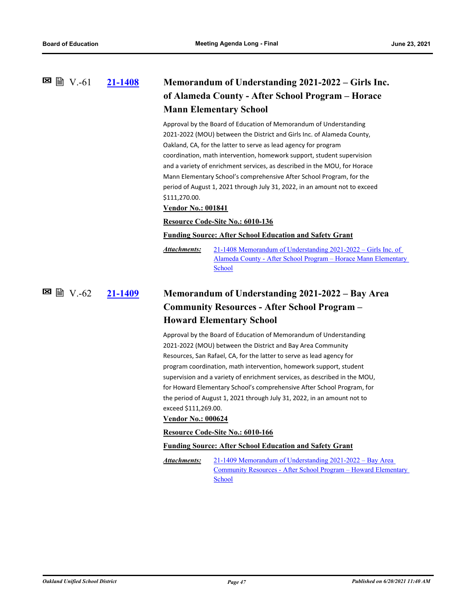# **[21-1408](http://ousd.legistar.com/gateway.aspx?m=l&id=/matter.aspx?key=52544) Memorandum of Understanding 2021-2022 – Girls Inc. of Alameda County - After School Program – Horace Mann Elementary School**  $\Xi$  A  $V.-61$

Approval by the Board of Education of Memorandum of Understanding 2021-2022 (MOU) between the District and Girls Inc. of Alameda County, Oakland, CA, for the latter to serve as lead agency for program coordination, math intervention, homework support, student supervision and a variety of enrichment services, as described in the MOU, for Horace Mann Elementary School's comprehensive After School Program, for the period of August 1, 2021 through July 31, 2022, in an amount not to exceed \$111,270.00.

#### **Vendor No.: 001841**

### **Resource Code-Site No.: 6010-136**

#### **Funding Source: After School Education and Safety Grant**

21-1408 Memorandum of Understanding 2021-2022 – Girls Inc. of [Alameda County - After School Program – Horace Mann Elementary](http://ousd.legistar.com/gateway.aspx?M=F&ID=99080.pdf)  School *Attachments:*

**[21-1409](http://ousd.legistar.com/gateway.aspx?m=l&id=/matter.aspx?key=52545) Memorandum of Understanding 2021-2022 – Bay Area Community Resources - After School Program – Howard Elementary School** V.-62

> Approval by the Board of Education of Memorandum of Understanding 2021-2022 (MOU) between the District and Bay Area Community Resources, San Rafael, CA, for the latter to serve as lead agency for program coordination, math intervention, homework support, student supervision and a variety of enrichment services, as described in the MOU, for Howard Elementary School's comprehensive After School Program, for the period of August 1, 2021 through July 31, 2022, in an amount not to exceed \$111,269.00.

#### **Vendor No.: 000624**

#### **Resource Code-Site No.: 6010-166**

#### **Funding Source: After School Education and Safety Grant**

21-1409 Memorandum of Understanding 2021-2022 – Bay Area [Community Resources - After School Program – Howard Elementary](http://ousd.legistar.com/gateway.aspx?M=F&ID=99081.pdf)  School *Attachments:*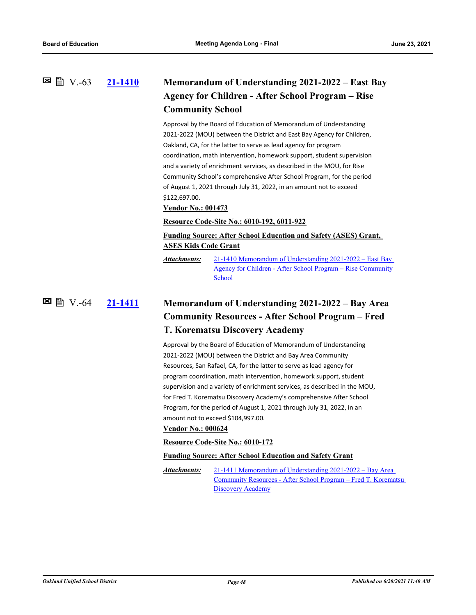### **[21-1410](http://ousd.legistar.com/gateway.aspx?m=l&id=/matter.aspx?key=52546) Memorandum of Understanding 2021-2022 – East Bay Agency for Children - After School Program – Rise Community School**  $\Xi$  ■ N.-63

Approval by the Board of Education of Memorandum of Understanding 2021-2022 (MOU) between the District and East Bay Agency for Children, Oakland, CA, for the latter to serve as lead agency for program coordination, math intervention, homework support, student supervision and a variety of enrichment services, as described in the MOU, for Rise Community School's comprehensive After School Program, for the period of August 1, 2021 through July 31, 2022, in an amount not to exceed \$122,697.00.

#### **Vendor No.: 001473**

### **Resource Code-Site No.: 6010-192, 6011-922**

### **Funding Source: After School Education and Safety (ASES) Grant, ASES Kids Code Grant**

21-1410 Memorandum of Understanding 2021-2022 – East Bay [Agency for Children - After School Program – Rise Community](http://ousd.legistar.com/gateway.aspx?M=F&ID=99082.pdf)  **School** *Attachments:*

## **[21-1411](http://ousd.legistar.com/gateway.aspx?m=l&id=/matter.aspx?key=52547) Memorandum of Understanding 2021-2022 – Bay Area Community Resources - After School Program – Fred T. Korematsu Discovery Academy E** 图 V.-64

Approval by the Board of Education of Memorandum of Understanding 2021-2022 (MOU) between the District and Bay Area Community Resources, San Rafael, CA, for the latter to serve as lead agency for program coordination, math intervention, homework support, student supervision and a variety of enrichment services, as described in the MOU, for Fred T. Korematsu Discovery Academy's comprehensive After School Program, for the period of August 1, 2021 through July 31, 2022, in an amount not to exceed \$104,997.00.

### **Vendor No.: 000624**

#### **Resource Code-Site No.: 6010-172**

#### **Funding Source: After School Education and Safety Grant**

21-1411 Memorandum of Understanding 2021-2022 – Bay Area [Community Resources - After School Program – Fred T. Korematsu](http://ousd.legistar.com/gateway.aspx?M=F&ID=99083.pdf)  Discovery Academy *Attachments:*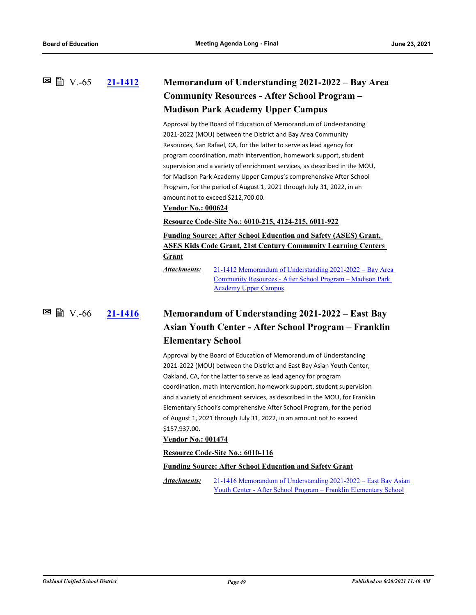### **[21-1412](http://ousd.legistar.com/gateway.aspx?m=l&id=/matter.aspx?key=52548) Memorandum of Understanding 2021-2022 – Bay Area Community Resources - After School Program – Madison Park Academy Upper Campus 図 V.-65**

Approval by the Board of Education of Memorandum of Understanding 2021-2022 (MOU) between the District and Bay Area Community Resources, San Rafael, CA, for the latter to serve as lead agency for program coordination, math intervention, homework support, student supervision and a variety of enrichment services, as described in the MOU, for Madison Park Academy Upper Campus's comprehensive After School Program, for the period of August 1, 2021 through July 31, 2022, in an amount not to exceed \$212,700.00.

### **Vendor No.: 000624**

#### **Resource Code-Site No.: 6010-215, 4124-215, 6011-922**

**Funding Source: After School Education and Safety (ASES) Grant, ASES Kids Code Grant, 21st Century Community Learning Centers Grant**

[21-1412 Memorandum of Understanding 2021-2022 – Bay Area](http://ousd.legistar.com/gateway.aspx?M=F&ID=99084.pdf)  Community Resources - After School Program – Madison Park Academy Upper Campus *Attachments:*

**図 圖 V.-66** 

# **[21-1416](http://ousd.legistar.com/gateway.aspx?m=l&id=/matter.aspx?key=52552) Memorandum of Understanding 2021-2022 – East Bay Asian Youth Center - After School Program – Franklin Elementary School**

Approval by the Board of Education of Memorandum of Understanding 2021-2022 (MOU) between the District and East Bay Asian Youth Center, Oakland, CA, for the latter to serve as lead agency for program coordination, math intervention, homework support, student supervision and a variety of enrichment services, as described in the MOU, for Franklin Elementary School's comprehensive After School Program, for the period of August 1, 2021 through July 31, 2022, in an amount not to exceed \$157,937.00.

### **Vendor No.: 001474**

#### **Resource Code-Site No.: 6010-116**

#### **Funding Source: After School Education and Safety Grant**

[21-1416 Memorandum of Understanding 2021-2022 – East Bay Asian](http://ousd.legistar.com/gateway.aspx?M=F&ID=99085.pdf)  Youth Center - After School Program – Franklin Elementary School *Attachments:*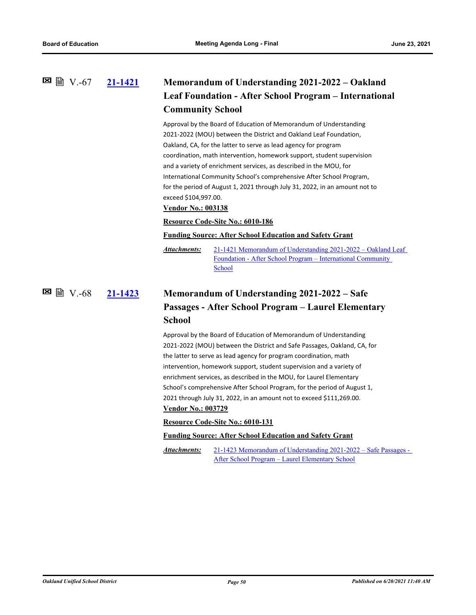### **[21-1421](http://ousd.legistar.com/gateway.aspx?m=l&id=/matter.aspx?key=52557) Memorandum of Understanding 2021-2022 – Oakland Leaf Foundation - After School Program – International Community School**  $\Xi$  ■ V.-67

Approval by the Board of Education of Memorandum of Understanding 2021-2022 (MOU) between the District and Oakland Leaf Foundation, Oakland, CA, for the latter to serve as lead agency for program coordination, math intervention, homework support, student supervision and a variety of enrichment services, as described in the MOU, for International Community School's comprehensive After School Program, for the period of August 1, 2021 through July 31, 2022, in an amount not to exceed \$104,997.00.

### **Vendor No.: 003138**

### **Resource Code-Site No.: 6010-186**

#### **Funding Source: After School Education and Safety Grant**

[21-1421 Memorandum of Understanding 2021-2022 – Oakland Leaf](http://ousd.legistar.com/gateway.aspx?M=F&ID=99086.pdf)  Foundation - After School Program – International Community School *Attachments:*

### **[21-1423](http://ousd.legistar.com/gateway.aspx?m=l&id=/matter.aspx?key=52559) Memorandum of Understanding 2021-2022 – Safe Passages - After School Program – Laurel Elementary School** V.-68

Approval by the Board of Education of Memorandum of Understanding 2021-2022 (MOU) between the District and Safe Passages, Oakland, CA, for the latter to serve as lead agency for program coordination, math intervention, homework support, student supervision and a variety of enrichment services, as described in the MOU, for Laurel Elementary School's comprehensive After School Program, for the period of August 1, 2021 through July 31, 2022, in an amount not to exceed \$111,269.00.

### **Vendor No.: 003729**

**Resource Code-Site No.: 6010-131**

### **Funding Source: After School Education and Safety Grant**

[21-1423 Memorandum of Understanding 2021-2022 – Safe Passages -](http://ousd.legistar.com/gateway.aspx?M=F&ID=99087.pdf)  After School Program – Laurel Elementary School *Attachments:*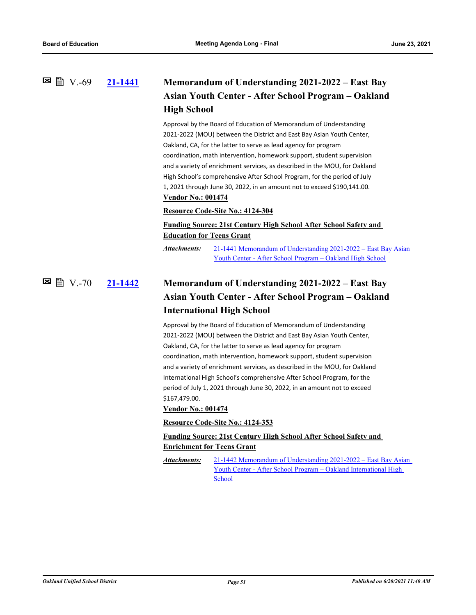# **[21-1441](http://ousd.legistar.com/gateway.aspx?m=l&id=/matter.aspx?key=52577) Memorandum of Understanding 2021-2022 – East Bay Asian Youth Center - After School Program – Oakland High School**  $\Xi$  ■ V.-69

Approval by the Board of Education of Memorandum of Understanding 2021-2022 (MOU) between the District and East Bay Asian Youth Center, Oakland, CA, for the latter to serve as lead agency for program coordination, math intervention, homework support, student supervision and a variety of enrichment services, as described in the MOU, for Oakland High School's comprehensive After School Program, for the period of July 1, 2021 through June 30, 2022, in an amount not to exceed \$190,141.00. **Vendor No.: 001474**

#### **Resource Code-Site No.: 4124-304**

# **Funding Source: 21st Century High School After School Safety and Education for Teens Grant**

[21-1441 Memorandum of Understanding 2021-2022 – East Bay Asian](http://ousd.legistar.com/gateway.aspx?M=F&ID=99088.pdf)  Youth Center - After School Program – Oakland High School *Attachments:*

## **[21-1442](http://ousd.legistar.com/gateway.aspx?m=l&id=/matter.aspx?key=52578) Memorandum of Understanding 2021-2022 – East Bay Asian Youth Center - After School Program – Oakland International High School** V.-70

Approval by the Board of Education of Memorandum of Understanding 2021-2022 (MOU) between the District and East Bay Asian Youth Center, Oakland, CA, for the latter to serve as lead agency for program coordination, math intervention, homework support, student supervision and a variety of enrichment services, as described in the MOU, for Oakland International High School's comprehensive After School Program, for the period of July 1, 2021 through June 30, 2022, in an amount not to exceed \$167,479.00.

#### **Vendor No.: 001474**

#### **Resource Code-Site No.: 4124-353**

### **Funding Source: 21st Century High School After School Safety and Enrichment for Teens Grant**

[21-1442 Memorandum of Understanding 2021-2022 – East Bay Asian](http://ousd.legistar.com/gateway.aspx?M=F&ID=99090.pdf)  Youth Center - After School Program – Oakland International High **School** *Attachments:*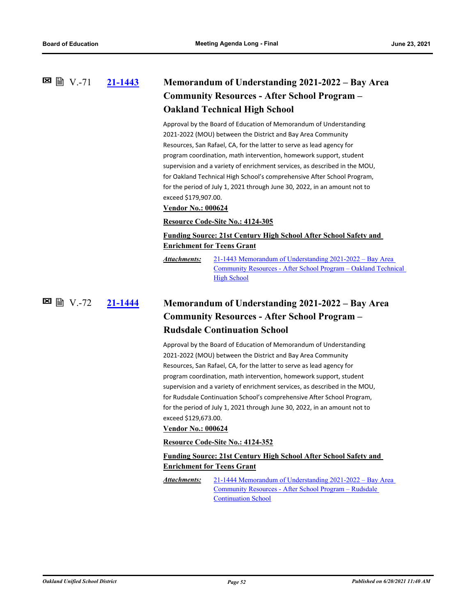### **[21-1443](http://ousd.legistar.com/gateway.aspx?m=l&id=/matter.aspx?key=52579) Memorandum of Understanding 2021-2022 – Bay Area Community Resources - After School Program – Oakland Technical High School** V.-71

Approval by the Board of Education of Memorandum of Understanding 2021-2022 (MOU) between the District and Bay Area Community Resources, San Rafael, CA, for the latter to serve as lead agency for program coordination, math intervention, homework support, student supervision and a variety of enrichment services, as described in the MOU, for Oakland Technical High School's comprehensive After School Program, for the period of July 1, 2021 through June 30, 2022, in an amount not to exceed \$179,907.00.

#### **Vendor No.: 000624**

### **Resource Code-Site No.: 4124-305**

# **Funding Source: 21st Century High School After School Safety and Enrichment for Teens Grant**

21-1443 Memorandum of Understanding 2021-2022 – Bay Area [Community Resources - After School Program – Oakland Technical](http://ousd.legistar.com/gateway.aspx?M=F&ID=99091.pdf)  **High School** *Attachments:*

**[21-1444](http://ousd.legistar.com/gateway.aspx?m=l&id=/matter.aspx?key=52580) Memorandum of Understanding 2021-2022 – Bay Area Community Resources - After School Program – Rudsdale Continuation School** V.-72

> Approval by the Board of Education of Memorandum of Understanding 2021-2022 (MOU) between the District and Bay Area Community Resources, San Rafael, CA, for the latter to serve as lead agency for program coordination, math intervention, homework support, student supervision and a variety of enrichment services, as described in the MOU, for Rudsdale Continuation School's comprehensive After School Program, for the period of July 1, 2021 through June 30, 2022, in an amount not to exceed \$129,673.00.

#### **Vendor No.: 000624**

#### **Resource Code-Site No.: 4124-352**

## **Funding Source: 21st Century High School After School Safety and Enrichment for Teens Grant**

[21-1444 Memorandum of Understanding 2021-2022 – Bay Area](http://ousd.legistar.com/gateway.aspx?M=F&ID=99092.pdf)  Community Resources - After School Program – Rudsdale Continuation School *Attachments:*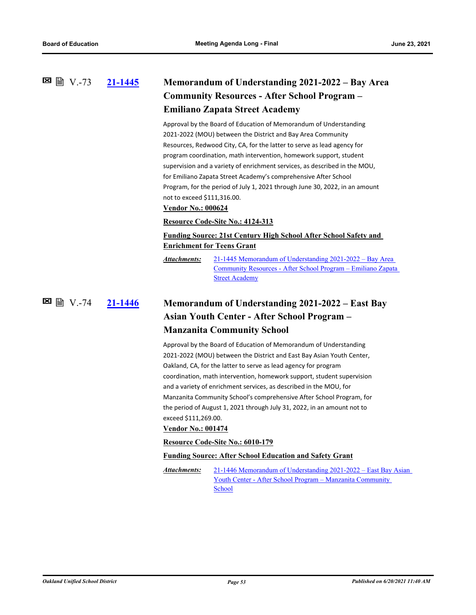### **[21-1445](http://ousd.legistar.com/gateway.aspx?m=l&id=/matter.aspx?key=52581) Memorandum of Understanding 2021-2022 – Bay Area Community Resources - After School Program – Emiliano Zapata Street Academy 図 V.-73**

Approval by the Board of Education of Memorandum of Understanding 2021-2022 (MOU) between the District and Bay Area Community Resources, Redwood City, CA, for the latter to serve as lead agency for program coordination, math intervention, homework support, student supervision and a variety of enrichment services, as described in the MOU, for Emiliano Zapata Street Academy's comprehensive After School Program, for the period of July 1, 2021 through June 30, 2022, in an amount not to exceed \$111,316.00.

### **Vendor No.: 000624**

### **Resource Code-Site No.: 4124-313**

# **Funding Source: 21st Century High School After School Safety and Enrichment for Teens Grant**

21-1445 Memorandum of Understanding 2021-2022 – Bay Area [Community Resources - After School Program – Emiliano Zapata](http://ousd.legistar.com/gateway.aspx?M=F&ID=99093.pdf)  Street Academy *Attachments:*

**[21-1446](http://ousd.legistar.com/gateway.aspx?m=l&id=/matter.aspx?key=52582) Memorandum of Understanding 2021-2022 – East Bay Asian Youth Center - After School Program – Manzanita Community School** V.-74

> Approval by the Board of Education of Memorandum of Understanding 2021-2022 (MOU) between the District and East Bay Asian Youth Center, Oakland, CA, for the latter to serve as lead agency for program coordination, math intervention, homework support, student supervision and a variety of enrichment services, as described in the MOU, for Manzanita Community School's comprehensive After School Program, for the period of August 1, 2021 through July 31, 2022, in an amount not to exceed \$111,269.00.

### **Vendor No.: 001474**

#### **Resource Code-Site No.: 6010-179**

#### **Funding Source: After School Education and Safety Grant**

[21-1446 Memorandum of Understanding 2021-2022 – East Bay Asian](http://ousd.legistar.com/gateway.aspx?M=F&ID=99094.pdf)  Youth Center - After School Program – Manzanita Community School *Attachments:*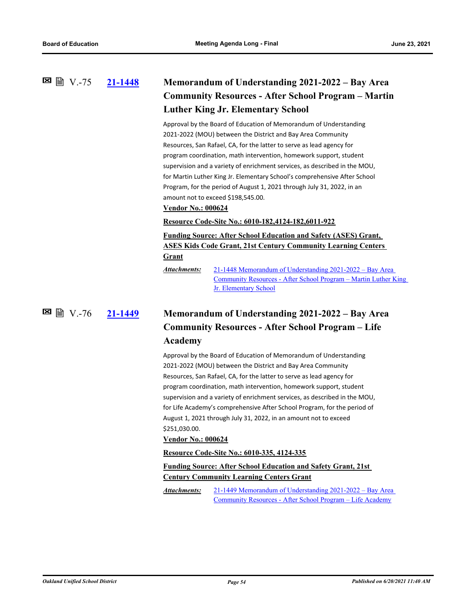## **[21-1448](http://ousd.legistar.com/gateway.aspx?m=l&id=/matter.aspx?key=52584) Memorandum of Understanding 2021-2022 – Bay Area Community Resources - After School Program – Martin Luther King Jr. Elementary School 図 V.-75**

Approval by the Board of Education of Memorandum of Understanding 2021-2022 (MOU) between the District and Bay Area Community Resources, San Rafael, CA, for the latter to serve as lead agency for program coordination, math intervention, homework support, student supervision and a variety of enrichment services, as described in the MOU, for Martin Luther King Jr. Elementary School's comprehensive After School Program, for the period of August 1, 2021 through July 31, 2022, in an amount not to exceed \$198,545.00.

### **Vendor No.: 000624**

#### **Resource Code-Site No.: 6010-182,4124-182,6011-922**

**Funding Source: After School Education and Safety (ASES) Grant, ASES Kids Code Grant, 21st Century Community Learning Centers Grant**

21-1448 Memorandum of Understanding 2021-2022 – Bay Area [Community Resources - After School Program – Martin Luther King](http://ousd.legistar.com/gateway.aspx?M=F&ID=99095.pdf)  Jr. Elementary School *Attachments:*

### **[21-1449](http://ousd.legistar.com/gateway.aspx?m=l&id=/matter.aspx?key=52585) Memorandum of Understanding 2021-2022 – Bay Area Community Resources - After School Program – Life Academy** V.-76

Approval by the Board of Education of Memorandum of Understanding 2021-2022 (MOU) between the District and Bay Area Community Resources, San Rafael, CA, for the latter to serve as lead agency for program coordination, math intervention, homework support, student supervision and a variety of enrichment services, as described in the MOU, for Life Academy's comprehensive After School Program, for the period of August 1, 2021 through July 31, 2022, in an amount not to exceed \$251,030.00.

#### **Vendor No.: 000624**

#### **Resource Code-Site No.: 6010-335, 4124-335**

# **Funding Source: After School Education and Safety Grant, 21st Century Community Learning Centers Grant**

[21-1449 Memorandum of Understanding 2021-2022 – Bay Area](http://ousd.legistar.com/gateway.aspx?M=F&ID=99096.pdf)  Community Resources - After School Program – Life Academy *Attachments:*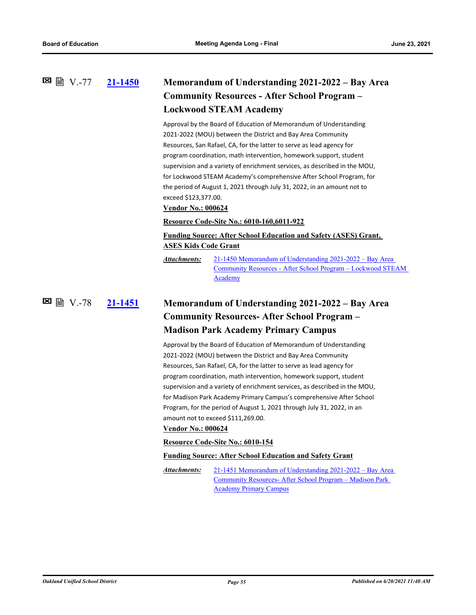# **[21-1450](http://ousd.legistar.com/gateway.aspx?m=l&id=/matter.aspx?key=52586) Memorandum of Understanding 2021-2022 – Bay Area Community Resources - After School Program – Lockwood STEAM Academy** V.-77

Approval by the Board of Education of Memorandum of Understanding 2021-2022 (MOU) between the District and Bay Area Community Resources, San Rafael, CA, for the latter to serve as lead agency for program coordination, math intervention, homework support, student supervision and a variety of enrichment services, as described in the MOU, for Lockwood STEAM Academy's comprehensive After School Program, for the period of August 1, 2021 through July 31, 2022, in an amount not to exceed \$123,377.00.

### **Vendor No.: 000624**

### **Resource Code-Site No.: 6010-160,6011-922**

## **Funding Source: After School Education and Safety (ASES) Grant, ASES Kids Code Grant**

21-1450 Memorandum of Understanding 2021-2022 – Bay Area [Community Resources - After School Program – Lockwood STEAM](http://ousd.legistar.com/gateway.aspx?M=F&ID=99097.pdf)  **Academy** *Attachments:*

# **[21-1451](http://ousd.legistar.com/gateway.aspx?m=l&id=/matter.aspx?key=52587) Memorandum of Understanding 2021-2022 – Bay Area Community Resources- After School Program – Madison Park Academy Primary Campus 図 V.-78**

Approval by the Board of Education of Memorandum of Understanding 2021-2022 (MOU) between the District and Bay Area Community Resources, San Rafael, CA, for the latter to serve as lead agency for program coordination, math intervention, homework support, student supervision and a variety of enrichment services, as described in the MOU, for Madison Park Academy Primary Campus's comprehensive After School Program, for the period of August 1, 2021 through July 31, 2022, in an amount not to exceed \$111,269.00.

### **Vendor No.: 000624**

#### **Resource Code-Site No.: 6010-154**

#### **Funding Source: After School Education and Safety Grant**

[21-1451 Memorandum of Understanding 2021-2022 – Bay Area](http://ousd.legistar.com/gateway.aspx?M=F&ID=99098.pdf)  Community Resources- After School Program – Madison Park Academy Primary Campus *Attachments:*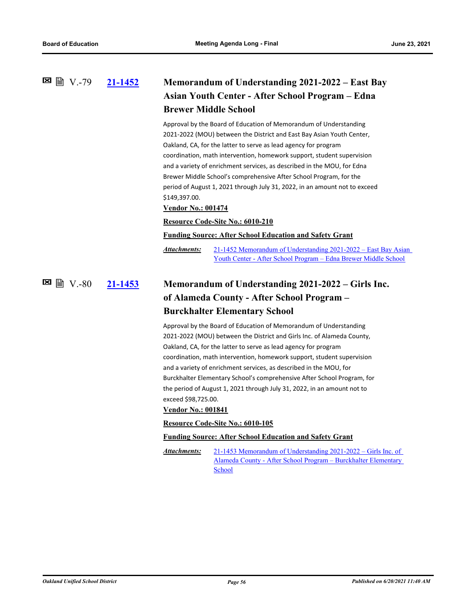# **[21-1452](http://ousd.legistar.com/gateway.aspx?m=l&id=/matter.aspx?key=52588) Memorandum of Understanding 2021-2022 – East Bay Asian Youth Center - After School Program – Edna Brewer Middle School** V.-79

Approval by the Board of Education of Memorandum of Understanding 2021-2022 (MOU) between the District and East Bay Asian Youth Center, Oakland, CA, for the latter to serve as lead agency for program coordination, math intervention, homework support, student supervision and a variety of enrichment services, as described in the MOU, for Edna Brewer Middle School's comprehensive After School Program, for the period of August 1, 2021 through July 31, 2022, in an amount not to exceed \$149,397.00.

#### **Vendor No.: 001474**

#### **Resource Code-Site No.: 6010-210**

#### **Funding Source: After School Education and Safety Grant**

[21-1452 Memorandum of Understanding 2021-2022 – East Bay Asian](http://ousd.legistar.com/gateway.aspx?M=F&ID=99099.pdf)  Youth Center - After School Program – Edna Brewer Middle School *Attachments:*

### **[21-1453](http://ousd.legistar.com/gateway.aspx?m=l&id=/matter.aspx?key=52589) Memorandum of Understanding 2021-2022 – Girls Inc. of Alameda County - After School Program – Burckhalter Elementary School**  $\blacksquare$   $\blacksquare$   $\blacksquare$   $\blacksquare$

Approval by the Board of Education of Memorandum of Understanding 2021-2022 (MOU) between the District and Girls Inc. of Alameda County, Oakland, CA, for the latter to serve as lead agency for program coordination, math intervention, homework support, student supervision and a variety of enrichment services, as described in the MOU, for Burckhalter Elementary School's comprehensive After School Program, for the period of August 1, 2021 through July 31, 2022, in an amount not to exceed \$98,725.00.

#### **Vendor No.: 001841**

#### **Resource Code-Site No.: 6010-105**

#### **Funding Source: After School Education and Safety Grant**

21-1453 Memorandum of Understanding 2021-2022 – Girls Inc. of [Alameda County - After School Program – Burckhalter Elementary](http://ousd.legistar.com/gateway.aspx?M=F&ID=99100.pdf)  School *Attachments:*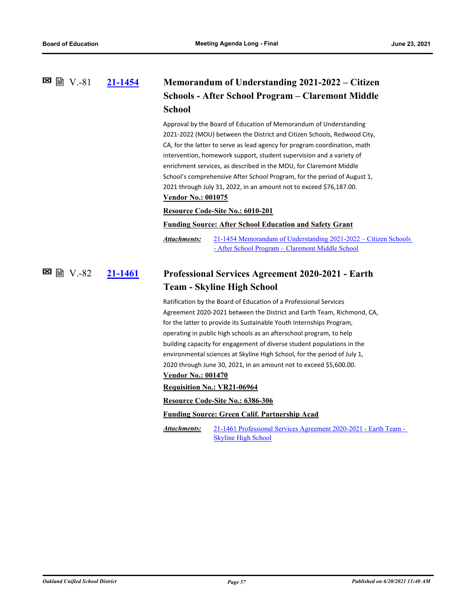### **[21-1454](http://ousd.legistar.com/gateway.aspx?m=l&id=/matter.aspx?key=52590) Memorandum of Understanding 2021-2022 – Citizen Schools - After School Program – Claremont Middle School**  $\Xi$  图 V.-81

Approval by the Board of Education of Memorandum of Understanding 2021-2022 (MOU) between the District and Citizen Schools, Redwood City, CA, for the latter to serve as lead agency for program coordination, math intervention, homework support, student supervision and a variety of enrichment services, as described in the MOU, for Claremont Middle School's comprehensive After School Program, for the period of August 1, 2021 through July 31, 2022, in an amount not to exceed \$76,187.00. **Vendor No.: 001075**

### **Resource Code-Site No.: 6010-201**

### **Funding Source: After School Education and Safety Grant**

[21-1454 Memorandum of Understanding 2021-2022 – Citizen Schools](http://ousd.legistar.com/gateway.aspx?M=F&ID=99101.pdf)  - After School Program – Claremont Middle School *Attachments:*

#### **[21-1461](http://ousd.legistar.com/gateway.aspx?m=l&id=/matter.aspx?key=52597) Professional Services Agreement 2020-2021 - Earth Team - Skyline High School** V.-82

Ratification by the Board of Education of a Professional Services Agreement 2020-2021 between the District and Earth Team, Richmond, CA, for the latter to provide its Sustainable Youth Internships Program, operating in public high schools as an afterschool program, to help building capacity for engagement of diverse student populations in the environmental sciences at Skyline High School, for the period of July 1, 2020 through June 30, 2021, in an amount not to exceed \$5,600.00.

### **Vendor No.: 001470**

**Requisition No.: VR21-06964**

**Resource Code-Site No.: 6386-306**

#### **Funding Source: Green Calif. Partnership Acad**

[21-1461 Professional Services Agreement 2020-2021 - Earth Team -](http://ousd.legistar.com/gateway.aspx?M=F&ID=99115.pdf)  Skyline High School *Attachments:*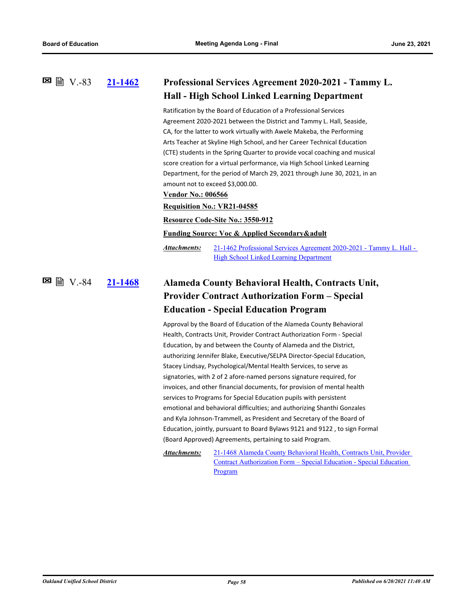| 21-1462 | Professional Services Agreement 2020-2021 - Tammy L.<br><b>Hall - High School Linked Learning Department</b>                                                                                                                                                                                                                                                                                                                                                                                                                                                                                                                                                                                                                                                                                                                                                                                                                                                                                                                                          |  |
|---------|-------------------------------------------------------------------------------------------------------------------------------------------------------------------------------------------------------------------------------------------------------------------------------------------------------------------------------------------------------------------------------------------------------------------------------------------------------------------------------------------------------------------------------------------------------------------------------------------------------------------------------------------------------------------------------------------------------------------------------------------------------------------------------------------------------------------------------------------------------------------------------------------------------------------------------------------------------------------------------------------------------------------------------------------------------|--|
|         |                                                                                                                                                                                                                                                                                                                                                                                                                                                                                                                                                                                                                                                                                                                                                                                                                                                                                                                                                                                                                                                       |  |
|         | Ratification by the Board of Education of a Professional Services<br>Agreement 2020-2021 between the District and Tammy L. Hall, Seaside,<br>CA, for the latter to work virtually with Awele Makeba, the Performing<br>Arts Teacher at Skyline High School, and her Career Technical Education<br>(CTE) students in the Spring Quarter to provide vocal coaching and musical<br>score creation for a virtual performance, via High School Linked Learning<br>Department, for the period of March 29, 2021 through June 30, 2021, in an<br>amount not to exceed \$3,000.00.<br><b>Vendor No.: 006566</b><br><b>Requisition No.: VR21-04585</b><br>Resource Code-Site No.: 3550-912                                                                                                                                                                                                                                                                                                                                                                     |  |
|         | <b>Funding Source: Voc &amp; Applied Secondary &amp; adult</b>                                                                                                                                                                                                                                                                                                                                                                                                                                                                                                                                                                                                                                                                                                                                                                                                                                                                                                                                                                                        |  |
|         | Attachments:<br>21-1462 Professional Services Agreement 2020-2021 - Tammy L. Hall -<br><b>High School Linked Learning Department</b>                                                                                                                                                                                                                                                                                                                                                                                                                                                                                                                                                                                                                                                                                                                                                                                                                                                                                                                  |  |
| 21-1468 | Alameda County Behavioral Health, Contracts Unit,<br><b>Provider Contract Authorization Form - Special</b>                                                                                                                                                                                                                                                                                                                                                                                                                                                                                                                                                                                                                                                                                                                                                                                                                                                                                                                                            |  |
|         |                                                                                                                                                                                                                                                                                                                                                                                                                                                                                                                                                                                                                                                                                                                                                                                                                                                                                                                                                                                                                                                       |  |
|         | <b>Education - Special Education Program</b>                                                                                                                                                                                                                                                                                                                                                                                                                                                                                                                                                                                                                                                                                                                                                                                                                                                                                                                                                                                                          |  |
|         | Approval by the Board of Education of the Alameda County Behavioral<br>Health, Contracts Unit, Provider Contract Authorization Form - Special<br>Education, by and between the County of Alameda and the District,<br>authorizing Jennifer Blake, Executive/SELPA Director-Special Education,<br>Stacey Lindsay, Psychological/Mental Health Services, to serve as<br>signatories, with 2 of 2 afore-named persons signature required, for<br>invoices, and other financial documents, for provision of mental health<br>services to Programs for Special Education pupils with persistent<br>emotional and behavioral difficulties; and authorizing Shanthi Gonzales<br>and Kyla Johnson-Trammell, as President and Secretary of the Board of<br>Education, jointly, pursuant to Board Bylaws 9121 and 9122, to sign Formal<br>(Board Approved) Agreements, pertaining to said Program.<br>Attachments:<br>21-1468 Alameda County Behavioral Health, Contracts Unit, Provider<br>Contract Authorization Form – Special Education - Special Education |  |
|         |                                                                                                                                                                                                                                                                                                                                                                                                                                                                                                                                                                                                                                                                                                                                                                                                                                                                                                                                                                                                                                                       |  |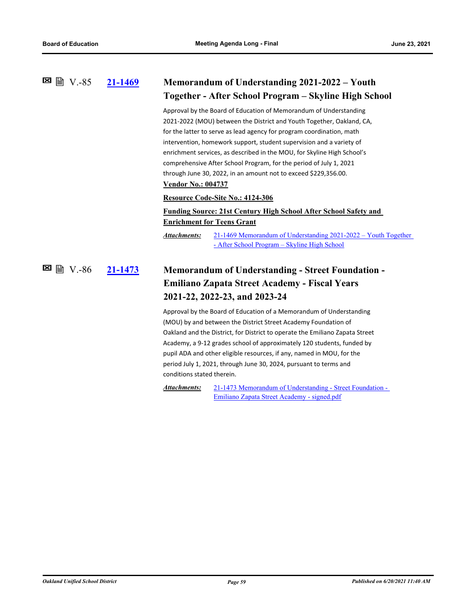| 21-1469 | Memorandum of Understanding 2021-2022 - Youth<br>Together - After School Program - Skyline High School                                                                                                                                                                                                                                                                                                                                                                                                                                                                                                                                                                                                                                                       |  |
|---------|--------------------------------------------------------------------------------------------------------------------------------------------------------------------------------------------------------------------------------------------------------------------------------------------------------------------------------------------------------------------------------------------------------------------------------------------------------------------------------------------------------------------------------------------------------------------------------------------------------------------------------------------------------------------------------------------------------------------------------------------------------------|--|
|         | Approval by the Board of Education of Memorandum of Understanding<br>2021-2022 (MOU) between the District and Youth Together, Oakland, CA,<br>for the latter to serve as lead agency for program coordination, math<br>intervention, homework support, student supervision and a variety of<br>enrichment services, as described in the MOU, for Skyline High School's<br>comprehensive After School Program, for the period of July 1, 2021<br>through June 30, 2022, in an amount not to exceed \$229,356.00.<br><b>Vendor No.: 004737</b>                                                                                                                                                                                                                 |  |
|         | Resource Code-Site No.: 4124-306<br><b>Funding Source: 21st Century High School After School Safety and</b><br><b>Enrichment for Teens Grant</b><br>21-1469 Memorandum of Understanding 2021-2022 – Youth Together<br>Attachments:<br>- After School Program - Skyline High School                                                                                                                                                                                                                                                                                                                                                                                                                                                                           |  |
| 21-1473 | <b>Memorandum of Understanding - Street Foundation -</b><br><b>Emiliano Zapata Street Academy - Fiscal Years</b><br>2021-22, 2022-23, and 2023-24<br>Approval by the Board of Education of a Memorandum of Understanding<br>(MOU) by and between the District Street Academy Foundation of<br>Oakland and the District, for District to operate the Emiliano Zapata Street<br>Academy, a 9-12 grades school of approximately 120 students, funded by<br>pupil ADA and other eligible resources, if any, named in MOU, for the<br>period July 1, 2021, through June 30, 2024, pursuant to terms and<br>conditions stated therein.<br>Attachments:<br>21-1473 Memorandum of Understanding - Street Foundation -<br>Emiliano Zapata Street Academy - signed.pdf |  |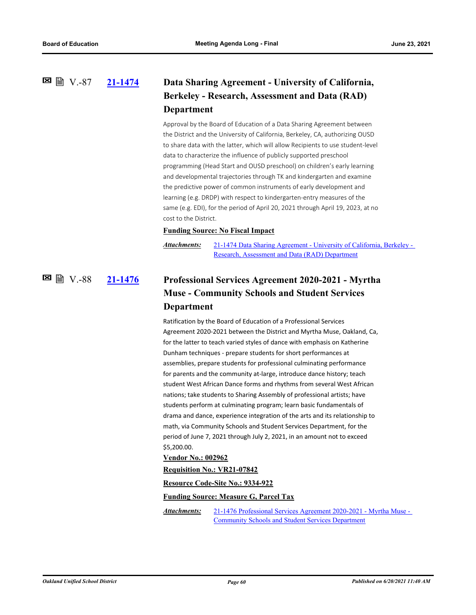V.-87

# **[21-1474](http://ousd.legistar.com/gateway.aspx?m=l&id=/matter.aspx?key=52610) Data Sharing Agreement - University of California, Berkeley - Research, Assessment and Data (RAD) Department**

Approval by the Board of Education of a Data Sharing Agreement between the District and the University of California, Berkeley, CA, authorizing OUSD to share data with the latter, which will allow Recipients to use student-level data to characterize the influence of publicly supported preschool programming (Head Start and OUSD preschool) on children's early learning and developmental trajectories through TK and kindergarten and examine the predictive power of common instruments of early development and learning (e.g. DRDP) with respect to kindergarten-entry measures of the same (e.g. EDI), for the period of April 20, 2021 through April 19, 2023, at no cost to the District.

### **Funding Source: No Fiscal Impact**

*Attachments:*

[21-1474 Data Sharing Agreement - University of California, Berkeley -](http://ousd.legistar.com/gateway.aspx?M=F&ID=99104.pdf)  Research, Assessment and Data (RAD) Department

## **[21-1476](http://ousd.legistar.com/gateway.aspx?m=l&id=/matter.aspx?key=52612) Professional Services Agreement 2020-2021 - Myrtha Muse - Community Schools and Student Services Department**  $\boxtimes$  ■  $\cong$   $\cong$   $\cong$   $\cong$   $\cong$   $\cong$   $\cong$   $\cong$   $\cong$   $\cong$   $\cong$   $\cong$   $\cong$   $\cong$   $\cong$   $\cong$   $\cong$   $\cong$   $\cong$   $\cong$   $\cong$   $\cong$   $\cong$   $\cong$   $\cong$   $\cong$   $\cong$   $\cong$   $\cong$   $\cong$   $\cong$   $\cong$   $\cong$   $\cong$   $\cong$

Ratification by the Board of Education of a Professional Services Agreement 2020-2021 between the District and Myrtha Muse, Oakland, Ca, for the latter to teach varied styles of dance with emphasis on Katherine Dunham techniques - prepare students for short performances at assemblies, prepare students for professional culminating performance for parents and the community at-large, introduce dance history; teach student West African Dance forms and rhythms from several West African nations; take students to Sharing Assembly of professional artists; have students perform at culminating program; learn basic fundamentals of drama and dance, experience integration of the arts and its relationship to math, via Community Schools and Student Services Department, for the period of June 7, 2021 through July 2, 2021, in an amount not to exceed \$5,200.00.

### **Vendor No.: 002962**

#### **Requisition No.: VR21-07842**

**Resource Code-Site No.: 9334-922**

**Funding Source: Measure G, Parcel Tax**

[21-1476 Professional Services Agreement 2020-2021 - Myrtha Muse -](http://ousd.legistar.com/gateway.aspx?M=F&ID=99117.pdf)  Community Schools and Student Services Department *Attachments:*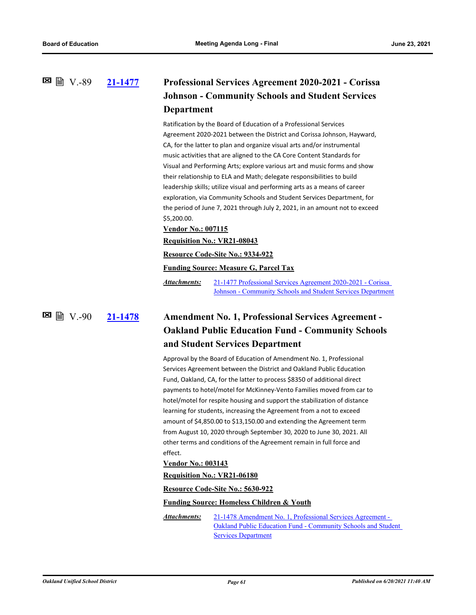### **[21-1477](http://ousd.legistar.com/gateway.aspx?m=l&id=/matter.aspx?key=52613) Professional Services Agreement 2020-2021 - Corissa Johnson - Community Schools and Student Services Department**  $\Xi$  ■ N.-89

Ratification by the Board of Education of a Professional Services Agreement 2020-2021 between the District and Corissa Johnson, Hayward, CA, for the latter to plan and organize visual arts and/or instrumental music activities that are aligned to the CA Core Content Standards for Visual and Performing Arts; explore various art and music forms and show their relationship to ELA and Math; delegate responsibilities to build leadership skills; utilize visual and performing arts as a means of career exploration, via Community Schools and Student Services Department, for the period of June 7, 2021 through July 2, 2021, in an amount not to exceed \$5,200.00.

# **Vendor No.: 007115**

#### **Requisition No.: VR21-08043**

### **Resource Code-Site No.: 9334-922**

### **Funding Source: Measure G, Parcel Tax**

21-1477 Professional Services Agreement 2020-2021 - Corissa [Johnson - Community Schools and Student Services Department](http://ousd.legistar.com/gateway.aspx?M=F&ID=99118.pdf) *Attachments:*

V.-90

# **[21-1478](http://ousd.legistar.com/gateway.aspx?m=l&id=/matter.aspx?key=52614) Amendment No. 1, Professional Services Agreement - Oakland Public Education Fund - Community Schools and Student Services Department**

Approval by the Board of Education of Amendment No. 1, Professional Services Agreement between the District and Oakland Public Education Fund, Oakland, CA, for the latter to process \$8350 of additional direct payments to hotel/motel for McKinney-Vento Families moved from car to hotel/motel for respite housing and support the stabilization of distance learning for students, increasing the Agreement from a not to exceed amount of \$4,850.00 to \$13,150.00 and extending the Agreement term from August 10, 2020 through September 30, 2020 to June 30, 2021. All other terms and conditions of the Agreement remain in full force and effect.

#### **Vendor No.: 003143**

#### **Requisition No.: VR21-06180**

#### **Resource Code-Site No.: 5630-922**

#### **Funding Source: Homeless Children & Youth**

21-1478 Amendment No. 1, Professional Services Agreement - [Oakland Public Education Fund - Community Schools and Student](http://ousd.legistar.com/gateway.aspx?M=F&ID=99119.pdf)  **Services Department** *Attachments:*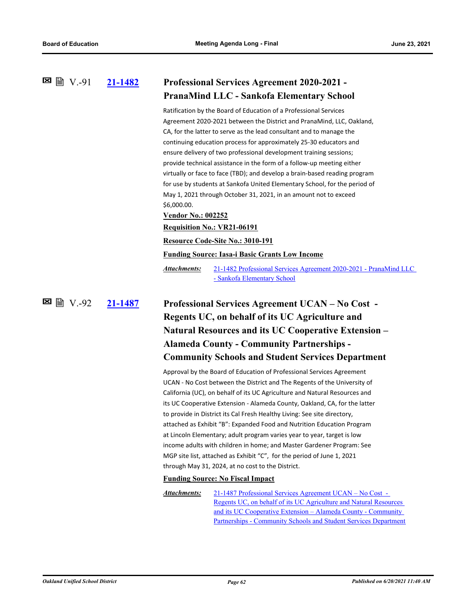| 21-1482 | <b>Professional Services Agreement 2020-2021 -</b> |
|---------|----------------------------------------------------|
|         | <b>PranaMind LLC - Sankofa Elementary School</b>   |

Ratification by the Board of Education of a Professional Services Agreement 2020-2021 between the District and PranaMind, LLC, Oakland, CA, for the latter to serve as the lead consultant and to manage the continuing education process for approximately 25-30 educators and ensure delivery of two professional development training sessions; provide technical assistance in the form of a follow-up meeting either virtually or face to face (TBD); and develop a brain-based reading program for use by students at Sankofa United Elementary School, for the period of May 1, 2021 through October 31, 2021, in an amount not to exceed \$6,000.00.

**Vendor No.: 002252**

### **Requisition No.: VR21-06191**

**Resource Code-Site No.: 3010-191**

**Funding Source: Iasa-i Basic Grants Low Income**

[21-1482 Professional Services Agreement 2020-2021 - PranaMind LLC](http://ousd.legistar.com/gateway.aspx?M=F&ID=99120.pdf)  - Sankofa Elementary School *Attachments:*

**[21-1487](http://ousd.legistar.com/gateway.aspx?m=l&id=/matter.aspx?key=52623) Professional Services Agreement UCAN – No Cost - Regents UC, on behalf of its UC Agriculture and Natural Resources and its UC Cooperative Extension – Alameda County - Community Partnerships - Community Schools and Student Services Department**  $\Xi$  ■ N.-92

> Approval by the Board of Education of Professional Services Agreement UCAN - No Cost between the District and The Regents of the University of California (UC), on behalf of its UC Agriculture and Natural Resources and its UC Cooperative Extension - Alameda County, Oakland, CA, for the latter to provide in District its Cal Fresh Healthy Living: See site directory, attached as Exhibit "B": Expanded Food and Nutrition Education Program at Lincoln Elementary; adult program varies year to year, target is low income adults with children in home; and Master Gardener Program: See MGP site list, attached as Exhibit "C", for the period of June 1, 2021 through May 31, 2024, at no cost to the District.

### **Funding Source: No Fiscal Impact**

21-1487 Professional Services Agreement UCAN – No Cost - Regents UC, on behalf of its UC Agriculture and Natural Resources and its UC Cooperative Extension – Alameda County - Community [Partnerships - Community Schools and Student Services Department](http://ousd.legistar.com/gateway.aspx?M=F&ID=99108.pdf) *Attachments:*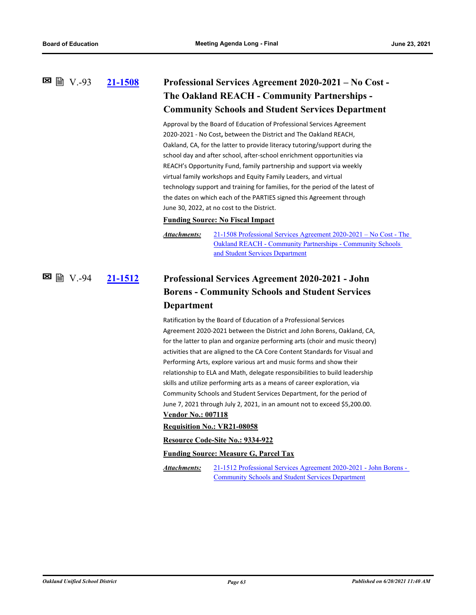## **[21-1508](http://ousd.legistar.com/gateway.aspx?m=l&id=/matter.aspx?key=52644) Professional Services Agreement 2020-2021 – No Cost - The Oakland REACH - Community Partnerships - Community Schools and Student Services Department** V.-93

Approval by the Board of Education of Professional Services Agreement 2020-2021 - No Cost**,** between the District and The Oakland REACH, Oakland, CA, for the latter to provide literacy tutoring/support during the school day and after school, after-school enrichment opportunities via REACH's Opportunity Fund, family partnership and support via weekly virtual family workshops and Equity Family Leaders, and virtual technology support and training for families, for the period of the latest of the dates on which each of the PARTIES signed this Agreement through June 30, 2022, at no cost to the District.

#### **Funding Source: No Fiscal Impact**

*Attachments:*

[21-1508 Professional Services Agreement 2020-2021 – No Cost - The](http://ousd.legistar.com/gateway.aspx?M=F&ID=99110.pdf)  Oakland REACH - Community Partnerships - Community Schools and Student Services Department

### **[21-1512](http://ousd.legistar.com/gateway.aspx?m=l&id=/matter.aspx?key=52648) Professional Services Agreement 2020-2021 - John Borens - Community Schools and Student Services Department** V.-94

Ratification by the Board of Education of a Professional Services Agreement 2020-2021 between the District and John Borens, Oakland, CA, for the latter to plan and organize performing arts (choir and music theory) activities that are aligned to the CA Core Content Standards for Visual and Performing Arts, explore various art and music forms and show their relationship to ELA and Math, delegate responsibilities to build leadership skills and utilize performing arts as a means of career exploration, via Community Schools and Student Services Department, for the period of June 7, 2021 through July 2, 2021, in an amount not to exceed \$5,200.00. **Vendor No.: 007118**

### **Requisition No.: VR21-08058**

**Resource Code-Site No.: 9334-922**

**Funding Source: Measure G, Parcel Tax**

[21-1512 Professional Services Agreement 2020-2021 - John Borens -](http://ousd.legistar.com/gateway.aspx?M=F&ID=99121.pdf)  Community Schools and Student Services Department *Attachments:*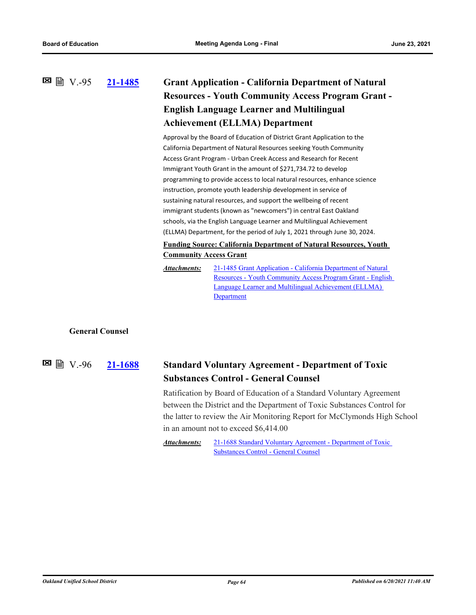# **[21-1485](http://ousd.legistar.com/gateway.aspx?m=l&id=/matter.aspx?key=52621) Grant Application - California Department of Natural Resources - Youth Community Access Program Grant - English Language Learner and Multilingual Achievement (ELLMA) Department**  $\Xi$  ■ N.-95

Approval by the Board of Education of District Grant Application to the California Department of Natural Resources seeking Youth Community Access Grant Program - Urban Creek Access and Research for Recent Immigrant Youth Grant in the amount of \$271,734.72 to develop programming to provide access to local natural resources, enhance science instruction, promote youth leadership development in service of sustaining natural resources, and support the wellbeing of recent immigrant students (known as "newcomers") in central East Oakland schools, via the English Language Learner and Multilingual Achievement (ELLMA) Department, for the period of July 1, 2021 through June 30, 2024.

### **Funding Source: California Department of Natural Resources, Youth Community Access Grant**

21-1485 Grant Application - California Department of Natural [Resources - Youth Community Access Program Grant - English](http://ousd.legistar.com/gateway.aspx?M=F&ID=99106.pdf)  Language Learner and Multilingual Achievement (ELLMA) **Department** *Attachments:*

## **General Counsel**

#### **[21-1688](http://ousd.legistar.com/gateway.aspx?m=l&id=/matter.aspx?key=52824) Standard Voluntary Agreement - Department of Toxic Substances Control - General Counsel** V.-96

Ratification by Board of Education of a Standard Voluntary Agreement between the District and the Department of Toxic Substances Control for the latter to review the Air Monitoring Report for McClymonds High School in an amount not to exceed \$6,414.00

[21-1688 Standard Voluntary Agreement - Department of Toxic](http://ousd.legistar.com/gateway.aspx?M=F&ID=99255.pdf)  Substances Control - General Counsel *Attachments:*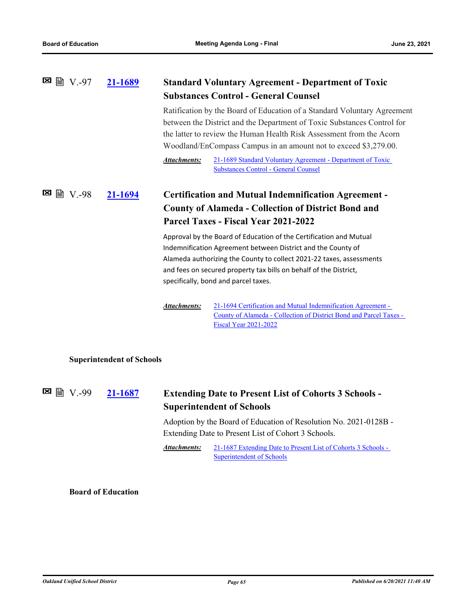### **[21-1689](http://ousd.legistar.com/gateway.aspx?m=l&id=/matter.aspx?key=52825) Standard Voluntary Agreement - Department of Toxic Substances Control - General Counsel** V.-97

Ratification by the Board of Education of a Standard Voluntary Agreement between the District and the Department of Toxic Substances Control for the latter to review the Human Health Risk Assessment from the Acorn Woodland/EnCompass Campus in an amount not to exceed \$3,279.00.

[21-1689 Standard Voluntary Agreement - Department of Toxic](http://ousd.legistar.com/gateway.aspx?M=F&ID=99256.pdf)  Substances Control - General Counsel *Attachments:*

### **[21-1694](http://ousd.legistar.com/gateway.aspx?m=l&id=/matter.aspx?key=52830) Certification and Mutual Indemnification Agreement - County of Alameda - Collection of District Bond and Parcel Taxes - Fiscal Year 2021-2022**  $\blacksquare$   $\blacksquare$   $\blacksquare$   $\blacksquare$

Approval by the Board of Education of the Certification and Mutual Indemnification Agreement between District and the County of Alameda authorizing the County to collect 2021-22 taxes, assessments and fees on secured property tax bills on behalf of the District, specifically, bond and parcel taxes.

### **Superintendent of Schools**

 $\boxtimes$  图 N.-99

# **[21-1687](http://ousd.legistar.com/gateway.aspx?m=l&id=/matter.aspx?key=52823) Extending Date to Present List of Cohorts 3 Schools - Superintendent of Schools**

Adoption by the Board of Education of Resolution No. 2021-0128B - Extending Date to Present List of Cohort 3 Schools.

[21-1687 Extending Date to Present List of Cohorts 3 Schools -](http://ousd.legistar.com/gateway.aspx?M=F&ID=99254.pdf)  Superintendent of Schools *Attachments:*

**Board of Education**

<sup>21-1694</sup> Certification and Mutual Indemnification Agreement - [County of Alameda - Collection of District Bond and Parcel Taxes -](http://ousd.legistar.com/gateway.aspx?M=F&ID=99277.pdf)  Fiscal Year 2021-2022 *Attachments:*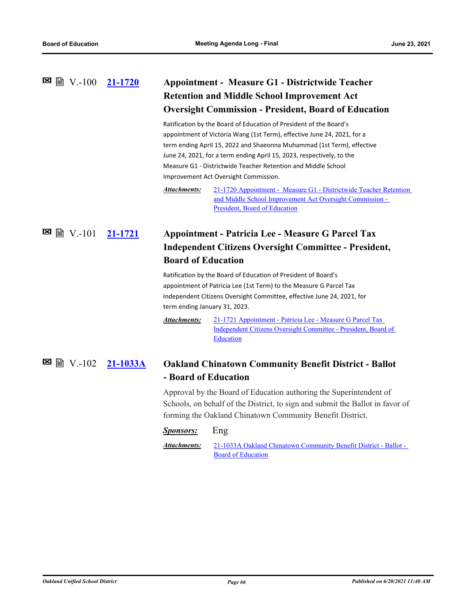## **[21-1720](http://ousd.legistar.com/gateway.aspx?m=l&id=/matter.aspx?key=52856) Appointment - Measure G1 - Districtwide Teacher Retention and Middle School Improvement Act Oversight Commission - President, Board of Education**  $\blacksquare$  ■ V.-100 21-1720

Ratification by the Board of Education of President of the Board's appointment of Victoria Wang (1st Term), effective June 24, 2021, for a term ending April 15, 2022 and Shaeonna Muhammad (1st Term), effective June 24, 2021, for a term ending April 15, 2023, respectively, to the Measure G1 - Districtwide Teacher Retention and Middle School Improvement Act Oversight Commission.

[21-1720 Appointment - Measure G1 - Districtwide Teacher Retention](http://ousd.legistar.com/gateway.aspx?M=F&ID=99279.pdf)  and Middle School Improvement Act Oversight Commission - President, Board of Education *Attachments:*

# **[21-1721](http://ousd.legistar.com/gateway.aspx?m=l&id=/matter.aspx?key=52857) Appointment - Patricia Lee - Measure G Parcel Tax Independent Citizens Oversight Committee - President, Board of Education** V.-101

Ratification by the Board of Education of President of Board's appointment of Patricia Lee (1st Term) to the Measure G Parcel Tax Independent Citizens Oversight Committee, effective June 24, 2021, for term ending January 31, 2023.

21-1721 Appointment - Patricia Lee - Measure G Parcel Tax [Independent Citizens Oversight Committee - President, Board of](http://ousd.legistar.com/gateway.aspx?M=F&ID=99280.pdf)  Education *Attachments:*

#### **[21-1033A](http://ousd.legistar.com/gateway.aspx?m=l&id=/matter.aspx?key=52827) Oakland Chinatown Community Benefit District - Ballot - Board of Education ⊠ ■** V.-102 21-1033A

Approval by the Board of Education authoring the Superintendent of Schools, on behalf of the District, to sign and submit the Ballot in favor of forming the Oakland Chinatown Community Benefit District.

### *Sponsors:* Eng

[21-1033A Oakland Chinatown Community Benefit District - Ballot -](http://ousd.legistar.com/gateway.aspx?M=F&ID=99252.pdf)  Board of Education *Attachments:*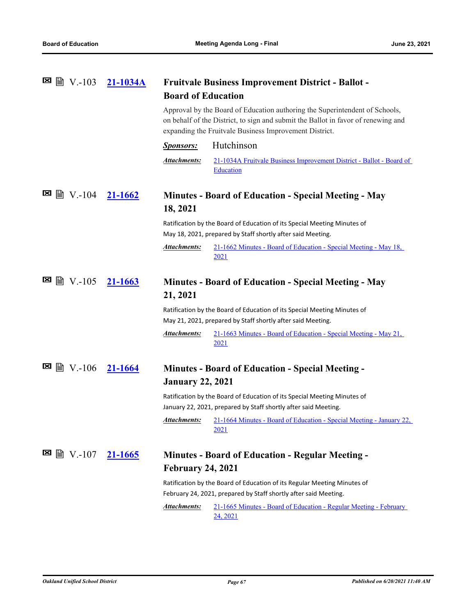| $\blacksquare$ ■ $\blacksquare$ V.-103 | 21-1034A       | <b>Fruitvale Business Improvement District - Ballot -</b><br><b>Board of Education</b>                                                                                                                                     |                                                                                                                                                   |
|----------------------------------------|----------------|----------------------------------------------------------------------------------------------------------------------------------------------------------------------------------------------------------------------------|---------------------------------------------------------------------------------------------------------------------------------------------------|
|                                        |                | Approval by the Board of Education authoring the Superintendent of Schools,<br>on behalf of the District, to sign and submit the Ballot in favor of renewing and<br>expanding the Fruitvale Business Improvement District. |                                                                                                                                                   |
|                                        |                | <b>Sponsors:</b>                                                                                                                                                                                                           | Hutchinson                                                                                                                                        |
|                                        |                | <b>Attachments:</b>                                                                                                                                                                                                        | 21-1034A Fruitvale Business Improvement District - Ballot - Board of<br>Education                                                                 |
| ⊠<br>圖 V.-104                          | <u>21-1662</u> | Minutes - Board of Education - Special Meeting - May<br>18, 2021                                                                                                                                                           |                                                                                                                                                   |
|                                        |                |                                                                                                                                                                                                                            | Ratification by the Board of Education of its Special Meeting Minutes of<br>May 18, 2021, prepared by Staff shortly after said Meeting.           |
|                                        |                | <b>Attachments:</b>                                                                                                                                                                                                        | 21-1662 Minutes - Board of Education - Special Meeting - May 18,<br><u>2021</u>                                                                   |
| 圖 V.-105                               | 21-1663        | <b>Minutes - Board of Education - Special Meeting - May</b><br>21, 2021                                                                                                                                                    |                                                                                                                                                   |
|                                        |                |                                                                                                                                                                                                                            | Ratification by the Board of Education of its Special Meeting Minutes of<br>May 21, 2021, prepared by Staff shortly after said Meeting.           |
|                                        |                | <b>Attachments:</b>                                                                                                                                                                                                        | 21-1663 Minutes - Board of Education - Special Meeting - May 21,<br>2021                                                                          |
| ⊠<br>$\triangleright$ V.-106           | <u>21-1664</u> | <b>January 22, 2021</b>                                                                                                                                                                                                    | <b>Minutes - Board of Education - Special Meeting -</b>                                                                                           |
|                                        |                |                                                                                                                                                                                                                            | Ratification by the Board of Education of its Special Meeting Minutes of<br>January 22, 2021, prepared by Staff shortly after said Meeting.       |
|                                        |                | <u>Attachments:</u>                                                                                                                                                                                                        | 21-1664 Minutes - Board of Education - Special Meeting - January 22,<br>2021                                                                      |
| ×<br>■ V.-107                          | <u>21-1665</u> |                                                                                                                                                                                                                            | <b>Minutes - Board of Education - Regular Meeting -</b>                                                                                           |
|                                        |                | <b>February 24, 2021</b><br>Ratification by the Board of Education of its Regular Meeting Minutes of                                                                                                                       |                                                                                                                                                   |
|                                        |                |                                                                                                                                                                                                                            |                                                                                                                                                   |
|                                        |                | <b>Attachments:</b>                                                                                                                                                                                                        | February 24, 2021, prepared by Staff shortly after said Meeting.<br>21-1665 Minutes - Board of Education - Regular Meeting - February<br>24, 2021 |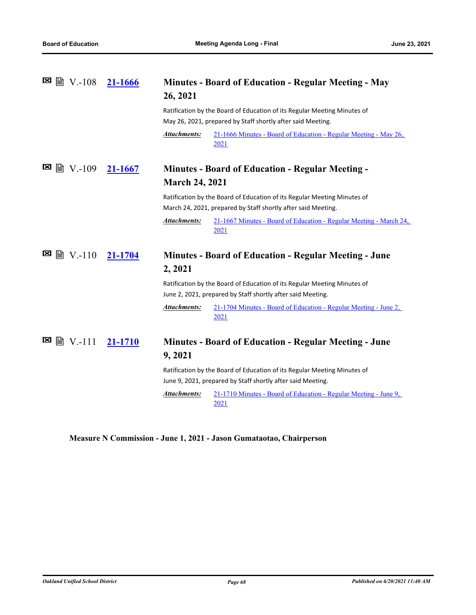| ⊠<br>■ V.-108 21-1666        |         | <b>Minutes - Board of Education - Regular Meeting - May</b><br>26, 2021                                                                   |  |
|------------------------------|---------|-------------------------------------------------------------------------------------------------------------------------------------------|--|
|                              |         | Ratification by the Board of Education of its Regular Meeting Minutes of                                                                  |  |
|                              |         | May 26, 2021, prepared by Staff shortly after said Meeting.                                                                               |  |
|                              |         | 21-1666 Minutes - Board of Education - Regular Meeting - May 26,<br>Attachments:<br>2021                                                  |  |
| 圖 V.-109                     | 21-1667 | <b>Minutes - Board of Education - Regular Meeting -</b>                                                                                   |  |
|                              |         | <b>March 24, 2021</b>                                                                                                                     |  |
|                              |         | Ratification by the Board of Education of its Regular Meeting Minutes of<br>March 24, 2021, prepared by Staff shortly after said Meeting. |  |
|                              |         | 21-1667 Minutes - Board of Education - Regular Meeting - March 24,<br><b>Attachments:</b><br>2021                                         |  |
| ⊠<br>$\triangleright$ V.-110 | 21-1704 | <b>Minutes - Board of Education - Regular Meeting - June</b>                                                                              |  |
|                              |         | 2, 2021                                                                                                                                   |  |
|                              |         | Ratification by the Board of Education of its Regular Meeting Minutes of                                                                  |  |
|                              |         | June 2, 2021, prepared by Staff shortly after said Meeting.                                                                               |  |
|                              |         | 21-1704 Minutes - Board of Education - Regular Meeting - June 2,<br><u>Attachments:</u><br>2021                                           |  |
| ⊠<br>■ V.-111                | 21-1710 | <b>Minutes - Board of Education - Regular Meeting - June</b>                                                                              |  |
|                              |         | 9, 2021                                                                                                                                   |  |
|                              |         | Ratification by the Board of Education of its Regular Meeting Minutes of<br>June 9, 2021, prepared by Staff shortly after said Meeting.   |  |
|                              |         | Attachments:<br>21-1710 Minutes - Board of Education - Regular Meeting - June 9,<br>2021                                                  |  |
|                              |         |                                                                                                                                           |  |

**Measure N Commission - June 1, 2021 - Jason Gumataotao, Chairperson**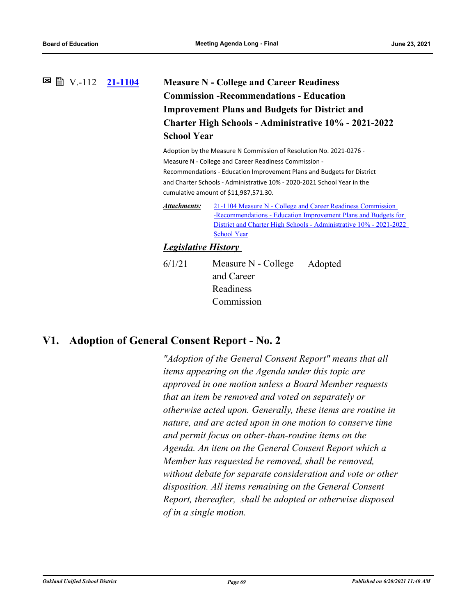# **[21-1104](http://ousd.legistar.com/gateway.aspx?m=l&id=/matter.aspx?key=52240) Measure N - College and Career Readiness Commission -Recommendations - Education Improvement Plans and Budgets for District and Charter High Schools - Administrative 10% - 2021-2022 School Year ⊠ ■** V.-112 21-1104

Adoption by the Measure N Commission of Resolution No. 2021-0276 - Measure N - College and Career Readiness Commission - Recommendations - Education Improvement Plans and Budgets for District and Charter Schools - Administrative 10% - 2020-2021 School Year in the cumulative amount of \$11,987,571.30.

21-1104 Measure N - College and Career Readiness Commission -Recommendations - Education Improvement Plans and Budgets for [District and Charter High Schools - Administrative 10% - 2021-2022](http://ousd.legistar.com/gateway.aspx?M=F&ID=98963.pdf)  School Year *Attachments:*

# *Legislative History*

6/1/21 Measure N - College and Career Readiness Commission Adopted

# **V1. Adoption of General Consent Report - No. 2**

*"Adoption of the General Consent Report" means that all items appearing on the Agenda under this topic are approved in one motion unless a Board Member requests that an item be removed and voted on separately or otherwise acted upon. Generally, these items are routine in nature, and are acted upon in one motion to conserve time and permit focus on other‑than‑routine items on the Agenda. An item on the General Consent Report which a Member has requested be removed, shall be removed, without debate for separate consideration and vote or other disposition. All items remaining on the General Consent Report, thereafter, shall be adopted or otherwise disposed of in a single motion.*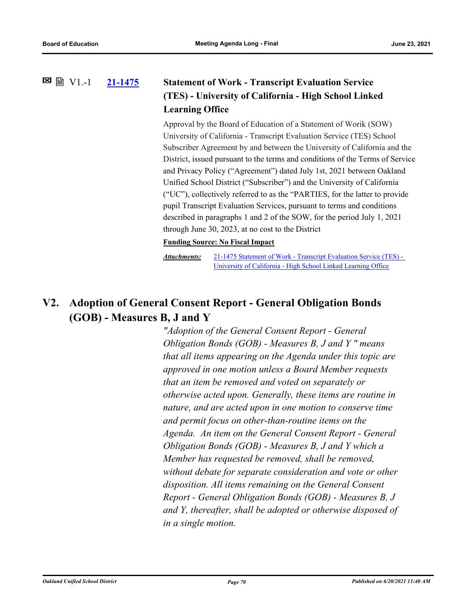### **[21-1475](http://ousd.legistar.com/gateway.aspx?m=l&id=/matter.aspx?key=52611) Statement of Work - Transcript Evaluation Service (TES) - University of California - High School Linked Learning Office**  $\Xi$  A  $V1. -1$

Approval by the Board of Education of a Statement of Worik (SOW) University of California - Transcript Evaluation Service (TES) School Subscriber Agreement by and between the University of California and the District, issued pursuant to the terms and conditions of the Terms of Service and Privacy Policy ("Agreement") dated July 1st, 2021 between Oakland Unified School District ("Subscriber") and the University of California ("UC"), collectively referred to as the "PARTIES, for the latter to provide pupil Transcript Evaluation Services, pursuant to terms and conditions described in paragraphs 1 and 2 of the SOW, for the period July 1, 2021 through June 30, 2023, at no cost to the District

### **Funding Source: No Fiscal Impact**

[21-1475 Statement of Work - Transcript Evaluation Service \(TES\) -](http://ousd.legistar.com/gateway.aspx?M=F&ID=99105.pdf)  University of California - High School Linked Learning Office *Attachments:*

# **V2. Adoption of General Consent Report - General Obligation Bonds (GOB) - Measures B, J and Y**

*"Adoption of the General Consent Report - General Obligation Bonds (GOB) - Measures B, J and Y " means that all items appearing on the Agenda under this topic are approved in one motion unless a Board Member requests that an item be removed and voted on separately or otherwise acted upon. Generally, these items are routine in nature, and are acted upon in one motion to conserve time and permit focus on other‑than‑routine items on the Agenda. An item on the General Consent Report - General Obligation Bonds (GOB) - Measures B, J and Y which a Member has requested be removed, shall be removed, without debate for separate consideration and vote or other disposition. All items remaining on the General Consent Report - General Obligation Bonds (GOB) - Measures B, J and Y, thereafter, shall be adopted or otherwise disposed of in a single motion.*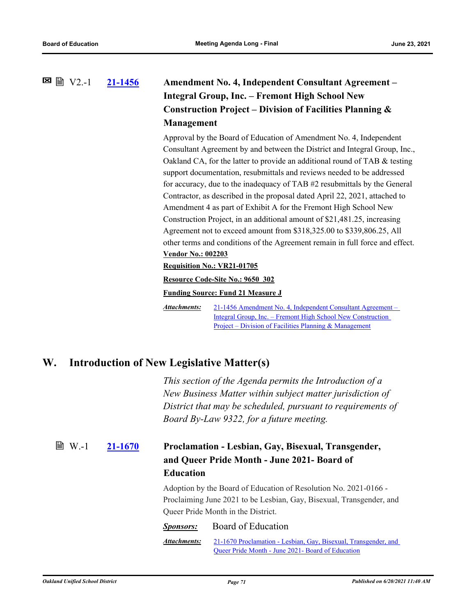# **[21-1456](http://ousd.legistar.com/gateway.aspx?m=l&id=/matter.aspx?key=52592) Amendment No. 4, Independent Consultant Agreement – Integral Group, Inc. – Fremont High School New Construction Project – Division of Facilities Planning & Management**  $\Xi$  A  $V$ 2.-1

Approval by the Board of Education of Amendment No. 4, Independent Consultant Agreement by and between the District and Integral Group, Inc., Oakland CA, for the latter to provide an additional round of TAB & testing support documentation, resubmittals and reviews needed to be addressed for accuracy, due to the inadequacy of TAB #2 resubmittals by the General Contractor, as described in the proposal dated April 22, 2021, attached to Amendment 4 as part of Exhibit A for the Fremont High School New Construction Project, in an additional amount of \$21,481.25, increasing Agreement not to exceed amount from \$318,325.00 to \$339,806.25, All other terms and conditions of the Agreement remain in full force and effect. **Vendor No.: 002203**

**Requisition No.: VR21-01705**

**Resource Code-Site No.: 9650 302**

**Funding Source: Fund 21 Measure J**

[21-1456 Amendment No. 4, Independent Consultant Agreement –](http://ousd.legistar.com/gateway.aspx?M=F&ID=99123.pdf)  Integral Group, Inc. – Fremont High School New Construction Project – Division of Facilities Planning & Management *Attachments:*

# **W. Introduction of New Legislative Matter(s)**

*This section of the Agenda permits the Introduction of a New Business Matter within subject matter jurisdiction of District that may be scheduled, pursuant to requirements of Board By-Law 9322, for a future meeting.*

### **[21-1670](http://ousd.legistar.com/gateway.aspx?m=l&id=/matter.aspx?key=52806) Proclamation - Lesbian, Gay, Bisexual, Transgender, and Queer Pride Month - June 2021- Board of Education ■ W.-1**

Adoption by the Board of Education of Resolution No. 2021-0166 - Proclaiming June 2021 to be Lesbian, Gay, Bisexual, Transgender, and Queer Pride Month in the District.

### *Sponsors:* Board of Education

[21-1670 Proclamation - Lesbian, Gay, Bisexual, Transgender, and](http://ousd.legistar.com/gateway.aspx?M=F&ID=99257.pdf)  Queer Pride Month - June 2021- Board of Education *Attachments:*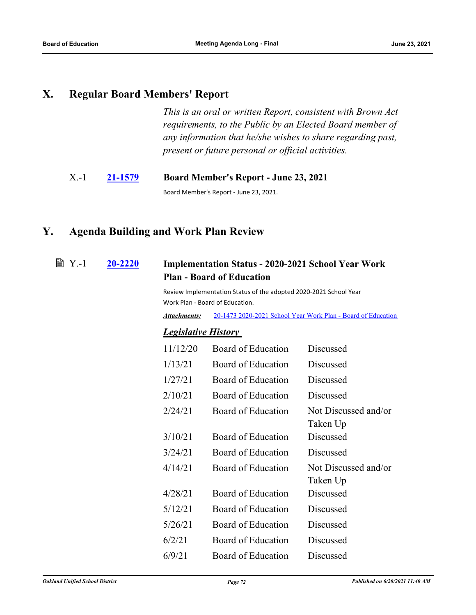# **X. Regular Board Members' Report**

*This is an oral or written Report, consistent with Brown Act requirements, to the Public by an Elected Board member of any information that he/she wishes to share regarding past, present or future personal or official activities.*

# X.-1 **[21-1579](http://ousd.legistar.com/gateway.aspx?m=l&id=/matter.aspx?key=52715) Board Member's Report - June 23, 2021**

Board Member's Report - June 23, 2021.

# **Y. Agenda Building and Work Plan Review**

#### **[20-2220](http://ousd.legistar.com/gateway.aspx?m=l&id=/matter.aspx?key=50802) Implementation Status - 2020-2021 School Year Work Plan - Board of Education ■ Y.-1**

Review Implementation Status of the adopted 2020-2021 School Year Work Plan - Board of Education.

*Attachments:* [20-1473 2020-2021 School Year Work Plan - Board of Education](https://ousd.legistar.com/LegislationDetail.aspx?ID=4603646&GUID=7AFADED2-2F20-4C14-9E18-57CECBD1E7F1&Options=ID|Text|&Search=20-1473)

# *Legislative History*

| 11/12/20 | Board of Education | Discussed                        |
|----------|--------------------|----------------------------------|
| 1/13/21  | Board of Education | Discussed                        |
| 1/27/21  | Board of Education | Discussed                        |
| 2/10/21  | Board of Education | Discussed                        |
| 2/24/21  | Board of Education | Not Discussed and/or<br>Taken Up |
| 3/10/21  | Board of Education | <b>Discussed</b>                 |
| 3/24/21  | Board of Education | Discussed                        |
| 4/14/21  | Board of Education | Not Discussed and/or<br>Taken Up |
| 4/28/21  | Board of Education | Discussed                        |
| 5/12/21  | Board of Education | Discussed                        |
| 5/26/21  | Board of Education | Discussed                        |
| 6/2/21   | Board of Education | Discussed                        |
| 6/9/21   | Board of Education | Discussed                        |